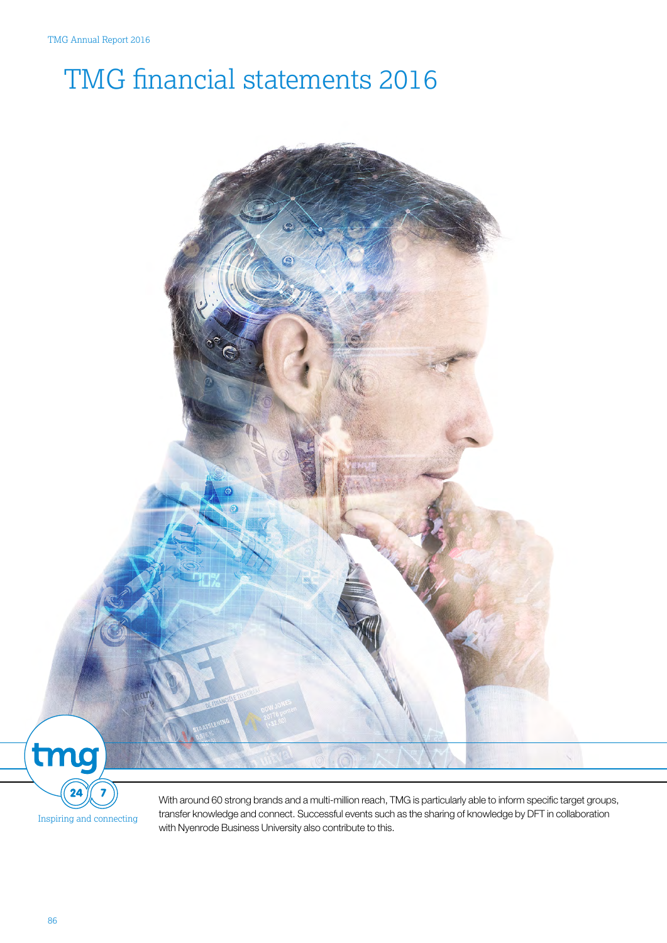# TMG financial statements 2016



Inspiring and connecting

With around 60 strong brands and a multi-million reach, TMG is particularly able to inform specific target groups, transfer knowledge and connect. Successful events such as the sharing of knowledge by DFT in collaboration with Nyenrode Business University also contribute to this.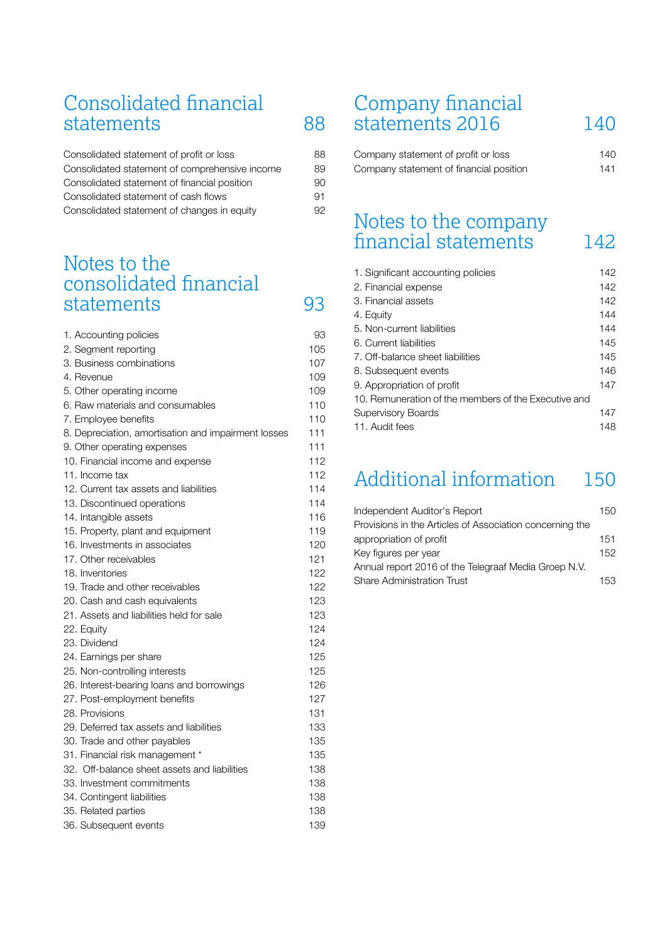## Consolidated financial [statements](#page-2-0) 88

| Consolidated statement of profit or loss       | 88 |
|------------------------------------------------|----|
| Consolidated statement of comprehensive income | 89 |
| Consolidated statement of financial position   | 90 |
| Consolidated statement of cash flows           | 91 |
| Consolidated statement of changes in equity    | 92 |

## [Notes to the](#page-7-0) consolidated financial [statements](#page-7-0) 93

| 1. Accounting policies                              | 93  |
|-----------------------------------------------------|-----|
| 2. Segment reporting                                | 105 |
| 3. Business combinations                            | 107 |
| 4. Revenue                                          | 109 |
| 5. Other operating income                           | 109 |
| 6. Raw materials and consumables                    | 110 |
| 7. Employee benefits                                | 110 |
| 8. Depreciation, amortisation and impairment losses | 111 |
| 9. Other operating expenses                         | 111 |
| 10. Financial income and expense                    | 112 |
| 11. Income tax                                      | 112 |
| 12. Current tax assets and liabilities              | 114 |
| 13. Discontinued operations                         | 114 |
| 14. Intangible assets                               | 116 |
| 15. Property, plant and equipment                   | 119 |
| 16. Investments in associates                       | 120 |
| 17. Other receivables                               | 121 |
| 18. Inventories                                     | 122 |
| 19. Trade and other receivables                     | 122 |
| 20. Cash and cash equivalents                       | 123 |
| 21. Assets and liabilities held for sale            | 123 |
| 22. Equity                                          | 124 |
| 23. Dividend                                        | 124 |
| 24. Earnings per share                              | 125 |
| 25. Non-controlling interests                       | 125 |
| 26. Interest-bearing loans and borrowings           | 126 |
| 27. Post-employment benefits                        | 127 |
| 28. Provisions                                      | 131 |
| 29. Deferred tax assets and liabilities             | 133 |
| 30. Trade and other payables                        | 135 |
| 31. Financial risk management *                     | 135 |
| 32. Off-balance sheet assets and liabilities        | 138 |
| 33. Investment commitments                          | 138 |
| 34. Contingent liabilities                          | 138 |
| 35. Related parties                                 | 138 |
| 36. Subsequent events                               | 139 |

## Company financial [statements 2016](#page-54-0) 140

| Company statement of profit or loss     | 140 |
|-----------------------------------------|-----|
| Company statement of financial position | 141 |

## [Notes to the company](#page-56-0) financial statements 142

| 1. Significant accounting policies                   | 142 |
|------------------------------------------------------|-----|
| 2. Financial expense                                 | 142 |
| 3. Financial assets                                  | 142 |
| 4. Equity                                            | 144 |
| 5. Non-current liabilities                           | 144 |
| 6. Current liabilities                               | 145 |
| 7. Off-balance sheet liabilities                     | 145 |
| 8. Subsequent events                                 | 146 |
| 9. Appropriation of profit                           | 147 |
| 10. Remuneration of the members of the Executive and |     |
| <b>Supervisory Boards</b>                            | 147 |
| 11. Audit fees                                       | 148 |

## [Additional information](#page-64-0) 150

| Independent Auditor's Report                             | 150 |
|----------------------------------------------------------|-----|
| Provisions in the Articles of Association concerning the |     |
| appropriation of profit                                  | 151 |
| Key figures per year                                     | 152 |
| Annual report 2016 of the Telegraaf Media Groep N.V.     |     |
| <b>Share Administration Trust</b>                        | 153 |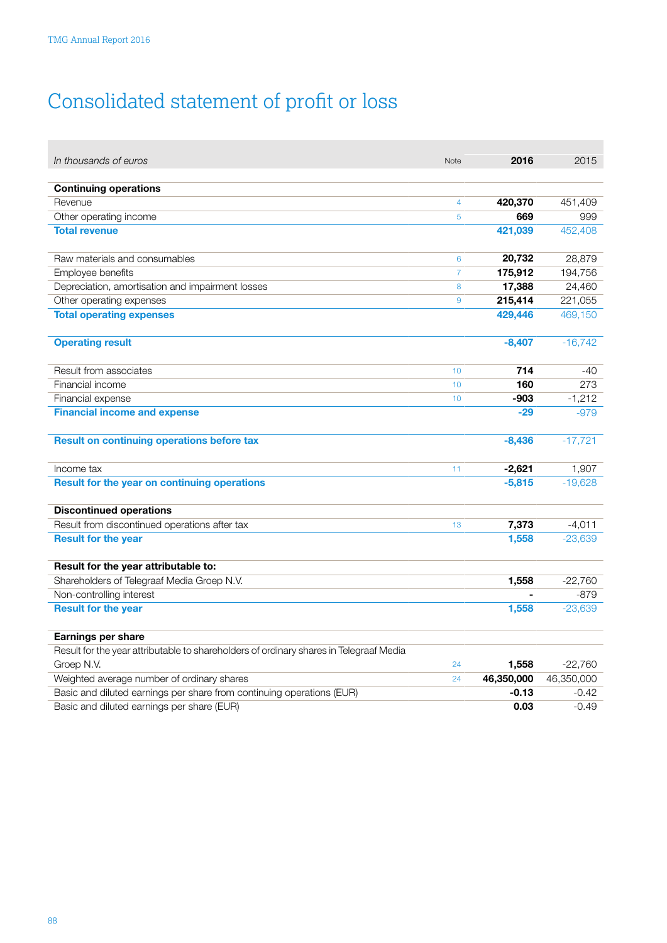# <span id="page-2-0"></span>Consolidated statement of proƮt or loss

| In thousands of euros                                                                  | Note           | 2016       | 2015       |
|----------------------------------------------------------------------------------------|----------------|------------|------------|
| <b>Continuing operations</b>                                                           |                |            |            |
| Revenue                                                                                | $\overline{4}$ | 420,370    | 451,409    |
| Other operating income                                                                 | 5              | 669        | 999        |
| <b>Total revenue</b>                                                                   |                | 421,039    | 452,408    |
|                                                                                        |                |            |            |
| Raw materials and consumables                                                          | 6              | 20,732     | 28,879     |
| Employee benefits                                                                      | $\overline{7}$ | 175,912    | 194,756    |
| Depreciation, amortisation and impairment losses                                       | 8              | 17,388     | 24,460     |
| Other operating expenses                                                               | 9              | 215,414    | 221,055    |
| <b>Total operating expenses</b>                                                        |                | 429,446    | 469,150    |
|                                                                                        |                |            |            |
| <b>Operating result</b>                                                                |                | $-8,407$   | $-16,742$  |
|                                                                                        |                |            |            |
| Result from associates                                                                 | 10             | 714        | $-40$      |
| Financial income                                                                       | 10             | 160        | 273        |
| Financial expense                                                                      | 10             | $-903$     | $-1,212$   |
| <b>Financial income and expense</b>                                                    |                | $-29$      | $-979$     |
|                                                                                        |                |            |            |
| <b>Result on continuing operations before tax</b>                                      |                | $-8,436$   | $-17,721$  |
|                                                                                        |                |            |            |
| Income tax                                                                             | 11             | $-2,621$   | 1,907      |
| Result for the year on continuing operations                                           |                | $-5,815$   | $-19,628$  |
|                                                                                        |                |            |            |
| <b>Discontinued operations</b>                                                         |                |            |            |
| Result from discontinued operations after tax                                          | 13             | 7,373      | $-4.011$   |
| <b>Result for the year</b>                                                             |                | 1,558      | $-23,639$  |
|                                                                                        |                |            |            |
| Result for the year attributable to:                                                   |                |            |            |
| Shareholders of Telegraaf Media Groep N.V.                                             |                | 1,558      | $-22,760$  |
| Non-controlling interest                                                               |                |            | $-879$     |
| <b>Result for the year</b>                                                             |                | 1,558      | $-23,639$  |
| Earnings per share                                                                     |                |            |            |
| Result for the year attributable to shareholders of ordinary shares in Telegraaf Media |                |            |            |
| Groep N.V.                                                                             | 24             | 1,558      | $-22,760$  |
| Weighted average number of ordinary shares                                             | 24             | 46,350,000 | 46,350,000 |
| Basic and diluted earnings per share from continuing operations (EUR)                  |                | $-0.13$    | $-0.42$    |
| Basic and diluted earnings per share (EUR)                                             |                | 0.03       | $-0.49$    |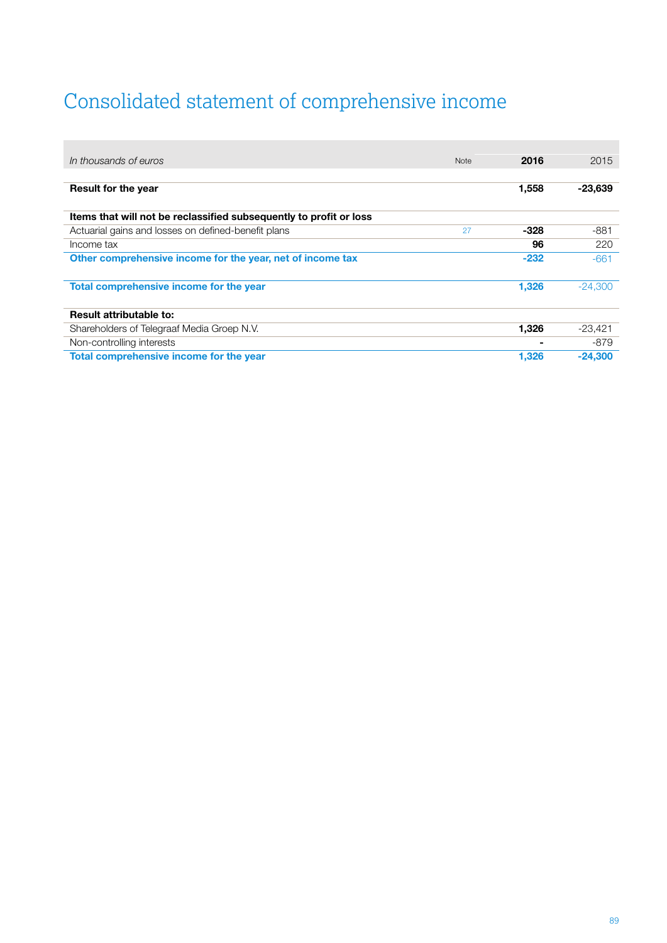# <span id="page-3-0"></span>Consolidated statement of comprehensive income

| In thousands of euros                                              | <b>Note</b> | 2016   | 2015      |
|--------------------------------------------------------------------|-------------|--------|-----------|
|                                                                    |             |        |           |
| <b>Result for the year</b>                                         |             | 1,558  | $-23,639$ |
| Items that will not be reclassified subsequently to profit or loss |             |        |           |
| Actuarial gains and losses on defined-benefit plans                | 27          | -328   | -881      |
| Income tax                                                         |             | 96     | 220       |
| Other comprehensive income for the year, net of income tax         |             | $-232$ | $-661$    |
|                                                                    |             |        |           |
| Total comprehensive income for the year                            |             | 1,326  | $-24.300$ |
|                                                                    |             |        |           |
| <b>Result attributable to:</b>                                     |             |        |           |
| Shareholders of Telegraaf Media Groep N.V.                         |             | 1,326  | $-23,421$ |
| Non-controlling interests                                          |             |        | -879      |
| Total comprehensive income for the year                            |             | 1,326  | $-24,300$ |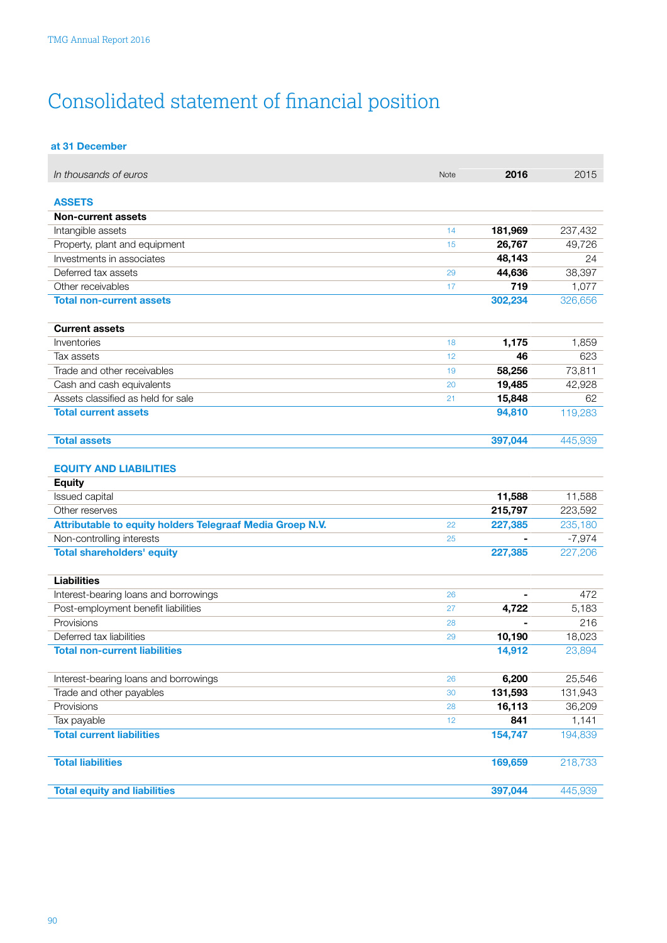# <span id="page-4-0"></span>Consolidated statement of financial position

| at 31 December |
|----------------|
|                |

| In thousands of euros                                     | Note | 2016    | 2015     |
|-----------------------------------------------------------|------|---------|----------|
|                                                           |      |         |          |
| <b>ASSETS</b>                                             |      |         |          |
| Non-current assets                                        |      |         |          |
| Intangible assets                                         | 14   | 181,969 | 237,432  |
| Property, plant and equipment                             | 15   | 26,767  | 49,726   |
| Investments in associates                                 |      | 48,143  | 24       |
| Deferred tax assets                                       | 29   | 44,636  | 38,397   |
| Other receivables                                         | 17   | 719     | 1,077    |
| <b>Total non-current assets</b>                           |      | 302,234 | 326,656  |
| <b>Current assets</b>                                     |      |         |          |
| Inventories                                               | 18   | 1,175   | 1,859    |
| Tax assets                                                | 12   | 46      | 623      |
| Trade and other receivables                               | 19   | 58,256  | 73,811   |
| Cash and cash equivalents                                 | 20   | 19,485  | 42,928   |
| Assets classified as held for sale                        | 21   | 15,848  | 62       |
| <b>Total current assets</b>                               |      | 94,810  | 119,283  |
| <b>Total assets</b>                                       |      | 397,044 | 445,939  |
| <b>EQUITY AND LIABILITIES</b>                             |      |         |          |
| <b>Equity</b>                                             |      |         |          |
| Issued capital                                            |      | 11,588  | 11,588   |
| Other reserves                                            |      | 215,797 | 223,592  |
| Attributable to equity holders Telegraaf Media Groep N.V. | 22   | 227,385 | 235,180  |
| Non-controlling interests                                 | 25   |         | $-7,974$ |
| <b>Total shareholders' equity</b>                         |      | 227,385 | 227,206  |
| <b>Liabilities</b>                                        |      |         |          |
| Interest-bearing loans and borrowings                     | 26   |         | 472      |
| Post-employment benefit liabilities                       | 27   | 4,722   | 5,183    |
| Provisions                                                | 28   |         | 216      |
| Deferred tax liabilities                                  | 29   | 10,190  | 18,023   |
| <b>Total non-current liabilities</b>                      |      | 14,912  | 23,894   |
| Interest-bearing loans and borrowings                     | 26   | 6,200   | 25,546   |
| Trade and other payables                                  | 30   | 131,593 | 131,943  |
| Provisions                                                | 28   | 16,113  | 36,209   |
| Tax payable                                               | 12   | 841     | 1,141    |
| <b>Total current liabilities</b>                          |      | 154,747 | 194,839  |
| <b>Total liabilities</b>                                  |      | 169,659 | 218,733  |
| <b>Total equity and liabilities</b>                       |      | 397,044 | 445,939  |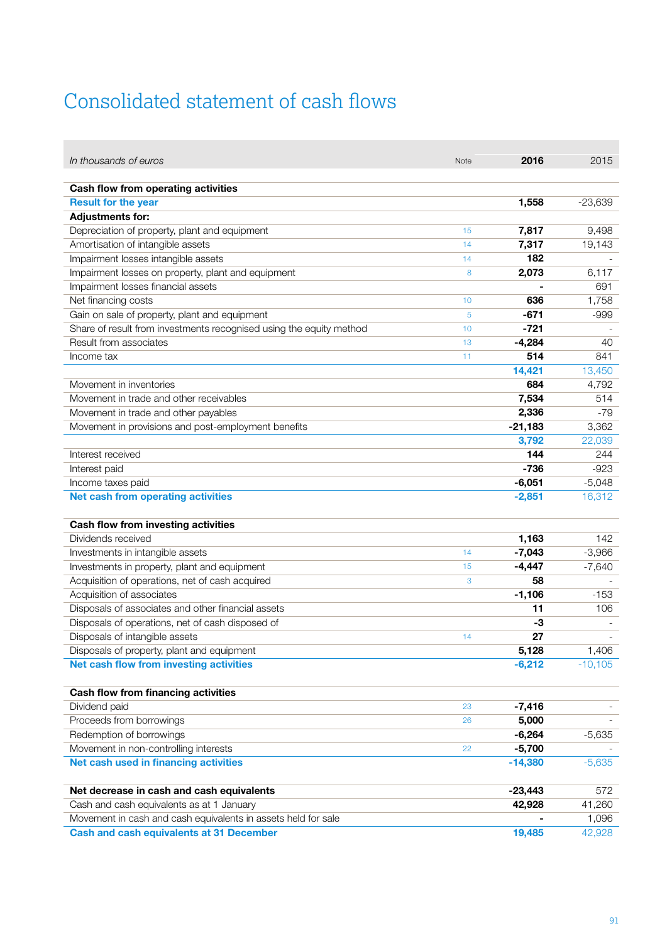## <span id="page-5-0"></span>Consolidated statement of cash flows

 $\overline{\phantom{a}}$ 

| In thousands of euros                                               | <b>Note</b> | 2016      | 2015      |
|---------------------------------------------------------------------|-------------|-----------|-----------|
|                                                                     |             |           |           |
| Cash flow from operating activities                                 |             |           |           |
| <b>Result for the year</b>                                          |             | 1,558     | $-23,639$ |
| <b>Adjustments for:</b>                                             |             |           |           |
| Depreciation of property, plant and equipment                       | 15          | 7,817     | 9,498     |
| Amortisation of intangible assets                                   | 14          | 7,317     | 19,143    |
| Impairment losses intangible assets                                 | 14          | 182       |           |
| Impairment losses on property, plant and equipment                  | 8           | 2,073     | 6,117     |
| Impairment losses financial assets                                  |             |           | 691       |
| Net financing costs                                                 | 10          | 636       | 1,758     |
| Gain on sale of property, plant and equipment                       | 5           | $-671$    | -999      |
| Share of result from investments recognised using the equity method | 10          | $-721$    |           |
| Result from associates                                              | 13          | $-4,284$  | 40        |
| Income tax                                                          | 11          | 514       | 841       |
|                                                                     |             | 14,421    | 13,450    |
| Movement in inventories                                             |             | 684       | 4,792     |
| Movement in trade and other receivables                             |             | 7,534     | 514       |
| Movement in trade and other payables                                |             | 2,336     | $-79$     |
| Movement in provisions and post-employment benefits                 |             | $-21,183$ | 3,362     |
|                                                                     |             | 3,792     | 22,039    |
| Interest received                                                   |             | 144       | 244       |
| Interest paid                                                       |             | $-736$    | $-923$    |
| Income taxes paid                                                   |             | $-6,051$  | $-5,048$  |
| Net cash from operating activities                                  |             | $-2,851$  | 16,312    |
|                                                                     |             |           |           |
| Cash flow from investing activities                                 |             |           |           |
| Dividends received                                                  |             | 1,163     | 142       |
| Investments in intangible assets                                    | 14          | $-7,043$  | $-3,966$  |
| Investments in property, plant and equipment                        | 15          | $-4,447$  | $-7,640$  |
| Acquisition of operations, net of cash acquired                     | 3           | 58        |           |
| Acquisition of associates                                           |             | $-1,106$  | $-153$    |
| Disposals of associates and other financial assets                  |             | 11        | 106       |
| Disposals of operations, net of cash disposed of                    |             | -3        |           |
| Disposals of intangible assets                                      | 14          | 27        |           |
| Disposals of property, plant and equipment                          |             | 5,128     | 1,406     |
| Net cash flow from investing activities                             |             | $-6,212$  | $-10,105$ |
|                                                                     |             |           |           |
| Cash flow from financing activities                                 |             |           |           |
| Dividend paid                                                       | 23          | $-7,416$  |           |
| Proceeds from borrowings                                            | 26          | 5,000     |           |
| Redemption of borrowings                                            |             | $-6,264$  | $-5,635$  |
| Movement in non-controlling interests                               | 22          | $-5,700$  |           |
| Net cash used in financing activities                               |             | $-14,380$ | $-5,635$  |
|                                                                     |             |           |           |
| Net decrease in cash and cash equivalents                           |             | $-23,443$ | 572       |
| Cash and cash equivalents as at 1 January                           |             | 42,928    | 41,260    |
| Movement in cash and cash equivalents in assets held for sale       |             |           | 1,096     |
| <b>Cash and cash equivalents at 31 December</b>                     |             | 19,485    | 42,928    |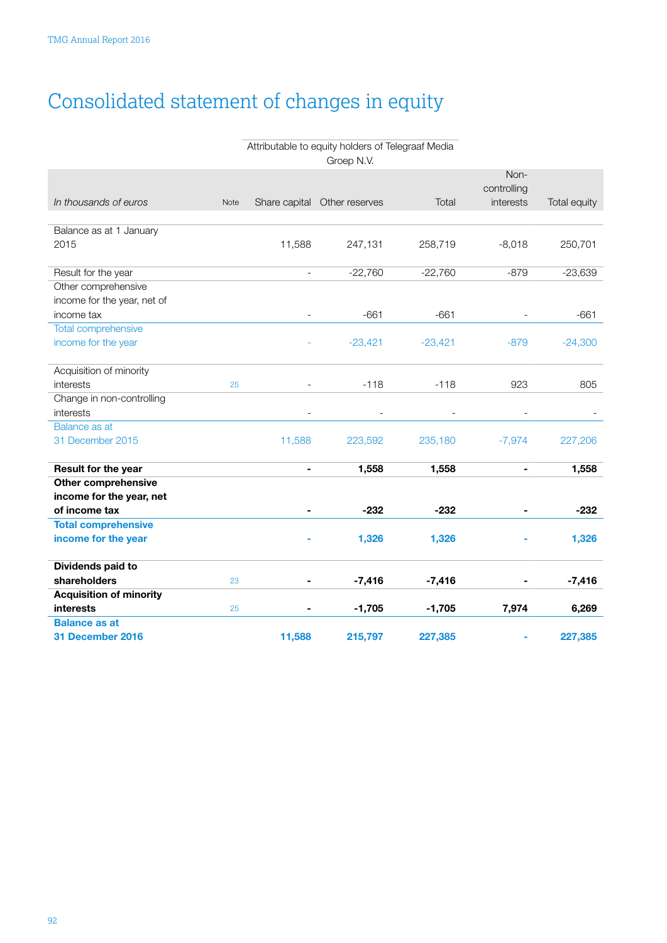# <span id="page-6-0"></span>Consolidated statement of changes in equity

### Attributable to equity holders of Telegraaf Media Groep N.V.

|                                |      |                          |                              |           | Non-<br>controlling |              |
|--------------------------------|------|--------------------------|------------------------------|-----------|---------------------|--------------|
| In thousands of euros          | Note |                          | Share capital Other reserves | Total     | interests           | Total equity |
|                                |      |                          |                              |           |                     |              |
| Balance as at 1 January        |      |                          |                              |           |                     |              |
| 2015                           |      | 11,588                   | 247,131                      | 258,719   | $-8,018$            | 250,701      |
| Result for the year            |      | $\overline{\phantom{a}}$ | $-22,760$                    | $-22,760$ | $-879$              | $-23,639$    |
| Other comprehensive            |      |                          |                              |           |                     |              |
| income for the year, net of    |      |                          |                              |           |                     |              |
| income tax                     |      |                          | $-661$                       | $-661$    |                     | $-661$       |
| Total comprehensive            |      |                          |                              |           |                     |              |
| income for the year            |      |                          | $-23,421$                    | $-23,421$ | $-879$              | $-24,300$    |
|                                |      |                          |                              |           |                     |              |
| Acquisition of minority        |      |                          |                              |           |                     |              |
| interests                      | 25   |                          | $-118$                       | $-118$    | 923                 | 805          |
| Change in non-controlling      |      |                          |                              |           |                     |              |
| interests                      |      |                          |                              |           |                     |              |
| Balance as at                  |      |                          |                              |           |                     |              |
| 31 December 2015               |      | 11,588                   | 223,592                      | 235,180   | $-7,974$            | 227,206      |
| Result for the year            |      | $\blacksquare$           | 1,558                        | 1,558     | $\blacksquare$      | 1,558        |
| <b>Other comprehensive</b>     |      |                          |                              |           |                     |              |
| income for the year, net       |      |                          |                              |           |                     |              |
| of income tax                  |      |                          | $-232$                       | $-232$    |                     | $-232$       |
| <b>Total comprehensive</b>     |      |                          |                              |           |                     |              |
| income for the year            |      |                          | 1,326                        | 1,326     |                     | 1,326        |
| Dividends paid to              |      |                          |                              |           |                     |              |
| shareholders                   | 23   |                          | $-7,416$                     | $-7,416$  |                     | $-7,416$     |
| <b>Acquisition of minority</b> |      |                          |                              |           |                     |              |
| <b>interests</b>               | 25   |                          | $-1,705$                     | $-1,705$  | 7,974               | 6,269        |
| <b>Balance as at</b>           |      |                          |                              |           |                     |              |
| 31 December 2016               |      | 11,588                   | 215,797                      | 227,385   | ۰                   | 227,385      |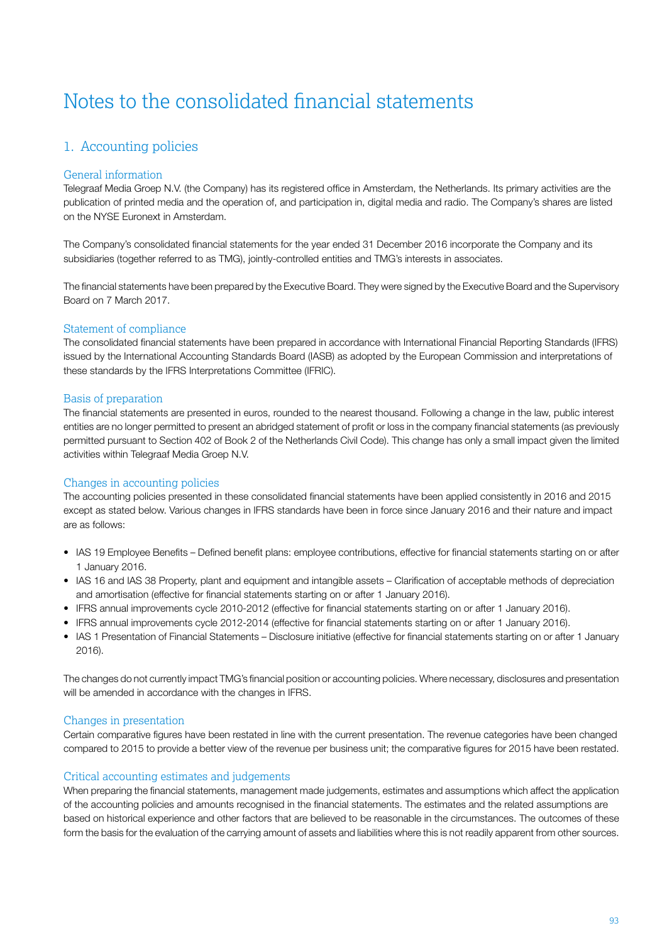## <span id="page-7-0"></span>Notes to the consolidated financial statements

### 1. Accounting policies

### General information

Telegraaf Media Groep N.V. (the Company) has its registered office in Amsterdam, the Netherlands. Its primary activities are the publication of printed media and the operation of, and participation in, digital media and radio. The Company's shares are listed on the NYSE Euronext in Amsterdam.

The Company's consolidated financial statements for the year ended 31 December 2016 incorporate the Company and its subsidiaries (together referred to as TMG), jointly-controlled entities and TMG's interests in associates.

The financial statements have been prepared by the Executive Board. They were signed by the Executive Board and the Supervisory Board on 7 March 2017.

### Statement of compliance

The consolidated financial statements have been prepared in accordance with International Financial Reporting Standards (IFRS) issued by the International Accounting Standards Board (IASB) as adopted by the European Commission and interpretations of these standards by the IFRS Interpretations Committee (IFRIC).

### Basis of preparation

The financial statements are presented in euros, rounded to the nearest thousand. Following a change in the law, public interest entities are no longer permitted to present an abridged statement of profit or loss in the company financial statements (as previously permitted pursuant to Section 402 of Book 2 of the Netherlands Civil Code). This change has only a small impact given the limited activities within Telegraaf Media Groep N.V.

### Changes in accounting policies

The accounting policies presented in these consolidated financial statements have been applied consistently in 2016 and 2015 except as stated below. Various changes in IFRS standards have been in force since January 2016 and their nature and impact are as follows:

- IAS 19 Employee Benefits Defined benefit plans: employee contributions, effective for financial statements starting on or after 1 January 2016.
- IAS 16 and IAS 38 Property, plant and equipment and intangible assets Clarification of acceptable methods of depreciation and amortisation (effective for financial statements starting on or after 1 January 2016).
- IFRS annual improvements cycle 2010-2012 (effective for financial statements starting on or after 1 January 2016).
- IFRS annual improvements cycle 2012-2014 (effective for financial statements starting on or after 1 January 2016).
- IAS 1 Presentation of Financial Statements Disclosure initiative (effective for financial statements starting on or after 1 January 2016).

The changes do not currently impact TMG's financial position or accounting policies. Where necessary, disclosures and presentation will be amended in accordance with the changes in IFRS.

### Changes in presentation

Certain comparative figures have been restated in line with the current presentation. The revenue categories have been changed compared to 2015 to provide a better view of the revenue per business unit; the comparative figures for 2015 have been restated.

### Critical accounting estimates and judgements

When preparing the financial statements, management made judgements, estimates and assumptions which affect the application of the accounting policies and amounts recognised in the financial statements. The estimates and the related assumptions are based on historical experience and other factors that are believed to be reasonable in the circumstances. The outcomes of these form the basis for the evaluation of the carrying amount of assets and liabilities where this is not readily apparent from other sources.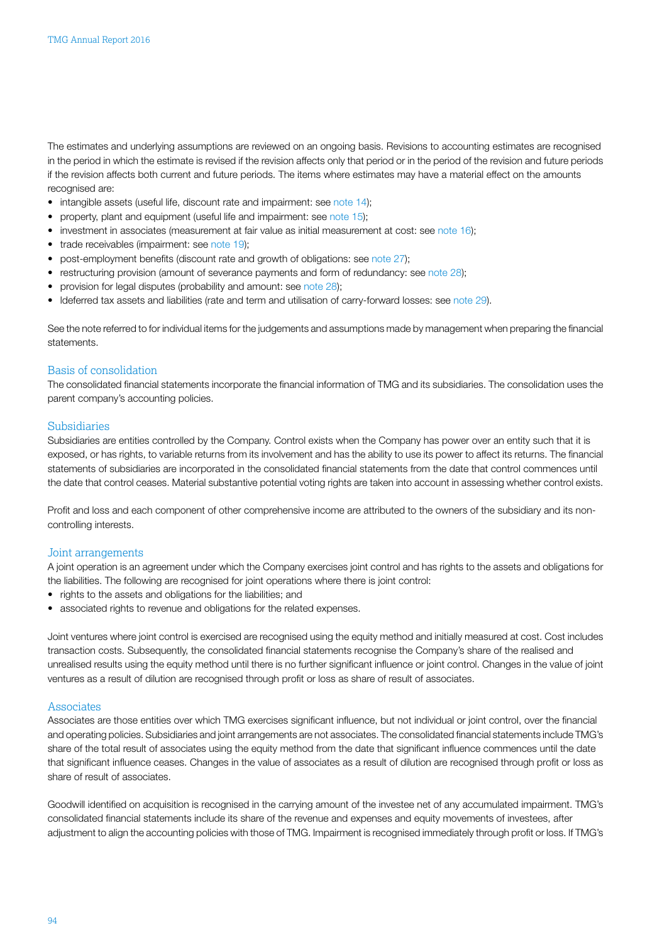The estimates and underlying assumptions are reviewed on an ongoing basis. Revisions to accounting estimates are recognised in the period in which the estimate is revised if the revision affects only that period or in the period of the revision and future periods if the revision affects both current and future periods. The items where estimates may have a material effect on the amounts recognised are:

- intangible assets (useful life, discount rate and impairment: see [note 14\)](#page-30-0);
- property, plant and equipment (useful life and impairment: see [note 15](#page-33-0));
- investment in associates (measurement at fair value as initial measurement at cost: see [note 16\)](#page-34-0);
- trade receivables (impairment: see [note 19](#page-36-0));
- post-employment benefits (discount rate and growth of obligations: see [note 27\)](#page-41-0);
- restructuring provision (amount of severance payments and form of redundancy: see [note 28](#page-45-0));
- provision for legal disputes (probability and amount: see [note 28\)](#page-45-0);
- ldeferred tax assets and liabilities (rate and term and utilisation of carry-forward losses: see [note 29\)](#page-47-0).

See the note referred to for individual items for the judgements and assumptions made by management when preparing the financial statements.

### Basis of consolidation

The consolidated financial statements incorporate the financial information of TMG and its subsidiaries. The consolidation uses the parent company's accounting policies.

#### Subsidiaries

Subsidiaries are entities controlled by the Company. Control exists when the Company has power over an entity such that it is exposed, or has rights, to variable returns from its involvement and has the ability to use its power to affect its returns. The financial statements of subsidiaries are incorporated in the consolidated financial statements from the date that control commences until the date that control ceases. Material substantive potential voting rights are taken into account in assessing whether control exists.

Profit and loss and each component of other comprehensive income are attributed to the owners of the subsidiary and its noncontrolling interests.

#### Joint arrangements

A joint operation is an agreement under which the Company exercises joint control and has rights to the assets and obligations for the liabilities. The following are recognised for joint operations where there is joint control:

- rights to the assets and obligations for the liabilities; and
- associated rights to revenue and obligations for the related expenses.

Joint ventures where joint control is exercised are recognised using the equity method and initially measured at cost. Cost includes transaction costs. Subsequently, the consolidated financial statements recognise the Company's share of the realised and unrealised results using the equity method until there is no further significant influence or joint control. Changes in the value of joint ventures as a result of dilution are recognised through profit or loss as share of result of associates.

#### Associates

Associates are those entities over which TMG exercises significant influence, but not individual or joint control, over the financial and operating policies. Subsidiaries and joint arrangements are not associates. The consolidated financial statements include TMG's share of the total result of associates using the equity method from the date that significant influence commences until the date that significant influence ceases. Changes in the value of associates as a result of dilution are recognised through profit or loss as share of result of associates.

Goodwill identified on acquisition is recognised in the carrying amount of the investee net of any accumulated impairment. TMG's consolidated financial statements include its share of the revenue and expenses and equity movements of investees, after adjustment to align the accounting policies with those of TMG. Impairment is recognised immediately through profit or loss. If TMG's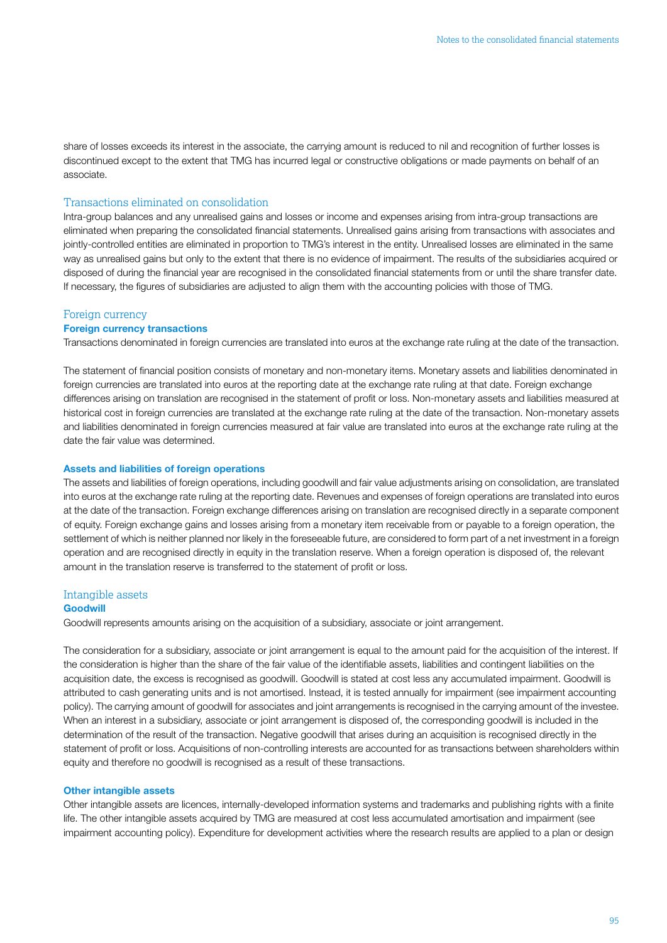share of losses exceeds its interest in the associate, the carrying amount is reduced to nil and recognition of further losses is discontinued except to the extent that TMG has incurred legal or constructive obligations or made payments on behalf of an associate.

### Transactions eliminated on consolidation

Intra-group balances and any unrealised gains and losses or income and expenses arising from intra-group transactions are eliminated when preparing the consolidated financial statements. Unrealised gains arising from transactions with associates and jointly-controlled entities are eliminated in proportion to TMG's interest in the entity. Unrealised losses are eliminated in the same way as unrealised gains but only to the extent that there is no evidence of impairment. The results of the subsidiaries acquired or disposed of during the financial year are recognised in the consolidated financial statements from or until the share transfer date. If necessary, the figures of subsidiaries are adjusted to align them with the accounting policies with those of TMG.

### Foreign currency

### Foreign currency transactions

Transactions denominated in foreign currencies are translated into euros at the exchange rate ruling at the date of the transaction.

The statement of financial position consists of monetary and non-monetary items. Monetary assets and liabilities denominated in foreign currencies are translated into euros at the reporting date at the exchange rate ruling at that date. Foreign exchange differences arising on translation are recognised in the statement of profit or loss. Non-monetary assets and liabilities measured at historical cost in foreign currencies are translated at the exchange rate ruling at the date of the transaction. Non-monetary assets and liabilities denominated in foreign currencies measured at fair value are translated into euros at the exchange rate ruling at the date the fair value was determined.

#### Assets and liabilities of foreign operations

The assets and liabilities of foreign operations, including goodwill and fair value adjustments arising on consolidation, are translated into euros at the exchange rate ruling at the reporting date. Revenues and expenses of foreign operations are translated into euros at the date of the transaction. Foreign exchange differences arising on translation are recognised directly in a separate component of equity. Foreign exchange gains and losses arising from a monetary item receivable from or payable to a foreign operation, the settlement of which is neither planned nor likely in the foreseeable future, are considered to form part of a net investment in a foreign operation and are recognised directly in equity in the translation reserve. When a foreign operation is disposed of, the relevant amount in the translation reserve is transferred to the statement of profit or loss.

#### Intangible assets

### **Goodwill**

Goodwill represents amounts arising on the acquisition of a subsidiary, associate or joint arrangement.

The consideration for a subsidiary, associate or joint arrangement is equal to the amount paid for the acquisition of the interest. If the consideration is higher than the share of the fair value of the identifiable assets, liabilities and contingent liabilities on the acquisition date, the excess is recognised as goodwill. Goodwill is stated at cost less any accumulated impairment. Goodwill is attributed to cash generating units and is not amortised. Instead, it is tested annually for impairment (see impairment accounting policy). The carrying amount of goodwill for associates and joint arrangements is recognised in the carrying amount of the investee. When an interest in a subsidiary, associate or joint arrangement is disposed of, the corresponding goodwill is included in the determination of the result of the transaction. Negative goodwill that arises during an acquisition is recognised directly in the statement of profit or loss. Acquisitions of non-controlling interests are accounted for as transactions between shareholders within equity and therefore no goodwill is recognised as a result of these transactions.

### Other intangible assets

Other intangible assets are licences, internally-developed information systems and trademarks and publishing rights with a finite life. The other intangible assets acquired by TMG are measured at cost less accumulated amortisation and impairment (see impairment accounting policy). Expenditure for development activities where the research results are applied to a plan or design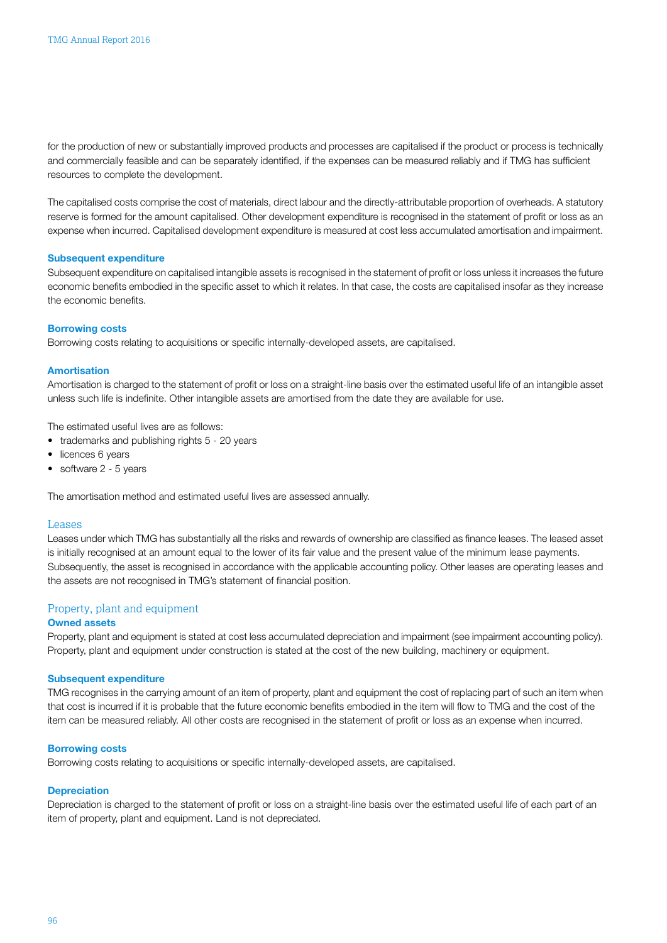for the production of new or substantially improved products and processes are capitalised if the product or process is technically and commercially feasible and can be separately identified, if the expenses can be measured reliably and if TMG has sufficient resources to complete the development.

The capitalised costs comprise the cost of materials, direct labour and the directly-attributable proportion of overheads. A statutory reserve is formed for the amount capitalised. Other development expenditure is recognised in the statement of profit or loss as an expense when incurred. Capitalised development expenditure is measured at cost less accumulated amortisation and impairment.

#### Subsequent expenditure

Subsequent expenditure on capitalised intangible assets is recognised in the statement of profit or loss unless it increases the future economic benefits embodied in the specific asset to which it relates. In that case, the costs are capitalised insofar as they increase the economic benefits.

#### Borrowing costs

Borrowing costs relating to acquisitions or specific internally-developed assets, are capitalised.

#### Amortisation

Amortisation is charged to the statement of profit or loss on a straight-line basis over the estimated useful life of an intangible asset unless such life is indefinite. Other intangible assets are amortised from the date they are available for use.

The estimated useful lives are as follows:

- trademarks and publishing rights 5 20 years
- licences 6 years
- software 2 5 years

The amortisation method and estimated useful lives are assessed annually.

#### Leases

Leases under which TMG has substantially all the risks and rewards of ownership are classified as finance leases. The leased asset is initially recognised at an amount equal to the lower of its fair value and the present value of the minimum lease payments. Subsequently, the asset is recognised in accordance with the applicable accounting policy. Other leases are operating leases and the assets are not recognised in TMG's statement of financial position.

### Property, plant and equipment

### Owned assets

Property, plant and equipment is stated at cost less accumulated depreciation and impairment (see impairment accounting policy). Property, plant and equipment under construction is stated at the cost of the new building, machinery or equipment.

#### Subsequent expenditure

TMG recognises in the carrying amount of an item of property, plant and equipment the cost of replacing part of such an item when that cost is incurred if it is probable that the future economic benefits embodied in the item will flow to TMG and the cost of the item can be measured reliably. All other costs are recognised in the statement of profit or loss as an expense when incurred.

#### Borrowing costs

Borrowing costs relating to acquisitions or specific internally-developed assets, are capitalised.

### **Depreciation**

Depreciation is charged to the statement of profit or loss on a straight-line basis over the estimated useful life of each part of an item of property, plant and equipment. Land is not depreciated.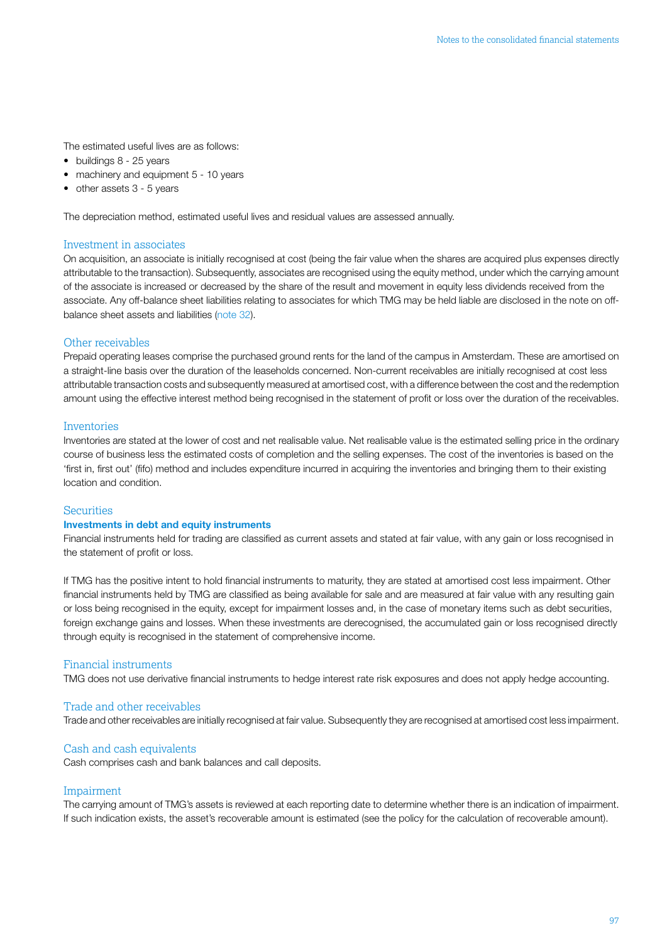The estimated useful lives are as follows:

- buildings 8 25 years
- machinery and equipment 5 10 years
- other assets 3 5 years

The depreciation method, estimated useful lives and residual values are assessed annually.

#### Investment in associates

On acquisition, an associate is initially recognised at cost (being the fair value when the shares are acquired plus expenses directly attributable to the transaction). Subsequently, associates are recognised using the equity method, under which the carrying amount of the associate is increased or decreased by the share of the result and movement in equity less dividends received from the associate. Any off-balance sheet liabilities relating to associates for which TMG may be held liable are disclosed in the note on offbalance sheet assets and liabilities [\(note 32\)](#page-52-0).

### Other receivables

Prepaid operating leases comprise the purchased ground rents for the land of the campus in Amsterdam. These are amortised on a straight-line basis over the duration of the leaseholds concerned. Non-current receivables are initially recognised at cost less attributable transaction costs and subsequently measured at amortised cost, with a difference between the cost and the redemption amount using the effective interest method being recognised in the statement of profit or loss over the duration of the receivables.

#### Inventories

Inventories are stated at the lower of cost and net realisable value. Net realisable value is the estimated selling price in the ordinary course of business less the estimated costs of completion and the selling expenses. The cost of the inventories is based on the 'first in, first out' (fifo) method and includes expenditure incurred in acquiring the inventories and bringing them to their existing location and condition.

### **Securities**

### Investments in debt and equity instruments

Financial instruments held for trading are classified as current assets and stated at fair value, with any gain or loss recognised in the statement of profit or loss.

If TMG has the positive intent to hold financial instruments to maturity, they are stated at amortised cost less impairment. Other financial instruments held by TMG are classified as being available for sale and are measured at fair value with any resulting gain or loss being recognised in the equity, except for impairment losses and, in the case of monetary items such as debt securities, foreign exchange gains and losses. When these investments are derecognised, the accumulated gain or loss recognised directly through equity is recognised in the statement of comprehensive income.

### Financial instruments

TMG does not use derivative financial instruments to hedge interest rate risk exposures and does not apply hedge accounting.

### Trade and other receivables

Trade and other receivables are initially recognised at fair value. Subsequently they are recognised at amortised cost less impairment.

#### Cash and cash equivalents

Cash comprises cash and bank balances and call deposits.

### Impairment

The carrying amount of TMG's assets is reviewed at each reporting date to determine whether there is an indication of impairment. If such indication exists, the asset's recoverable amount is estimated (see the policy for the calculation of recoverable amount).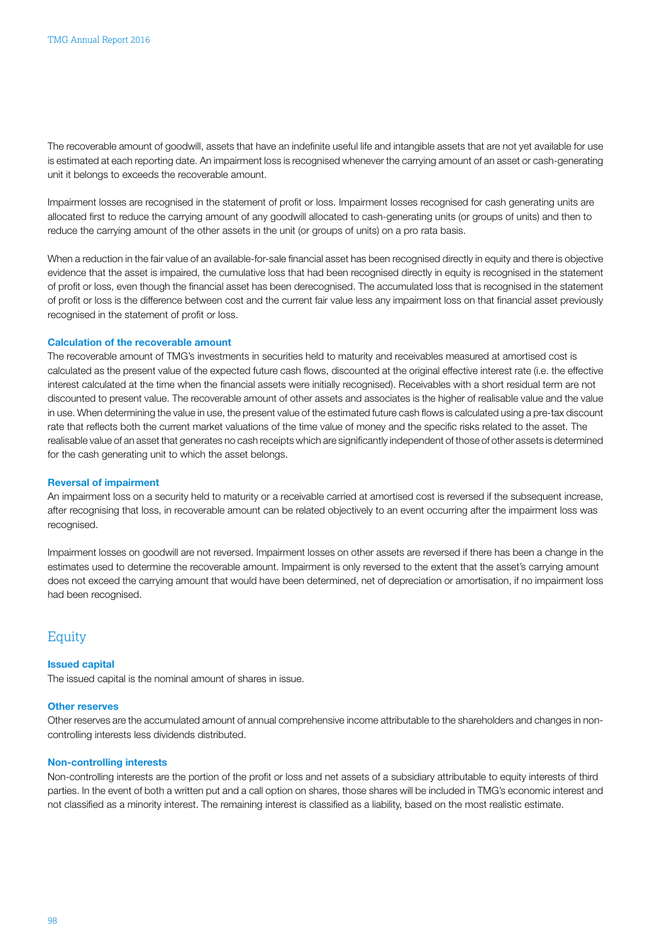The recoverable amount of goodwill, assets that have an indefinite useful life and intangible assets that are not yet available for use is estimated at each reporting date. An impairment loss is recognised whenever the carrying amount of an asset or cash-generating unit it belongs to exceeds the recoverable amount.

Impairment losses are recognised in the statement of profit or loss. Impairment losses recognised for cash generating units are allocated first to reduce the carrying amount of any goodwill allocated to cash-generating units (or groups of units) and then to reduce the carrying amount of the other assets in the unit (or groups of units) on a pro rata basis.

When a reduction in the fair value of an available-for-sale financial asset has been recognised directly in equity and there is objective evidence that the asset is impaired, the cumulative loss that had been recognised directly in equity is recognised in the statement of profit or loss, even though the financial asset has been derecognised. The accumulated loss that is recognised in the statement of profit or loss is the difference between cost and the current fair value less any impairment loss on that financial asset previously recognised in the statement of profit or loss.

#### Calculation of the recoverable amount

The recoverable amount of TMG's investments in securities held to maturity and receivables measured at amortised cost is calculated as the present value of the expected future cash flows, discounted at the original effective interest rate (i.e. the effective interest calculated at the time when the financial assets were initially recognised). Receivables with a short residual term are not discounted to present value. The recoverable amount of other assets and associates is the higher of realisable value and the value in use. When determining the value in use, the present value of the estimated future cash flows is calculated using a pre-tax discount rate that reflects both the current market valuations of the time value of money and the specific risks related to the asset. The realisable value of an asset that generates no cash receipts which are significantly independent of those of other assets is determined for the cash generating unit to which the asset belongs.

#### Reversal of impairment

An impairment loss on a security held to maturity or a receivable carried at amortised cost is reversed if the subsequent increase, after recognising that loss, in recoverable amount can be related objectively to an event occurring after the impairment loss was recognised.

Impairment losses on goodwill are not reversed. Impairment losses on other assets are reversed if there has been a change in the estimates used to determine the recoverable amount. Impairment is only reversed to the extent that the asset's carrying amount does not exceed the carrying amount that would have been determined, net of depreciation or amortisation, if no impairment loss had been recognised.

### Equity

#### Issued capital

The issued capital is the nominal amount of shares in issue.

#### Other reserves

Other reserves are the accumulated amount of annual comprehensive income attributable to the shareholders and changes in noncontrolling interests less dividends distributed.

#### Non-controlling interests

Non-controlling interests are the portion of the profit or loss and net assets of a subsidiary attributable to equity interests of third parties. In the event of both a written put and a call option on shares, those shares will be included in TMG's economic interest and not classified as a minority interest. The remaining interest is classified as a liability, based on the most realistic estimate.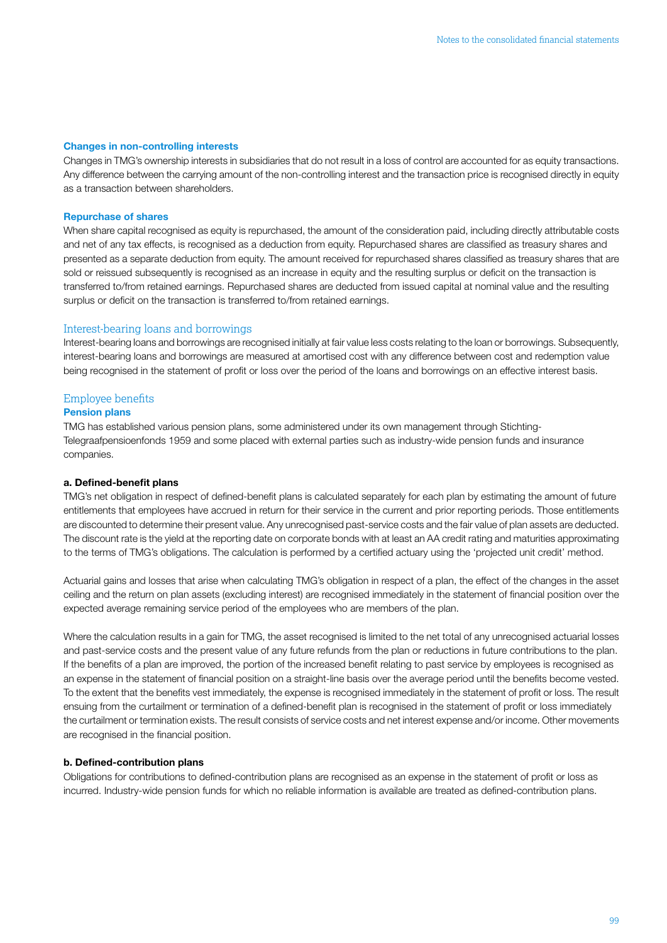#### Changes in non-controlling interests

Changes in TMG's ownership interests in subsidiaries that do not result in a loss of control are accounted for as equity transactions. Any difference between the carrying amount of the non-controlling interest and the transaction price is recognised directly in equity as a transaction between shareholders.

#### Repurchase of shares

When share capital recognised as equity is repurchased, the amount of the consideration paid, including directly attributable costs and net of any tax effects, is recognised as a deduction from equity. Repurchased shares are classified as treasury shares and presented as a separate deduction from equity. The amount received for repurchased shares classified as treasury shares that are sold or reissued subsequently is recognised as an increase in equity and the resulting surplus or deficit on the transaction is transferred to/from retained earnings. Repurchased shares are deducted from issued capital at nominal value and the resulting surplus or deficit on the transaction is transferred to/from retained earnings.

#### Interest-bearing loans and borrowings

Interest-bearing loans and borrowings are recognised initially at fair value less costs relating to the loan or borrowings. Subsequently, interest-bearing loans and borrowings are measured at amortised cost with any difference between cost and redemption value being recognised in the statement of profit or loss over the period of the loans and borrowings on an effective interest basis.

### Employee benefits

### Pension plans

TMG has established various pension plans, some administered under its own management through Stichting-Telegraafpensioenfonds 1959 and some placed with external parties such as industry-wide pension funds and insurance companies.

#### a. Defined-benefit plans

TMG's net obligation in respect of defined-benefit plans is calculated separately for each plan by estimating the amount of future entitlements that employees have accrued in return for their service in the current and prior reporting periods. Those entitlements are discounted to determine their present value. Any unrecognised past-service costs and the fair value of plan assets are deducted. The discount rate is the yield at the reporting date on corporate bonds with at least an AA credit rating and maturities approximating to the terms of TMG's obligations. The calculation is performed by a certified actuary using the 'projected unit credit' method.

Actuarial gains and losses that arise when calculating TMG's obligation in respect of a plan, the effect of the changes in the asset ceiling and the return on plan assets (excluding interest) are recognised immediately in the statement of financial position over the expected average remaining service period of the employees who are members of the plan.

Where the calculation results in a gain for TMG, the asset recognised is limited to the net total of any unrecognised actuarial losses and past-service costs and the present value of any future refunds from the plan or reductions in future contributions to the plan. If the benefits of a plan are improved, the portion of the increased benefit relating to past service by employees is recognised as an expense in the statement of financial position on a straight-line basis over the average period until the benefits become vested. To the extent that the benefits vest immediately, the expense is recognised immediately in the statement of profit or loss. The result ensuing from the curtailment or termination of a defined-benefit plan is recognised in the statement of profit or loss immediately the curtailment or termination exists. The result consists of service costs and net interest expense and/or income. Other movements are recognised in the financial position.

#### b. Defined-contribution plans

Obligations for contributions to defined-contribution plans are recognised as an expense in the statement of profit or loss as incurred. Industry-wide pension funds for which no reliable information is available are treated as defined-contribution plans.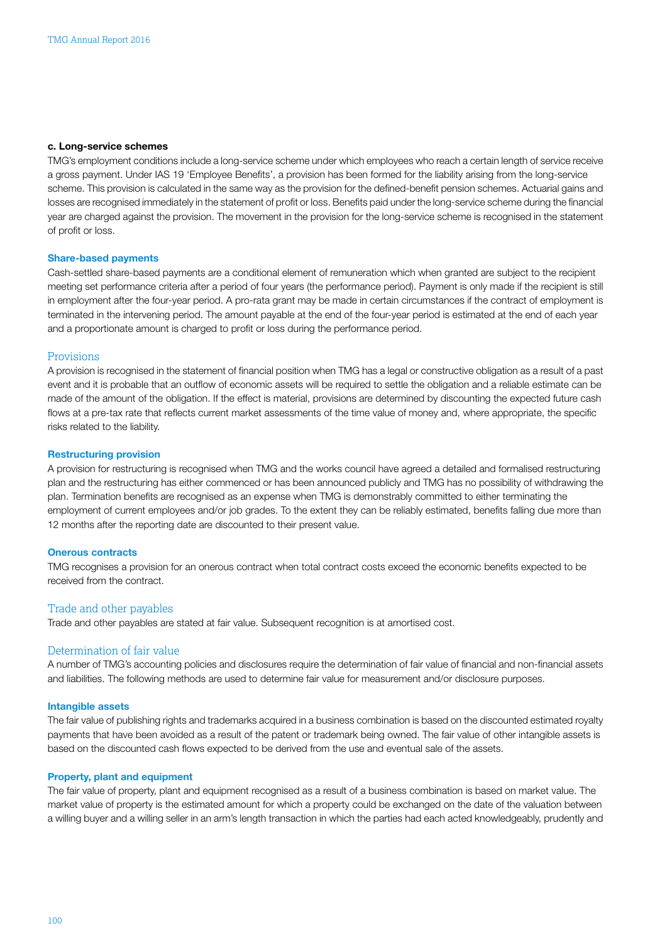#### c. Long-service schemes

TMG's employment conditions include a long-service scheme under which employees who reach a certain length of service receive a gross payment. Under IAS 19 'Employee Benefits', a provision has been formed for the liability arising from the long-service scheme. This provision is calculated in the same way as the provision for the defined-benefit pension schemes. Actuarial gains and losses are recognised immediately in the statement of profit or loss. Benefits paid under the long-service scheme during the financial year are charged against the provision. The movement in the provision for the long-service scheme is recognised in the statement of profit or loss.

#### Share-based payments

Cash-settled share-based payments are a conditional element of remuneration which when granted are subject to the recipient meeting set performance criteria after a period of four years (the performance period). Payment is only made if the recipient is still in employment after the four-year period. A pro-rata grant may be made in certain circumstances if the contract of employment is terminated in the intervening period. The amount payable at the end of the four-year period is estimated at the end of each year and a proportionate amount is charged to profit or loss during the performance period.

### Provisions

A provision is recognised in the statement of financial position when TMG has a legal or constructive obligation as a result of a past event and it is probable that an outflow of economic assets will be required to settle the obligation and a reliable estimate can be made of the amount of the obligation. If the effect is material, provisions are determined by discounting the expected future cash flows at a pre-tax rate that reflects current market assessments of the time value of money and, where appropriate, the specific risks related to the liability.

#### Restructuring provision

A provision for restructuring is recognised when TMG and the works council have agreed a detailed and formalised restructuring plan and the restructuring has either commenced or has been announced publicly and TMG has no possibility of withdrawing the plan. Termination benefits are recognised as an expense when TMG is demonstrably committed to either terminating the employment of current employees and/or job grades. To the extent they can be reliably estimated, benefits falling due more than 12 months after the reporting date are discounted to their present value.

#### Onerous contracts

TMG recognises a provision for an onerous contract when total contract costs exceed the economic benefits expected to be received from the contract.

#### Trade and other payables

Trade and other payables are stated at fair value. Subsequent recognition is at amortised cost.

### Determination of fair value

A number of TMG's accounting policies and disclosures require the determination of fair value of financial and non-financial assets and liabilities. The following methods are used to determine fair value for measurement and/or disclosure purposes.

#### Intangible assets

The fair value of publishing rights and trademarks acquired in a business combination is based on the discounted estimated royalty payments that have been avoided as a result of the patent or trademark being owned. The fair value of other intangible assets is based on the discounted cash flows expected to be derived from the use and eventual sale of the assets.

#### Property, plant and equipment

The fair value of property, plant and equipment recognised as a result of a business combination is based on market value. The market value of property is the estimated amount for which a property could be exchanged on the date of the valuation between a willing buyer and a willing seller in an arm's length transaction in which the parties had each acted knowledgeably, prudently and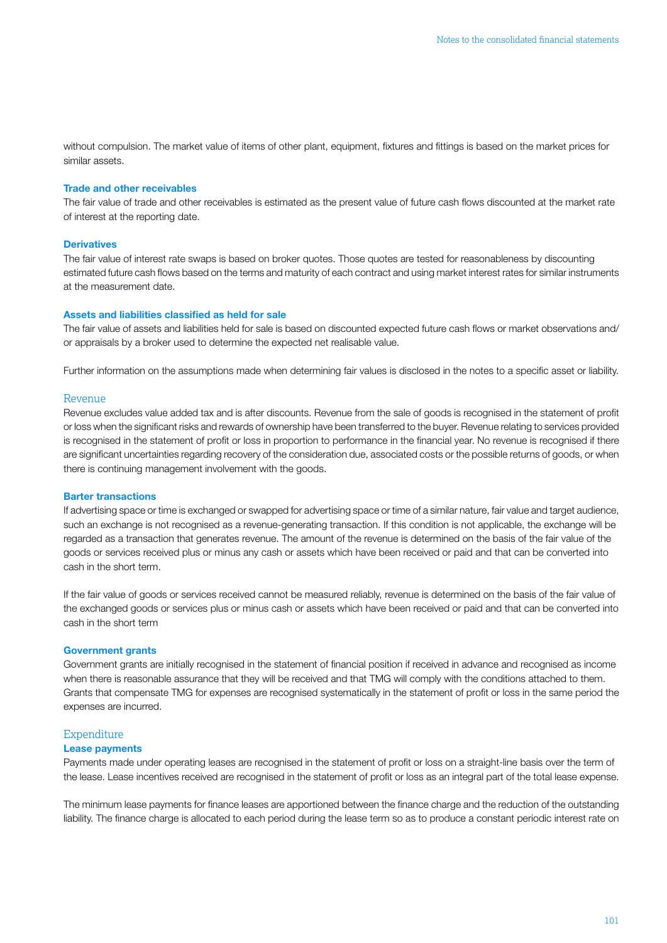without compulsion. The market value of items of other plant, equipment, fixtures and fittings is based on the market prices for similar assets.

### Trade and other receivables

The fair value of trade and other receivables is estimated as the present value of future cash flows discounted at the market rate of interest at the reporting date.

#### **Derivatives**

The fair value of interest rate swaps is based on broker quotes. Those quotes are tested for reasonableness by discounting estimated future cash flows based on the terms and maturity of each contract and using market interest rates for similar instruments at the measurement date.

#### Assets and liabilities classified as held for sale

The fair value of assets and liabilities held for sale is based on discounted expected future cash flows or market observations and/ or appraisals by a broker used to determine the expected net realisable value.

Further information on the assumptions made when determining fair values is disclosed in the notes to a specific asset or liability.

#### Revenue

Revenue excludes value added tax and is after discounts. Revenue from the sale of goods is recognised in the statement of profit or loss when the significant risks and rewards of ownership have been transferred to the buyer. Revenue relating to services provided is recognised in the statement of profit or loss in proportion to performance in the financial year. No revenue is recognised if there are significant uncertainties regarding recovery of the consideration due, associated costs or the possible returns of goods, or when there is continuing management involvement with the goods.

#### Barter transactions

If advertising space or time is exchanged or swapped for advertising space or time of a similar nature, fair value and target audience, such an exchange is not recognised as a revenue-generating transaction. If this condition is not applicable, the exchange will be regarded as a transaction that generates revenue. The amount of the revenue is determined on the basis of the fair value of the goods or services received plus or minus any cash or assets which have been received or paid and that can be converted into cash in the short term.

If the fair value of goods or services received cannot be measured reliably, revenue is determined on the basis of the fair value of the exchanged goods or services plus or minus cash or assets which have been received or paid and that can be converted into cash in the short term

#### Government grants

Government grants are initially recognised in the statement of financial position if received in advance and recognised as income when there is reasonable assurance that they will be received and that TMG will comply with the conditions attached to them. Grants that compensate TMG for expenses are recognised systematically in the statement of profit or loss in the same period the expenses are incurred.

#### **Expenditure**

#### Lease payments

Payments made under operating leases are recognised in the statement of profit or loss on a straight-line basis over the term of the lease. Lease incentives received are recognised in the statement of profit or loss as an integral part of the total lease expense.

The minimum lease payments for finance leases are apportioned between the finance charge and the reduction of the outstanding liability. The finance charge is allocated to each period during the lease term so as to produce a constant periodic interest rate on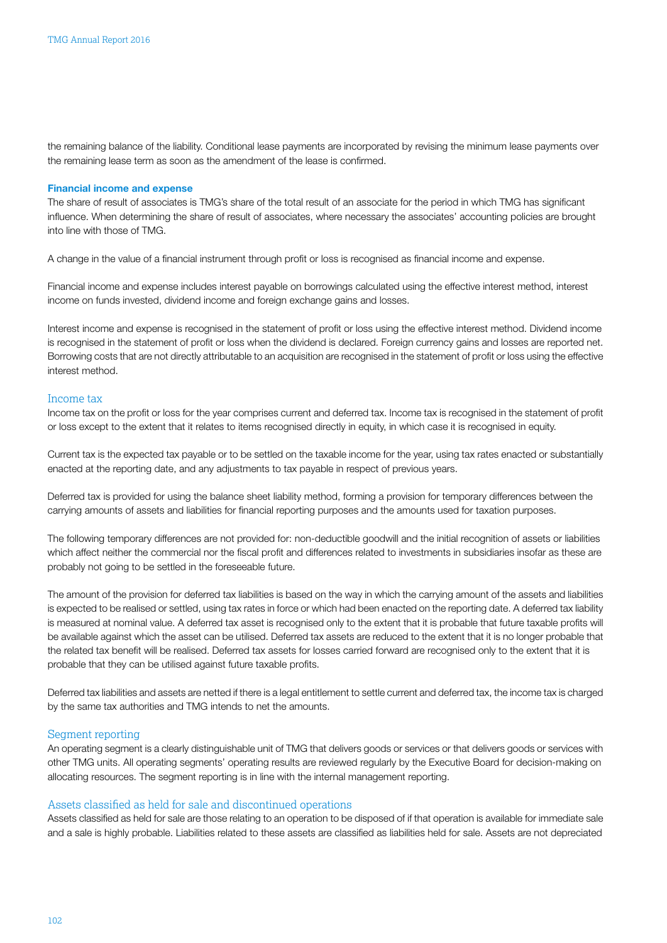the remaining balance of the liability. Conditional lease payments are incorporated by revising the minimum lease payments over the remaining lease term as soon as the amendment of the lease is confirmed.

### Financial income and expense

The share of result of associates is TMG's share of the total result of an associate for the period in which TMG has significant influence. When determining the share of result of associates, where necessary the associates' accounting policies are brought into line with those of TMG.

A change in the value of a financial instrument through profit or loss is recognised as financial income and expense.

Financial income and expense includes interest payable on borrowings calculated using the effective interest method, interest income on funds invested, dividend income and foreign exchange gains and losses.

Interest income and expense is recognised in the statement of profit or loss using the effective interest method. Dividend income is recognised in the statement of profit or loss when the dividend is declared. Foreign currency gains and losses are reported net. Borrowing costs that are not directly attributable to an acquisition are recognised in the statement of profit or loss using the effective interest method.

### Income tax

Income tax on the profit or loss for the year comprises current and deferred tax. Income tax is recognised in the statement of profit or loss except to the extent that it relates to items recognised directly in equity, in which case it is recognised in equity.

Current tax is the expected tax payable or to be settled on the taxable income for the year, using tax rates enacted or substantially enacted at the reporting date, and any adjustments to tax payable in respect of previous years.

Deferred tax is provided for using the balance sheet liability method, forming a provision for temporary differences between the carrying amounts of assets and liabilities for financial reporting purposes and the amounts used for taxation purposes.

The following temporary differences are not provided for: non-deductible goodwill and the initial recognition of assets or liabilities which affect neither the commercial nor the fiscal profit and differences related to investments in subsidiaries insofar as these are probably not going to be settled in the foreseeable future.

The amount of the provision for deferred tax liabilities is based on the way in which the carrying amount of the assets and liabilities is expected to be realised or settled, using tax rates in force or which had been enacted on the reporting date. A deferred tax liability is measured at nominal value. A deferred tax asset is recognised only to the extent that it is probable that future taxable profits will be available against which the asset can be utilised. Deferred tax assets are reduced to the extent that it is no longer probable that the related tax benefit will be realised. Deferred tax assets for losses carried forward are recognised only to the extent that it is probable that they can be utilised against future taxable profits.

Deferred tax liabilities and assets are netted if there is a legal entitlement to settle current and deferred tax, the income tax is charged by the same tax authorities and TMG intends to net the amounts.

#### Segment reporting

An operating segment is a clearly distinguishable unit of TMG that delivers goods or services or that delivers goods or services with other TMG units. All operating segments' operating results are reviewed regularly by the Executive Board for decision-making on allocating resources. The segment reporting is in line with the internal management reporting.

#### Assets classified as held for sale and discontinued operations

Assets classified as held for sale are those relating to an operation to be disposed of if that operation is available for immediate sale and a sale is highly probable. Liabilities related to these assets are classified as liabilities held for sale. Assets are not depreciated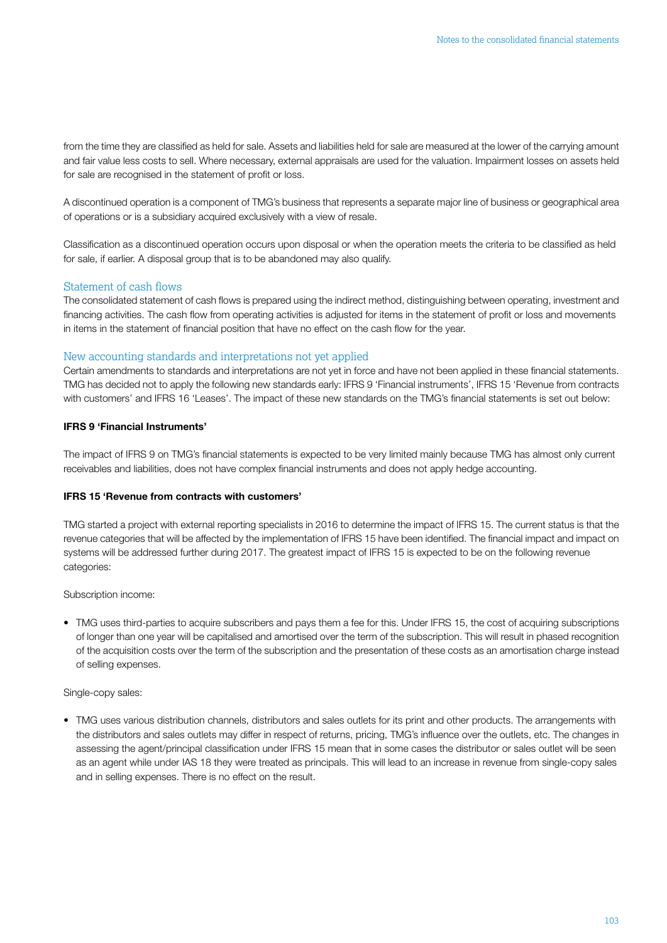from the time they are classified as held for sale. Assets and liabilities held for sale are measured at the lower of the carrying amount and fair value less costs to sell. Where necessary, external appraisals are used for the valuation. Impairment losses on assets held for sale are recognised in the statement of profit or loss.

A discontinued operation is a component of TMG's business that represents a separate major line of business or geographical area of operations or is a subsidiary acquired exclusively with a view of resale.

Classification as a discontinued operation occurs upon disposal or when the operation meets the criteria to be classified as held for sale, if earlier. A disposal group that is to be abandoned may also qualify.

### Statement of cash flows

The consolidated statement of cash flows is prepared using the indirect method, distinguishing between operating, investment and financing activities. The cash flow from operating activities is adjusted for items in the statement of profit or loss and movements in items in the statement of financial position that have no effect on the cash flow for the year.

### New accounting standards and interpretations not yet applied

Certain amendments to standards and interpretations are not yet in force and have not been applied in these financial statements. TMG has decided not to apply the following new standards early: IFRS 9 'Financial instruments', IFRS 15 'Revenue from contracts with customers' and IFRS 16 'Leases'. The impact of these new standards on the TMG's financial statements is set out below:

### IFRS 9 'Financial Instruments'

The impact of IFRS 9 on TMG's financial statements is expected to be very limited mainly because TMG has almost only current receivables and liabilities, does not have complex financial instruments and does not apply hedge accounting.

### IFRS 15 'Revenue from contracts with customers'

TMG started a project with external reporting specialists in 2016 to determine the impact of IFRS 15. The current status is that the revenue categories that will be affected by the implementation of IFRS 15 have been identified. The financial impact and impact on systems will be addressed further during 2017. The greatest impact of IFRS 15 is expected to be on the following revenue categories:

Subscription income:

• TMG uses third-parties to acquire subscribers and pays them a fee for this. Under IFRS 15, the cost of acquiring subscriptions of longer than one year will be capitalised and amortised over the term of the subscription. This will result in phased recognition of the acquisition costs over the term of the subscription and the presentation of these costs as an amortisation charge instead of selling expenses.

### Single-copy sales:

• TMG uses various distribution channels, distributors and sales outlets for its print and other products. The arrangements with the distributors and sales outlets may differ in respect of returns, pricing, TMG's influence over the outlets, etc. The changes in assessing the agent/principal classification under IFRS 15 mean that in some cases the distributor or sales outlet will be seen as an agent while under IAS 18 they were treated as principals. This will lead to an increase in revenue from single-copy sales and in selling expenses. There is no effect on the result.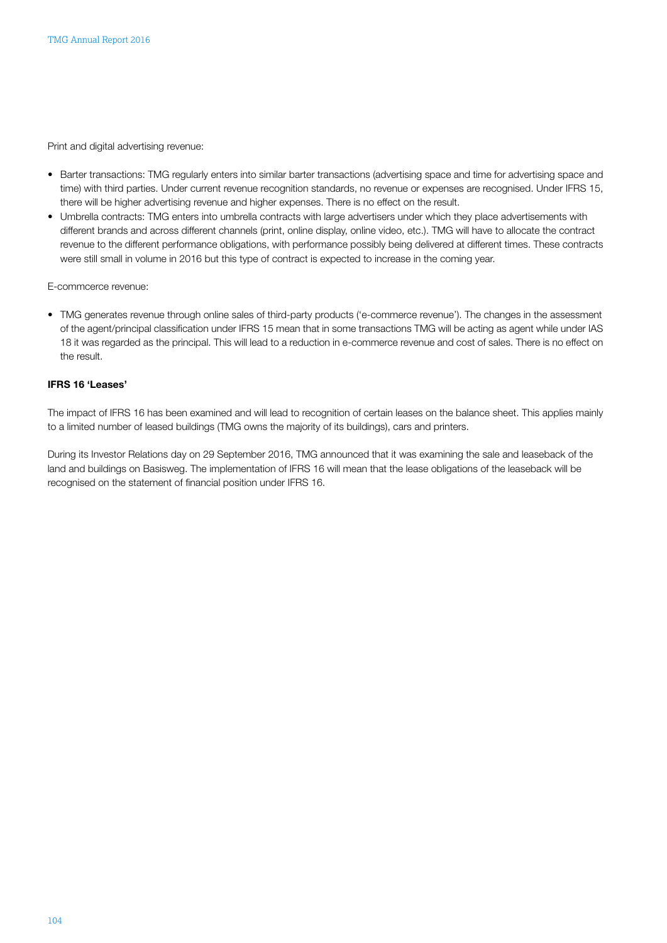Print and digital advertising revenue:

- Barter transactions: TMG regularly enters into similar barter transactions (advertising space and time for advertising space and time) with third parties. Under current revenue recognition standards, no revenue or expenses are recognised. Under IFRS 15, there will be higher advertising revenue and higher expenses. There is no effect on the result.
- Umbrella contracts: TMG enters into umbrella contracts with large advertisers under which they place advertisements with different brands and across different channels (print, online display, online video, etc.). TMG will have to allocate the contract revenue to the different performance obligations, with performance possibly being delivered at different times. These contracts were still small in volume in 2016 but this type of contract is expected to increase in the coming year.

E-commcerce revenue:

• TMG generates revenue through online sales of third-party products ('e-commerce revenue'). The changes in the assessment of the agent/principal classification under IFRS 15 mean that in some transactions TMG will be acting as agent while under IAS 18 it was regarded as the principal. This will lead to a reduction in e-commerce revenue and cost of sales. There is no effect on the result.

### IFRS 16 'Leases'

The impact of IFRS 16 has been examined and will lead to recognition of certain leases on the balance sheet. This applies mainly to a limited number of leased buildings (TMG owns the majority of its buildings), cars and printers.

During its Investor Relations day on 29 September 2016, TMG announced that it was examining the sale and leaseback of the land and buildings on Basisweg. The implementation of IFRS 16 will mean that the lease obligations of the leaseback will be recognised on the statement of financial position under IFRS 16.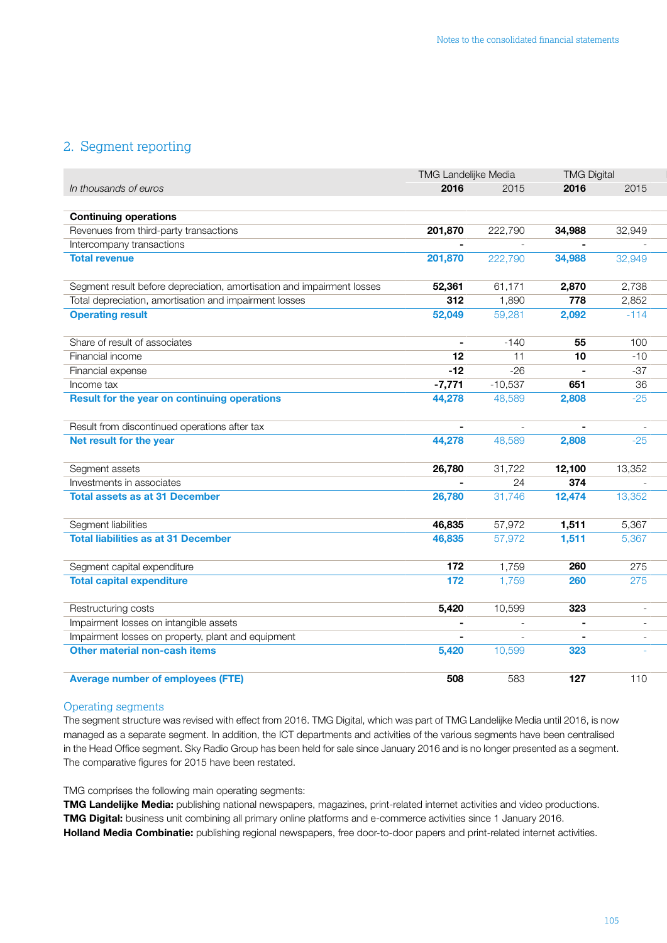### <span id="page-19-0"></span>2. Segment reporting

|                                                                        | TMG Landelijke Media |                  | <b>TMG Digital</b> |                |
|------------------------------------------------------------------------|----------------------|------------------|--------------------|----------------|
| In thousands of euros                                                  | 2016                 | 2015             | 2016               | 2015           |
|                                                                        |                      |                  |                    |                |
| <b>Continuing operations</b>                                           |                      |                  |                    |                |
| Revenues from third-party transactions                                 | 201,870              | 222,790          | 34,988             | 32,949         |
| Intercompany transactions                                              | $\blacksquare$       | $\sim$           | $\sim$             | $\overline{a}$ |
| <b>Total revenue</b>                                                   | 201,870              | 222,790          | 34,988             | 32,949         |
|                                                                        |                      |                  |                    |                |
| Segment result before depreciation, amortisation and impairment losses | 52,361               | 61,171           | 2,870              | 2,738          |
| Total depreciation, amortisation and impairment losses                 | 312                  | 1,890            | 778                | 2,852          |
| <b>Operating result</b>                                                | 52,049               | 59,281           | 2,092              | $-114$         |
|                                                                        |                      |                  |                    |                |
| Share of result of associates                                          | $\sim$               | $-140$           | 55                 | 100            |
| Financial income                                                       | 12                   | 11               | 10                 | $-10$          |
| Financial expense                                                      | $-12$                | $-26$            | $\sim$             | $-37$          |
| Income tax                                                             | $-7,771$             | $-10,537$        | 651                | 36             |
| <b>Result for the year on continuing operations</b>                    | 44,278               | 48,589           | 2,808              | $-25$          |
|                                                                        |                      |                  |                    |                |
| Result from discontinued operations after tax                          | $\sim$               |                  | $\blacksquare$     | $\sim$         |
| Net result for the year                                                | 44,278               | $\sim$<br>48,589 | 2,808              | $-25$          |
|                                                                        |                      |                  |                    |                |
|                                                                        |                      |                  |                    |                |
| Segment assets                                                         | 26,780               | 31,722           | 12,100             | 13,352         |
| Investments in associates                                              | $\blacksquare$       | 24               | 374                | $\sim$         |
| <b>Total assets as at 31 December</b>                                  | 26,780               | 31,746           | 12,474             | 13,352         |
|                                                                        |                      |                  |                    |                |
| Segment liabilities                                                    | 46,835               | 57,972           | 1,511              | 5,367          |
| <b>Total liabilities as at 31 December</b>                             | 46,835               | 57,972           | 1,511              | 5,367          |
|                                                                        |                      |                  |                    |                |
| Segment capital expenditure                                            | 172                  | 1,759            | 260                | 275            |
| <b>Total capital expenditure</b>                                       | $\overline{172}$     | 1,759            | 260                | 275            |
|                                                                        |                      |                  |                    |                |
| Restructuring costs                                                    | 5,420                | 10,599           | 323                | $\sim$         |
| Impairment losses on intangible assets                                 | $\sim$               | $\sim$           | $\sim$             | $\sim$         |
| Impairment losses on property, plant and equipment                     | $\sim$               | $\sim$           | $\sim$             | $\sim$         |
| Other material non-cash items                                          | 5,420                | 10,599           | 323                | $\sim$         |
|                                                                        |                      |                  |                    |                |
| <b>Average number of employees (FTE)</b>                               | 508                  | 583              | 127                | 110            |

### Operating segments

The segment structure was revised with effect from 2016. TMG Digital, which was part of TMG Landelijke Media until 2016, is now managed as a separate segment. In addition, the ICT departments and activities of the various segments have been centralised in the Head Office segment. Sky Radio Group has been held for sale since January 2016 and is no longer presented as a segment. The comparative figures for 2015 have been restated.

TMG comprises the following main operating segments:

TMG Landelijke Media: publishing national newspapers, magazines, print-related internet activities and video productions. TMG Digital: business unit combining all primary online platforms and e-commerce activities since 1 January 2016. Holland Media Combinatie: publishing regional newspapers, free door-to-door papers and print-related internet activities.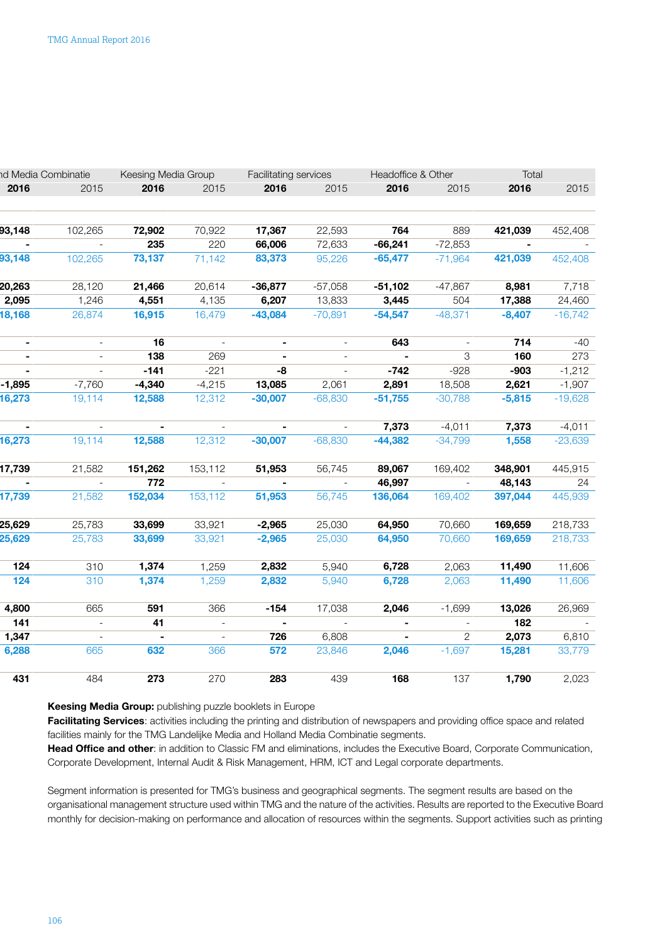| 2016<br>2015<br>2016<br>2016<br>2015<br>2016<br>2015<br>2015<br>2016<br>102,265<br>22,593<br>764<br>889<br>421,039<br>93,148<br>72,902<br>70,922<br>17,367<br>235<br>$-66,241$<br>$-72,853$<br>220<br>66,006<br>72,633<br>$-$<br>$\sim$<br>$-71,964$<br>93,148<br>102,265<br>73,137<br>71,142<br>83,373<br>95,226<br>$-65,477$<br>421,039<br>20,263<br>21,466<br>$-57,058$<br>$-51,102$<br>$-47,867$<br>8,981<br>28,120<br>20,614<br>$-36,877$<br>2,095<br>13,833<br>3,445<br>504<br>17,388<br>1,246<br>4,551<br>4,135<br>6,207<br>18,168<br>$-48,371$<br>16,479<br>$-43,084$<br>$-70,891$<br>$-54,547$<br>$-8,407$<br>26,874<br>16,915<br>16<br>643<br>714<br>$\blacksquare$<br>$\blacksquare$<br>$\sim$<br>$\sim$<br>$\sim$<br>$\sim$<br>160<br>138<br>269<br>3<br>$\sim$<br>$\sim$<br>$\sim$<br>$\overline{a}$<br>$\sim$<br>$-928$<br>$-141$<br>$-221$<br>-8<br>$-742$<br>$-903$<br>$\sim$<br>$\sim$<br>$\overline{a}$ | 2015<br>452,408<br>$\overline{\phantom{a}}$<br>452,408<br>7,718<br>24,460<br>$-16,742$<br>$-40$<br>273<br>$-1,212$ |
|---------------------------------------------------------------------------------------------------------------------------------------------------------------------------------------------------------------------------------------------------------------------------------------------------------------------------------------------------------------------------------------------------------------------------------------------------------------------------------------------------------------------------------------------------------------------------------------------------------------------------------------------------------------------------------------------------------------------------------------------------------------------------------------------------------------------------------------------------------------------------------------------------------------------------|--------------------------------------------------------------------------------------------------------------------|
|                                                                                                                                                                                                                                                                                                                                                                                                                                                                                                                                                                                                                                                                                                                                                                                                                                                                                                                           |                                                                                                                    |
|                                                                                                                                                                                                                                                                                                                                                                                                                                                                                                                                                                                                                                                                                                                                                                                                                                                                                                                           |                                                                                                                    |
|                                                                                                                                                                                                                                                                                                                                                                                                                                                                                                                                                                                                                                                                                                                                                                                                                                                                                                                           |                                                                                                                    |
|                                                                                                                                                                                                                                                                                                                                                                                                                                                                                                                                                                                                                                                                                                                                                                                                                                                                                                                           |                                                                                                                    |
|                                                                                                                                                                                                                                                                                                                                                                                                                                                                                                                                                                                                                                                                                                                                                                                                                                                                                                                           |                                                                                                                    |
|                                                                                                                                                                                                                                                                                                                                                                                                                                                                                                                                                                                                                                                                                                                                                                                                                                                                                                                           |                                                                                                                    |
|                                                                                                                                                                                                                                                                                                                                                                                                                                                                                                                                                                                                                                                                                                                                                                                                                                                                                                                           |                                                                                                                    |
|                                                                                                                                                                                                                                                                                                                                                                                                                                                                                                                                                                                                                                                                                                                                                                                                                                                                                                                           |                                                                                                                    |
|                                                                                                                                                                                                                                                                                                                                                                                                                                                                                                                                                                                                                                                                                                                                                                                                                                                                                                                           |                                                                                                                    |
|                                                                                                                                                                                                                                                                                                                                                                                                                                                                                                                                                                                                                                                                                                                                                                                                                                                                                                                           |                                                                                                                    |
| $-1,895$<br>13,085<br>2,891<br>18,508<br>2,621<br>$-7,760$<br>$-4,340$<br>2,061<br>$-4,215$                                                                                                                                                                                                                                                                                                                                                                                                                                                                                                                                                                                                                                                                                                                                                                                                                               | $-1,907$                                                                                                           |
| $-30,007$<br>$-68,830$<br>$-51,755$<br>$-30,788$<br>$-5,815$<br>16,273<br>19,114<br>12,588<br>12,312                                                                                                                                                                                                                                                                                                                                                                                                                                                                                                                                                                                                                                                                                                                                                                                                                      | $-19,628$                                                                                                          |
| 7,373<br>$-4,011$<br>7,373<br>$\overline{a}$<br>$\sim$<br>$\blacksquare$                                                                                                                                                                                                                                                                                                                                                                                                                                                                                                                                                                                                                                                                                                                                                                                                                                                  | $-4,011$                                                                                                           |
| $-68,830$<br>12,312<br>$-30,007$<br>$-44,382$<br>1,558<br>16,273<br>19,114<br>12,588<br>$-34,799$                                                                                                                                                                                                                                                                                                                                                                                                                                                                                                                                                                                                                                                                                                                                                                                                                         | $-23,639$                                                                                                          |
| 17,739<br>56,745<br>89,067<br>169,402<br>21,582<br>151,262<br>153,112<br>51,953<br>348,901                                                                                                                                                                                                                                                                                                                                                                                                                                                                                                                                                                                                                                                                                                                                                                                                                                | 445,915                                                                                                            |
| 772<br>46,997<br>48,143<br>$\sim$ $ \sim$<br>$\sim$<br>$\overline{\phantom{a}}$                                                                                                                                                                                                                                                                                                                                                                                                                                                                                                                                                                                                                                                                                                                                                                                                                                           | 24                                                                                                                 |
| 17,739<br>56,745<br>21,582<br>152,034<br>153,112<br>51,953<br>136,064<br>169,402<br>397,044                                                                                                                                                                                                                                                                                                                                                                                                                                                                                                                                                                                                                                                                                                                                                                                                                               | 445,939                                                                                                            |
| 25,629<br>25,783<br>33,699<br>33,921<br>25,030<br>64,950<br>70,660<br>169,659<br>$-2,965$                                                                                                                                                                                                                                                                                                                                                                                                                                                                                                                                                                                                                                                                                                                                                                                                                                 | 218,733                                                                                                            |
| 25,629<br>25,030<br>64,950<br>70,660<br>169,659<br>25,783<br>33,699<br>33,921<br>$-2,965$                                                                                                                                                                                                                                                                                                                                                                                                                                                                                                                                                                                                                                                                                                                                                                                                                                 | 218,733                                                                                                            |
| 124<br>2,832<br>5,940<br>6,728<br>2,063<br>11,490<br>310<br>1,374<br>1,259                                                                                                                                                                                                                                                                                                                                                                                                                                                                                                                                                                                                                                                                                                                                                                                                                                                | 11,606                                                                                                             |
| $\overline{124}$<br>310<br>1,259<br>2,832<br>5,940<br>6,728<br>2,063<br>11,490<br>1,374                                                                                                                                                                                                                                                                                                                                                                                                                                                                                                                                                                                                                                                                                                                                                                                                                                   | 11,606                                                                                                             |
| 4,800<br>665<br>17,038<br>2,046<br>$-1,699$<br>13,026<br>591<br>366<br>$-154$                                                                                                                                                                                                                                                                                                                                                                                                                                                                                                                                                                                                                                                                                                                                                                                                                                             | 26,969                                                                                                             |
| 182<br>41<br>141<br>$\sim$<br>$\sim$<br>$\sim$<br>$\blacksquare$<br>$\sim$<br>$\sim$                                                                                                                                                                                                                                                                                                                                                                                                                                                                                                                                                                                                                                                                                                                                                                                                                                      | $\sim$                                                                                                             |
| 2,073<br>1,347<br>6,808<br>$\overline{2}$<br>726<br>$\sim$<br>$\blacksquare$<br>$\sim$<br>$\sim$                                                                                                                                                                                                                                                                                                                                                                                                                                                                                                                                                                                                                                                                                                                                                                                                                          | 6,810                                                                                                              |
| 23,846<br>2,046<br>$-1,697$<br>6,288<br>665<br>632<br>572<br>15,281<br>366                                                                                                                                                                                                                                                                                                                                                                                                                                                                                                                                                                                                                                                                                                                                                                                                                                                | 33,779                                                                                                             |
| 137<br>1,790<br>484<br>273<br>270<br>439<br>168<br>431<br>283                                                                                                                                                                                                                                                                                                                                                                                                                                                                                                                                                                                                                                                                                                                                                                                                                                                             | 2,023                                                                                                              |

Keesing Media Group: publishing puzzle booklets in Europe

Facilitating Services: activities including the printing and distribution of newspapers and providing office space and related facilities mainly for the TMG Landelijke Media and Holland Media Combinatie segments.

Head Office and other: in addition to Classic FM and eliminations, includes the Executive Board, Corporate Communication, Corporate Development, Internal Audit & Risk Management, HRM, ICT and Legal corporate departments.

Segment information is presented for TMG's business and geographical segments. The segment results are based on the organisational management structure used within TMG and the nature of the activities. Results are reported to the Executive Board monthly for decision-making on performance and allocation of resources within the segments. Support activities such as printing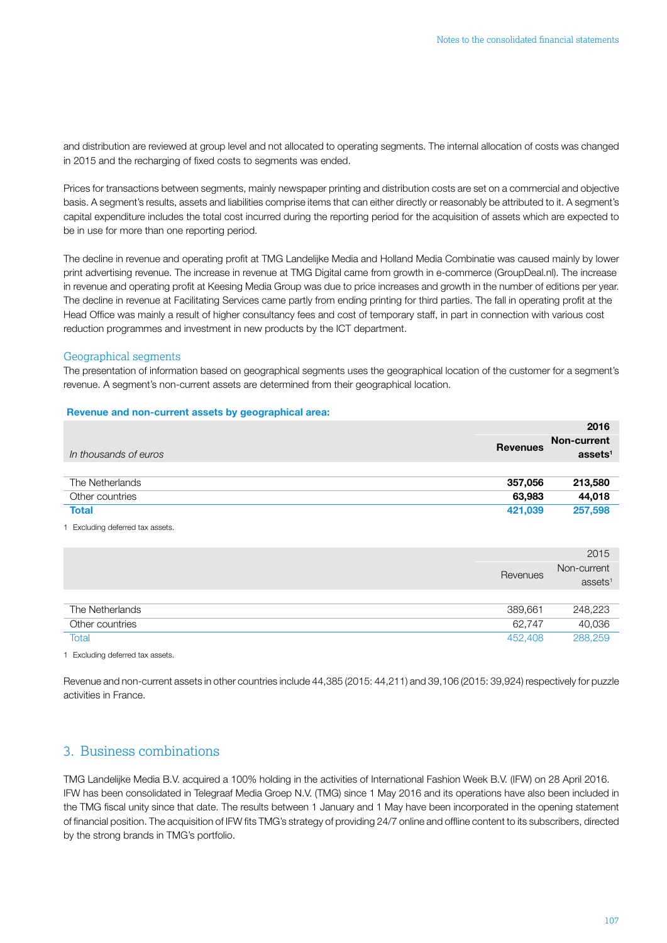<span id="page-21-0"></span>and distribution are reviewed at group level and not allocated to operating segments. The internal allocation of costs was changed in 2015 and the recharging of fixed costs to segments was ended.

Prices for transactions between segments, mainly newspaper printing and distribution costs are set on a commercial and objective basis. A segment's results, assets and liabilities comprise items that can either directly or reasonably be attributed to it. A segment's capital expenditure includes the total cost incurred during the reporting period for the acquisition of assets which are expected to be in use for more than one reporting period.

The decline in revenue and operating profit at TMG Landelijke Media and Holland Media Combinatie was caused mainly by lower print advertising revenue. The increase in revenue at TMG Digital came from growth in e-commerce (GroupDeal.nl). The increase in revenue and operating profit at Keesing Media Group was due to price increases and growth in the number of editions per year. The decline in revenue at Facilitating Services came partly from ending printing for third parties. The fall in operating profit at the Head Office was mainly a result of higher consultancy fees and cost of temporary staff, in part in connection with various cost reduction programmes and investment in new products by the ICT department.

### Geographical segments

The presentation of information based on geographical segments uses the geographical location of the customer for a segment's revenue. A segment's non-current assets are determined from their geographical location.

### Revenue and non-current assets by geographical area:

|                                |                 | 2016                |
|--------------------------------|-----------------|---------------------|
|                                | <b>Revenues</b> | Non-current         |
| In thousands of euros          |                 | assets <sup>1</sup> |
|                                |                 |                     |
| The Netherlands                | 357,056         | 213,580             |
| Other countries                | 63,983          | 44,018              |
| <b>Total</b>                   | 421,039         | 257,598             |
| Excluding deferred tax assets. |                 |                     |

|                 |          | 2015                             |
|-----------------|----------|----------------------------------|
|                 | Revenues | Non-current<br>ases <sup>1</sup> |
|                 |          |                                  |
| The Netherlands | 389,661  | 248,223                          |
| Other countries | 62,747   | 40,036                           |
| Total           | 452,408  | 288,259                          |

1 Excluding deferred tax assets.

Revenue and non-current assets in other countries include 44,385 (2015: 44,211) and 39,106 (2015: 39,924) respectively for puzzle activities in France.

### 3. Business combinations

TMG Landelijke Media B.V. acquired a 100% holding in the activities of International Fashion Week B.V. (IFW) on 28 April 2016. IFW has been consolidated in Telegraaf Media Groep N.V. (TMG) since 1 May 2016 and its operations have also been included in the TMG fiscal unity since that date. The results between 1 January and 1 May have been incorporated in the opening statement of financial position. The acquisition of IFW fits TMG's strategy of providing 24/7 online and offline content to its subscribers, directed by the strong brands in TMG's portfolio.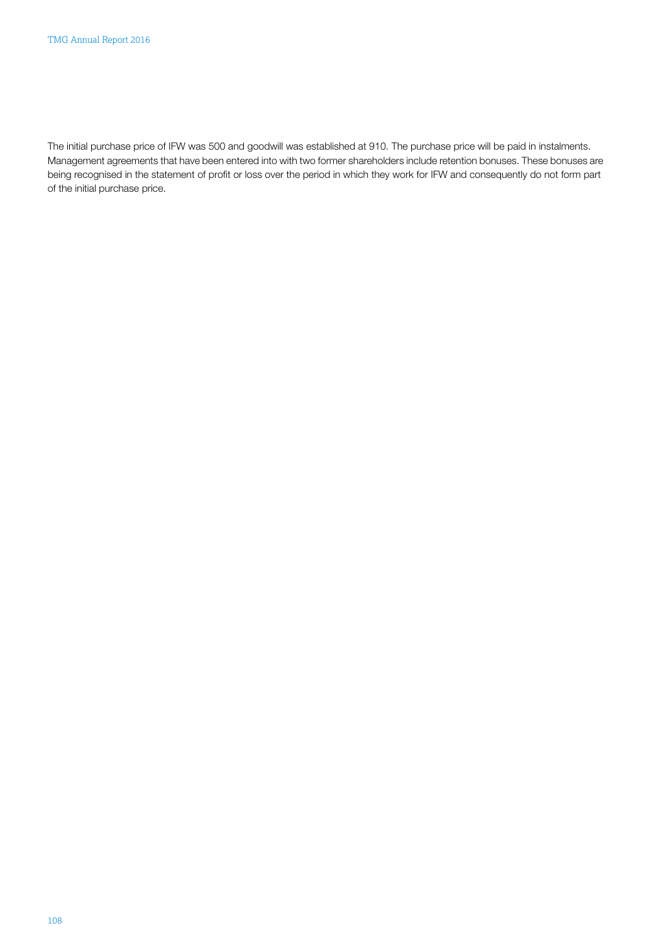The initial purchase price of IFW was 500 and goodwill was established at 910. The purchase price will be paid in instalments. Management agreements that have been entered into with two former shareholders include retention bonuses. These bonuses are being recognised in the statement of profit or loss over the period in which they work for IFW and consequently do not form part of the initial purchase price.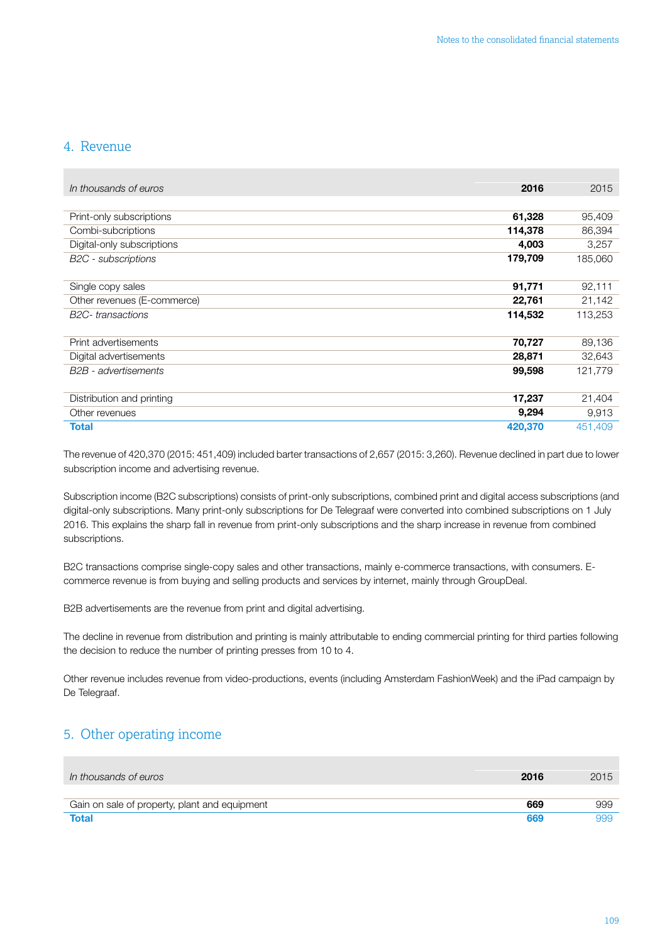### <span id="page-23-0"></span>4. Revenue

| In thousands of euros             | 2016    | 2015    |
|-----------------------------------|---------|---------|
|                                   |         |         |
| Print-only subscriptions          | 61,328  | 95,409  |
| Combi-subcriptions                | 114,378 | 86,394  |
| Digital-only subscriptions        | 4,003   | 3,257   |
| <b>B2C</b> - subscriptions        | 179,709 | 185,060 |
|                                   |         |         |
| Single copy sales                 | 91,771  | 92,111  |
| Other revenues (E-commerce)       | 22,761  | 21,142  |
| B <sub>2</sub> C-transactions     | 114,532 | 113,253 |
|                                   |         |         |
| Print advertisements              | 70,727  | 89,136  |
| Digital advertisements            | 28,871  | 32,643  |
| B <sub>2</sub> B - advertisements | 99,598  | 121,779 |
|                                   |         |         |
| Distribution and printing         | 17,237  | 21,404  |
| Other revenues                    | 9,294   | 9,913   |
| <b>Total</b>                      | 420,370 | 451,409 |

The revenue of 420,370 (2015: 451,409) included barter transactions of 2,657 (2015: 3,260). Revenue declined in part due to lower subscription income and advertising revenue.

Subscription income (B2C subscriptions) consists of print-only subscriptions, combined print and digital access subscriptions (and digital-only subscriptions. Many print-only subscriptions for De Telegraaf were converted into combined subscriptions on 1 July 2016. This explains the sharp fall in revenue from print-only subscriptions and the sharp increase in revenue from combined subscriptions.

B2C transactions comprise single-copy sales and other transactions, mainly e-commerce transactions, with consumers. Ecommerce revenue is from buying and selling products and services by internet, mainly through GroupDeal.

B2B advertisements are the revenue from print and digital advertising.

The decline in revenue from distribution and printing is mainly attributable to ending commercial printing for third parties following the decision to reduce the number of printing presses from 10 to 4.

Other revenue includes revenue from video-productions, events (including Amsterdam FashionWeek) and the iPad campaign by De Telegraaf.

### 5. Other operating income

| In thousands of euros                         | 2016 | 2015 |
|-----------------------------------------------|------|------|
|                                               |      |      |
| Gain on sale of property, plant and equipment | 669  | 999  |
| <b>Total</b>                                  | 669  |      |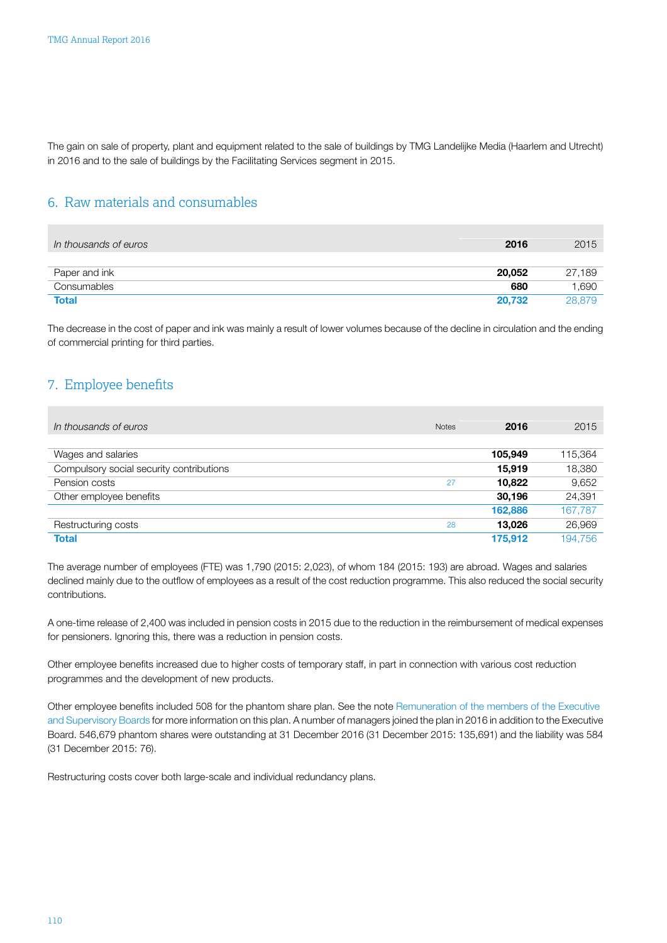<span id="page-24-0"></span>The gain on sale of property, plant and equipment related to the sale of buildings by TMG Landelijke Media (Haarlem and Utrecht) in 2016 and to the sale of buildings by the Facilitating Services segment in 2015.

### 6. Raw materials and consumables

| In thousands of euros | 2016   | 2015   |
|-----------------------|--------|--------|
|                       |        |        |
| Paper and ink         | 20,052 | 27,189 |
| Consumables           | 680    | 1,690  |
| <b>Total</b>          | 20.732 | 28.879 |

The decrease in the cost of paper and ink was mainly a result of lower volumes because of the decline in circulation and the ending of commercial printing for third parties.

### 7. Employee benefits

| In thousands of euros                    | <b>Notes</b> | 2016    | 2015    |
|------------------------------------------|--------------|---------|---------|
|                                          |              |         |         |
| Wages and salaries                       |              | 105,949 | 115,364 |
| Compulsory social security contributions |              | 15.919  | 18,380  |
| Pension costs                            | 27           | 10.822  | 9,652   |
| Other employee benefits                  |              | 30,196  | 24,391  |
|                                          |              | 162,886 | 167,787 |
| Restructuring costs                      | 28           | 13.026  | 26,969  |
| <b>Total</b>                             |              | 175,912 | 194.756 |

The average number of employees (FTE) was 1,790 (2015: 2,023), of whom 184 (2015: 193) are abroad. Wages and salaries declined mainly due to the outflow of employees as a result of the cost reduction programme. This also reduced the social security contributions.

A one-time release of 2,400 was included in pension costs in 2015 due to the reduction in the reimbursement of medical expenses for pensioners. Ignoring this, there was a reduction in pension costs.

Other employee benefits increased due to higher costs of temporary staff, in part in connection with various cost reduction programmes and the development of new products.

Other employee benefits included 508 for the phantom share plan. See the note [Remuneration of the members of the Executive](#page-61-0) and [Supervisory](#page-61-0) Boards for more information on this plan. A number of managers joined the plan in 2016 in addition to the Executive Board. 546,679 phantom shares were outstanding at 31 December 2016 (31 December 2015: 135,691) and the liability was 584 (31 December 2015: 76).

Restructuring costs cover both large-scale and individual redundancy plans.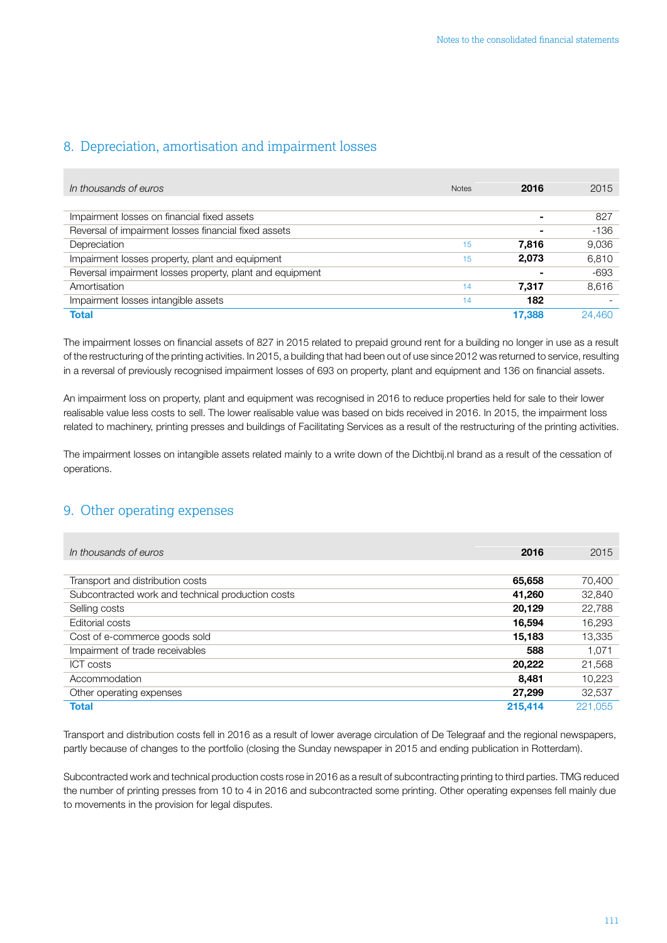### <span id="page-25-0"></span>8. Depreciation, amortisation and impairment losses

| In thousands of euros                                    | <b>Notes</b> | 2016   | 2015   |
|----------------------------------------------------------|--------------|--------|--------|
|                                                          |              |        |        |
| Impairment losses on financial fixed assets              |              | ۰      | 827    |
| Reversal of impairment losses financial fixed assets     |              |        | $-136$ |
| Depreciation                                             | 15           | 7,816  | 9,036  |
| Impairment losses property, plant and equipment          | 15           | 2,073  | 6,810  |
| Reversal impairment losses property, plant and equipment |              |        | $-693$ |
| Amortisation                                             | 14           | 7.317  | 8,616  |
| Impairment losses intangible assets                      | 14           | 182    |        |
| <b>Total</b>                                             |              | 17.388 | 24.460 |

The impairment losses on financial assets of 827 in 2015 related to prepaid ground rent for a building no longer in use as a result of the restructuring of the printing activities. In 2015, a building that had been out of use since 2012 was returned to service, resulting in a reversal of previously recognised impairment losses of 693 on property, plant and equipment and 136 on financial assets.

An impairment loss on property, plant and equipment was recognised in 2016 to reduce properties held for sale to their lower realisable value less costs to sell. The lower realisable value was based on bids received in 2016. In 2015, the impairment loss related to machinery, printing presses and buildings of Facilitating Services as a result of the restructuring of the printing activities.

The impairment losses on intangible assets related mainly to a write down of the Dichtbij.nl brand as a result of the cessation of operations.

### 9. Other operating expenses

| In thousands of euros                             | 2016    | 2015    |
|---------------------------------------------------|---------|---------|
|                                                   |         |         |
| Transport and distribution costs                  | 65,658  | 70,400  |
| Subcontracted work and technical production costs | 41.260  | 32,840  |
| Selling costs                                     | 20,129  | 22,788  |
| Editorial costs                                   | 16,594  | 16,293  |
| Cost of e-commerce goods sold                     | 15,183  | 13,335  |
| Impairment of trade receivables                   | 588     | 1.071   |
| ICT costs                                         | 20,222  | 21,568  |
| Accommodation                                     | 8.481   | 10.223  |
| Other operating expenses                          | 27,299  | 32,537  |
| <b>Total</b>                                      | 215.414 | 221.055 |

Transport and distribution costs fell in 2016 as a result of lower average circulation of De Telegraaf and the regional newspapers, partly because of changes to the portfolio (closing the Sunday newspaper in 2015 and ending publication in Rotterdam).

Subcontracted work and technical production costs rose in 2016 as a result of subcontracting printing to third parties. TMG reduced the number of printing presses from 10 to 4 in 2016 and subcontracted some printing. Other operating expenses fell mainly due to movements in the provision for legal disputes.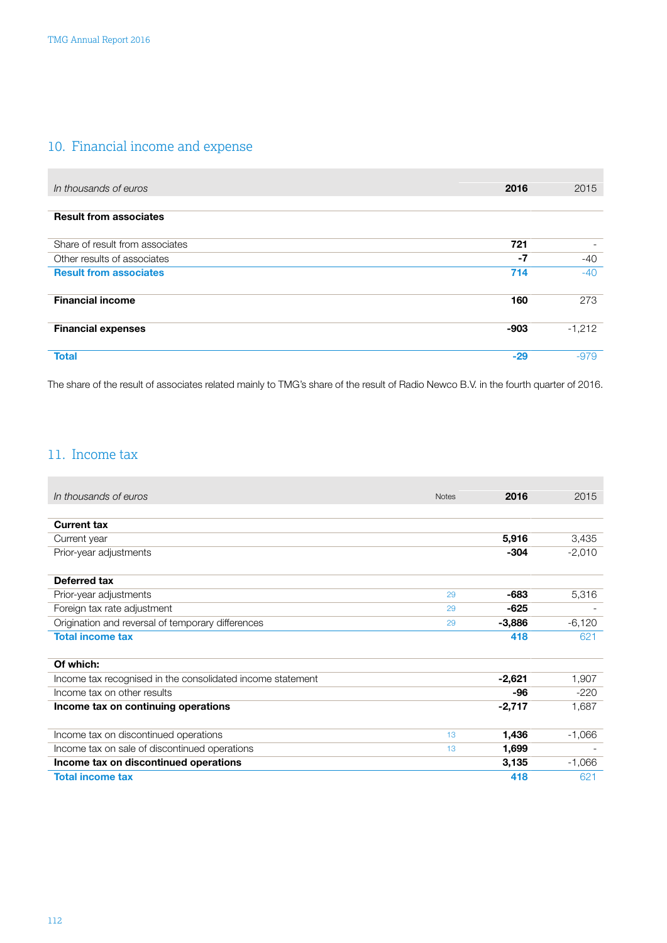## <span id="page-26-0"></span>10. Financial income and expense

| In thousands of euros           | 2016   | 2015     |
|---------------------------------|--------|----------|
|                                 |        |          |
| <b>Result from associates</b>   |        |          |
|                                 |        |          |
| Share of result from associates | 721    |          |
| Other results of associates     | -7     | $-40$    |
| <b>Result from associates</b>   | 714    | $-40$    |
|                                 |        |          |
| <b>Financial income</b>         | 160    | 273      |
|                                 |        |          |
| <b>Financial expenses</b>       | $-903$ | $-1,212$ |
|                                 |        |          |
| <b>Total</b>                    | $-29$  | $-979$   |

The share of the result of associates related mainly to TMG's share of the result of Radio Newco B.V. in the fourth quarter of 2016.

### 11. Income tax

| In thousands of euros                                      | <b>Notes</b> | 2016     | 2015     |
|------------------------------------------------------------|--------------|----------|----------|
|                                                            |              |          |          |
| <b>Current tax</b>                                         |              |          |          |
| Current year                                               |              | 5,916    | 3,435    |
| Prior-year adjustments                                     |              | $-304$   | $-2,010$ |
| Deferred tax                                               |              |          |          |
| Prior-year adjustments                                     | 29           | -683     | 5,316    |
| Foreign tax rate adjustment                                | 29           | -625     |          |
| Origination and reversal of temporary differences          | 29           | $-3,886$ | $-6,120$ |
|                                                            |              |          |          |
| <b>Total income tax</b>                                    |              | 418      | 621      |
| Of which:                                                  |              |          |          |
| Income tax recognised in the consolidated income statement |              | $-2,621$ | 1,907    |
| Income tax on other results                                |              | -96      | $-220$   |
| Income tax on continuing operations                        |              | $-2,717$ | 1,687    |
|                                                            |              |          |          |
| Income tax on discontinued operations                      | 13           | 1,436    | $-1,066$ |
| Income tax on sale of discontinued operations              | 13           | 1,699    |          |
| Income tax on discontinued operations                      |              | 3,135    | $-1,066$ |
| <b>Total income tax</b>                                    |              | 418      | 621      |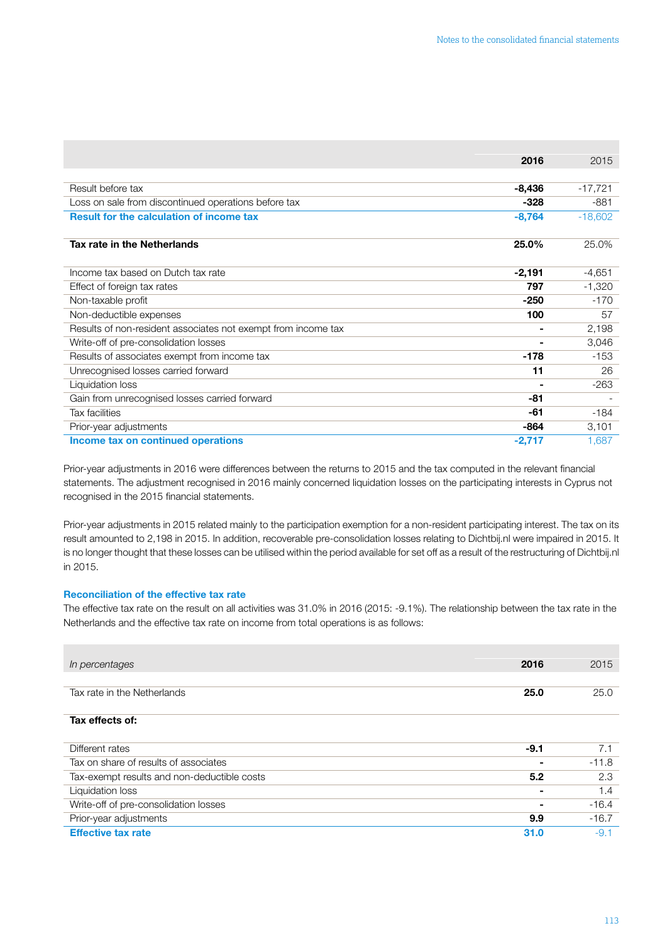|                                                               | 2016           | 2015      |
|---------------------------------------------------------------|----------------|-----------|
|                                                               |                |           |
| Result before tax                                             | -8,436         | $-17,721$ |
| Loss on sale from discontinued operations before tax          | $-328$         | -881      |
| <b>Result for the calculation of income tax</b>               | $-8,764$       | $-18,602$ |
|                                                               |                |           |
| Tax rate in the Netherlands                                   | 25.0%          | 25.0%     |
|                                                               |                |           |
| Income tax based on Dutch tax rate                            | $-2,191$       | $-4,651$  |
| Effect of foreign tax rates                                   | 797            | $-1,320$  |
| Non-taxable profit                                            | $-250$         | $-170$    |
| Non-deductible expenses                                       | 100            | 57        |
| Results of non-resident associates not exempt from income tax | ۰              | 2,198     |
| Write-off of pre-consolidation losses                         | $\blacksquare$ | 3,046     |
| Results of associates exempt from income tax                  | -178           | -153      |
| Unrecognised losses carried forward                           | 11             | 26        |
| Liquidation loss                                              |                | $-263$    |
| Gain from unrecognised losses carried forward                 | -81            |           |
| <b>Tax facilities</b>                                         | -61            | -184      |
| Prior-year adjustments                                        | -864           | 3,101     |
| Income tax on continued operations                            | $-2,717$       | 1,687     |

Prior-year adjustments in 2016 were differences between the returns to 2015 and the tax computed in the relevant financial statements. The adjustment recognised in 2016 mainly concerned liquidation losses on the participating interests in Cyprus not recognised in the 2015 financial statements.

Prior-year adjustments in 2015 related mainly to the participation exemption for a non-resident participating interest. The tax on its result amounted to 2,198 in 2015. In addition, recoverable pre-consolidation losses relating to Dichtbij.nl were impaired in 2015. It is no longer thought that these losses can be utilised within the period available for set off as a result of the restructuring of Dichtbij.nl in 2015.

### Reconciliation of the effective tax rate

The effective tax rate on the result on all activities was 31.0% in 2016 (2015: -9.1%). The relationship between the tax rate in the Netherlands and the effective tax rate on income from total operations is as follows:

| In percentages                              | 2016   | 2015    |
|---------------------------------------------|--------|---------|
|                                             |        |         |
| Tax rate in the Netherlands                 | 25.0   | 25.0    |
| Tax effects of:                             |        |         |
| Different rates                             | $-9.1$ | 7.1     |
| Tax on share of results of associates       |        | $-11.8$ |
| Tax-exempt results and non-deductible costs | 5.2    | 2.3     |
| Liquidation loss                            |        | 1.4     |
| Write-off of pre-consolidation losses       |        | $-16.4$ |
| Prior-year adjustments                      | 9.9    | $-16.7$ |
| <b>Effective tax rate</b>                   | 31.0   | $-9.1$  |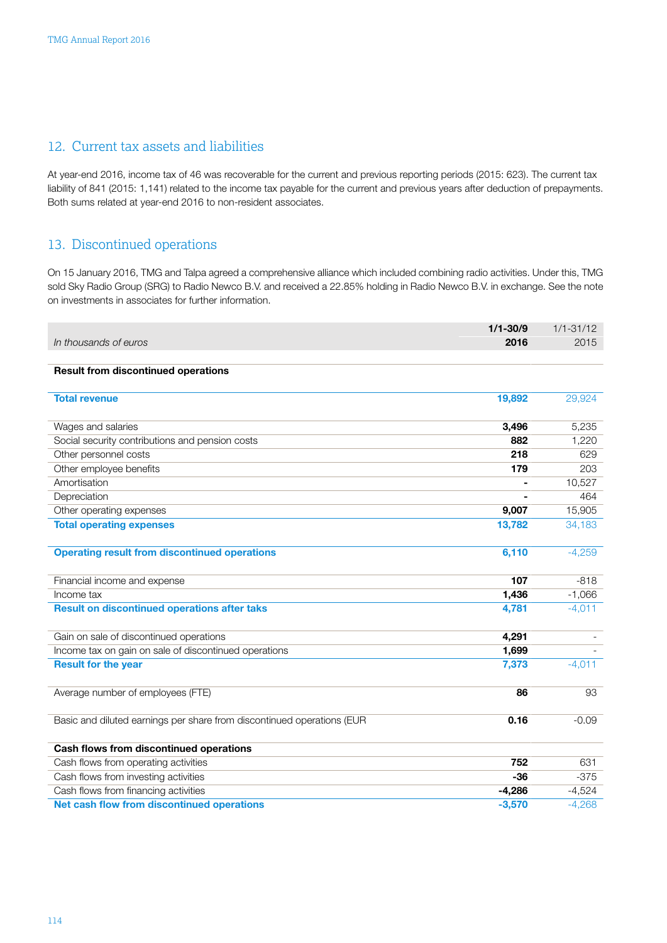### <span id="page-28-0"></span>12. Current tax assets and liabilities

At year-end 2016, income tax of 46 was recoverable for the current and previous reporting periods (2015: 623). The current tax liability of 841 (2015: 1,141) related to the income tax payable for the current and previous years after deduction of prepayments. Both sums related at year-end 2016 to non-resident associates.

### 13. Discontinued operations

On 15 January 2016, TMG and Talpa agreed a comprehensive alliance which included combining radio activities. Under this, TMG sold Sky Radio Group (SRG) to Radio Newco B.V. and received a 22.85% holding in Radio Newco B.V. in exchange. See the note on investments in associates for further information.

|                                                                        | $1/1 - 30/9$ | $1/1 - 31/12$ |
|------------------------------------------------------------------------|--------------|---------------|
| In thousands of euros                                                  | 2016         | 2015          |
|                                                                        |              |               |
| <b>Result from discontinued operations</b>                             |              |               |
| <b>Total revenue</b>                                                   | 19,892       | 29,924        |
|                                                                        |              |               |
| Wages and salaries                                                     | 3,496        | 5,235         |
| Social security contributions and pension costs                        | 882          | 1,220         |
| Other personnel costs                                                  | 218          | 629           |
| Other employee benefits                                                | 179          | 203           |
| Amortisation                                                           |              | 10,527        |
| Depreciation                                                           |              | 464           |
| Other operating expenses                                               | 9,007        | 15,905        |
| <b>Total operating expenses</b>                                        | 13,782       | 34,183        |
|                                                                        |              |               |
| <b>Operating result from discontinued operations</b>                   | 6,110        | $-4,259$      |
| Financial income and expense                                           | 107          | $-818$        |
| Income tax                                                             | 1,436        | $-1,066$      |
| <b>Result on discontinued operations after taks</b>                    | 4,781        | $-4,011$      |
| Gain on sale of discontinued operations                                | 4,291        |               |
| Income tax on gain on sale of discontinued operations                  | 1,699        |               |
| <b>Result for the year</b>                                             | 7,373        | $-4,011$      |
| Average number of employees (FTE)                                      | 86           | 93            |
| Basic and diluted earnings per share from discontinued operations (EUR | 0.16         | $-0.09$       |
|                                                                        |              |               |
| Cash flows from discontinued operations                                |              |               |
| Cash flows from operating activities                                   | 752          | 631           |
| Cash flows from investing activities                                   | $-36$        | $-375$        |
| Cash flows from financing activities                                   | $-4,286$     | $-4,524$      |
| Net cash flow from discontinued operations                             | $-3,570$     | $-4,268$      |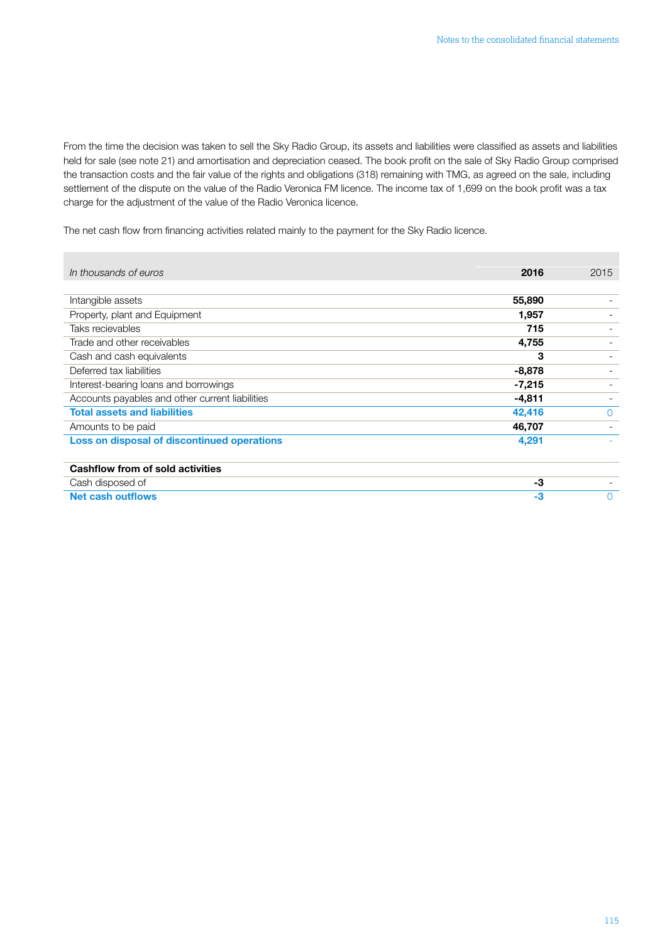From the time the decision was taken to sell the Sky Radio Group, its assets and liabilities were classified as assets and liabilities held for sale (see note 21) and amortisation and depreciation ceased. The book profit on the sale of Sky Radio Group comprised the transaction costs and the fair value of the rights and obligations (318) remaining with TMG, as agreed on the sale, including settlement of the dispute on the value of the Radio Veronica FM licence. The income tax of 1,699 on the book profit was a tax charge for the adjustment of the value of the Radio Veronica licence.

The net cash flow from financing activities related mainly to the payment for the Sky Radio licence.

| In thousands of euros                           | 2016     | 2015     |
|-------------------------------------------------|----------|----------|
|                                                 |          |          |
| Intangible assets                               | 55,890   |          |
| Property, plant and Equipment                   | 1,957    |          |
| Taks recievables                                | 715      |          |
| Trade and other receivables                     | 4,755    |          |
| Cash and cash equivalents                       | 3        |          |
| Deferred tax liabilities                        | -8,878   |          |
| Interest-bearing loans and borrowings           | $-7,215$ |          |
| Accounts payables and other current liabilities | $-4,811$ |          |
| <b>Total assets and liabilities</b>             | 42,416   | $\Omega$ |
| Amounts to be paid                              | 46,707   |          |
| Loss on disposal of discontinued operations     | 4,291    |          |
|                                                 |          |          |
| Cashflow from of sold activities                |          |          |
| Cash disposed of                                | -3       |          |
| <b>Net cash outflows</b>                        | -3       | 0        |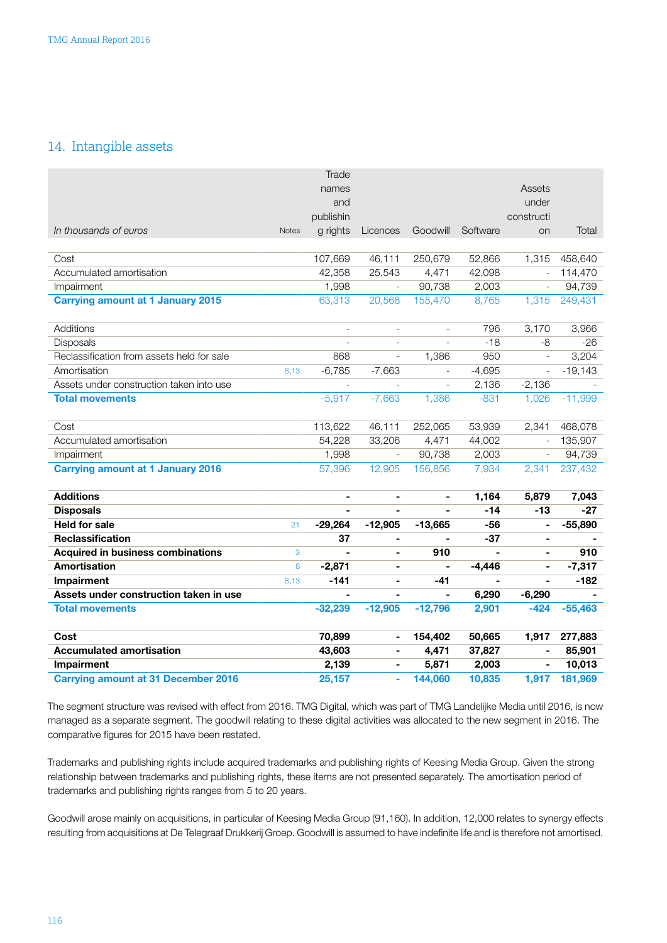### <span id="page-30-0"></span>14. Intangible assets

|                                            |              | Trade                    |                          |                          |                |                          |           |
|--------------------------------------------|--------------|--------------------------|--------------------------|--------------------------|----------------|--------------------------|-----------|
|                                            |              | names                    |                          |                          |                | Assets                   |           |
|                                            |              | and                      |                          |                          |                | under                    |           |
|                                            |              | publishin                |                          |                          |                | constructi               |           |
| In thousands of euros                      | <b>Notes</b> | g rights                 | Licences                 | Goodwill                 | Software       | on                       | Total     |
|                                            |              |                          |                          |                          |                |                          |           |
| Cost                                       |              | 107,669                  | 46,111                   | 250,679                  | 52,866         | 1,315                    | 458,640   |
| Accumulated amortisation                   |              | 42,358                   | 25,543                   | 4,471                    | 42,098         | $\overline{\phantom{a}}$ | 114,470   |
| Impairment                                 |              | 1,998                    | $\overline{\phantom{a}}$ | 90,738                   | 2,003          | $\overline{\phantom{a}}$ | 94,739    |
| <b>Carrying amount at 1 January 2015</b>   |              | 63,313                   | 20,568                   | 155,470                  | 8,765          | 1,315                    | 249,431   |
|                                            |              |                          |                          |                          |                |                          |           |
| Additions                                  |              | $\overline{\phantom{a}}$ | $\overline{\phantom{a}}$ | $\overline{a}$           | 796            | 3,170                    | 3,966     |
| Disposals                                  |              |                          | $\overline{\phantom{a}}$ |                          | $-18$          | -8                       | $-26$     |
| Reclassification from assets held for sale |              | 868                      | $\overline{\phantom{a}}$ | 1,386                    | 950            | $\overline{\phantom{a}}$ | 3,204     |
| Amortisation                               | 8,13         | $-6,785$                 | $-7,663$                 | $\overline{\phantom{a}}$ | $-4,695$       | $\overline{\phantom{a}}$ | $-19,143$ |
| Assets under construction taken into use   |              |                          |                          | $\overline{\phantom{a}}$ | 2,136          | $-2,136$                 |           |
| <b>Total movements</b>                     |              | $-5,917$                 | $-7,663$                 | 1,386                    | $-831$         | 1,026                    | $-11,999$ |
|                                            |              |                          |                          |                          |                |                          |           |
| Cost                                       |              | 113,622                  | 46,111                   | 252,065                  | 53,939         | 2,341                    | 468,078   |
| Accumulated amortisation                   |              | 54,228                   | 33,206                   | 4,471                    | 44,002         | $\overline{\phantom{a}}$ | 135,907   |
| Impairment                                 |              | 1,998                    | $\overline{\phantom{a}}$ | 90,738                   | 2,003          | $\overline{\phantom{a}}$ | 94,739    |
| <b>Carrying amount at 1 January 2016</b>   |              | 57,396                   | 12,905                   | 156,856                  | 7,934          | 2,341                    | 237,432   |
|                                            |              |                          |                          |                          |                |                          |           |
| <b>Additions</b>                           |              | $\blacksquare$           | $\blacksquare$           |                          | 1,164          | 5,879                    | 7,043     |
| <b>Disposals</b>                           |              | $\blacksquare$           | $\blacksquare$           |                          | $-14$          | $-13$                    | $-27$     |
| <b>Held for sale</b>                       | 21           | $-29,264$                | $-12,905$                | $-13,665$                | $-56$          | ä,                       | $-55,890$ |
| <b>Reclassification</b>                    |              | 37                       | $\blacksquare$           |                          | -37            | $\blacksquare$           |           |
| <b>Acquired in business combinations</b>   | 3            |                          | $\blacksquare$           | 910                      | $\blacksquare$ | $\blacksquare$           | 910       |
| Amortisation                               | 8            | $-2,871$                 | $\blacksquare$           | $\blacksquare$           | $-4,446$       | ä,                       | $-7,317$  |
| Impairment                                 | 8,13         | $-141$                   | $\blacksquare$           | -41                      | $\blacksquare$ | $\blacksquare$           | $-182$    |
| Assets under construction taken in use     |              |                          | $\blacksquare$           | $\blacksquare$           | 6,290          | $-6,290$                 |           |
| <b>Total movements</b>                     |              | $-32,239$                | $-12,905$                | $-12,796$                | 2,901          | $-424$                   | $-55,463$ |
| Cost                                       |              | 70,899                   | $\blacksquare$           | 154,402                  | 50,665         | 1,917                    | 277,883   |
| <b>Accumulated amortisation</b>            |              | 43,603                   | $\blacksquare$           | 4,471                    | 37,827         |                          | 85,901    |
| Impairment                                 |              | 2,139                    | $\blacksquare$           | 5,871                    | 2,003          | $\blacksquare$           | 10,013    |
| <b>Carrying amount at 31 December 2016</b> |              | 25,157                   | ä,                       | 144,060                  | 10,835         | 1,917                    | 181,969   |

The segment structure was revised with effect from 2016. TMG Digital, which was part of TMG Landelijke Media until 2016, is now managed as a separate segment. The goodwill relating to these digital activities was allocated to the new segment in 2016. The comparative figures for 2015 have been restated.

Trademarks and publishing rights include acquired trademarks and publishing rights of Keesing Media Group. Given the strong relationship between trademarks and publishing rights, these items are not presented separately. The amortisation period of trademarks and publishing rights ranges from 5 to 20 years.

Goodwill arose mainly on acquisitions, in particular of Keesing Media Group (91,160). In addition, 12,000 relates to synergy effects resulting from acquisitions at De Telegraaf Drukkerij Groep. Goodwill is assumed to have indefinite life and is therefore not amortised.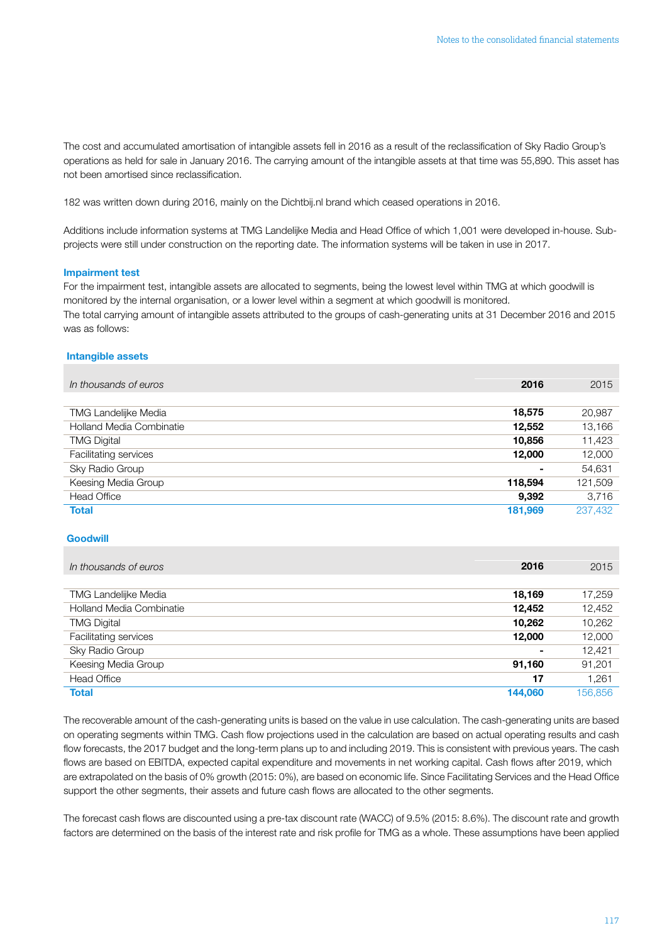The cost and accumulated amortisation of intangible assets fell in 2016 as a result of the reclassification of Sky Radio Group's operations as held for sale in January 2016. The carrying amount of the intangible assets at that time was 55,890. This asset has not been amortised since reclassification.

182 was written down during 2016, mainly on the Dichtbij.nl brand which ceased operations in 2016.

Additions include information systems at TMG Landelijke Media and Head Office of which 1,001 were developed in-house. Subprojects were still under construction on the reporting date. The information systems will be taken in use in 2017.

#### Impairment test

For the impairment test, intangible assets are allocated to segments, being the lowest level within TMG at which goodwill is monitored by the internal organisation, or a lower level within a segment at which goodwill is monitored. The total carrying amount of intangible assets attributed to the groups of cash-generating units at 31 December 2016 and 2015 was as follows:

#### Intangible assets

| In thousands of euros           | 2016           | 2015    |
|---------------------------------|----------------|---------|
|                                 |                |         |
| <b>TMG Landelijke Media</b>     | 18,575         | 20,987  |
| <b>Holland Media Combinatie</b> | 12,552         | 13,166  |
| <b>TMG Digital</b>              | 10,856         | 11,423  |
| Facilitating services           | 12,000         | 12,000  |
| Sky Radio Group                 | $\blacksquare$ | 54,631  |
| Keesing Media Group             | 118,594        | 121,509 |
| <b>Head Office</b>              | 9,392          | 3,716   |
| <b>Total</b>                    | 181,969        | 237,432 |

### **Goodwill**

| In thousands of euros           | 2016    | 2015    |
|---------------------------------|---------|---------|
|                                 |         |         |
| <b>TMG Landelijke Media</b>     | 18,169  | 17,259  |
| <b>Holland Media Combinatie</b> | 12,452  | 12,452  |
| <b>TMG Digital</b>              | 10,262  | 10,262  |
| Facilitating services           | 12,000  | 12,000  |
| Sky Radio Group                 | ۰       | 12,421  |
| Keesing Media Group             | 91,160  | 91,201  |
| <b>Head Office</b>              | 17      | 1,261   |
| <b>Total</b>                    | 144,060 | 156,856 |

The recoverable amount of the cash-generating units is based on the value in use calculation. The cash-generating units are based on operating segments within TMG. Cash flow projections used in the calculation are based on actual operating results and cash flow forecasts, the 2017 budget and the long-term plans up to and including 2019. This is consistent with previous years. The cash flows are based on EBITDA, expected capital expenditure and movements in net working capital. Cash flows after 2019, which are extrapolated on the basis of 0% growth (2015: 0%), are based on economic life. Since Facilitating Services and the Head Office support the other segments, their assets and future cash flows are allocated to the other segments.

The forecast cash flows are discounted using a pre-tax discount rate (WACC) of 9.5% (2015: 8.6%). The discount rate and growth factors are determined on the basis of the interest rate and risk profile for TMG as a whole. These assumptions have been applied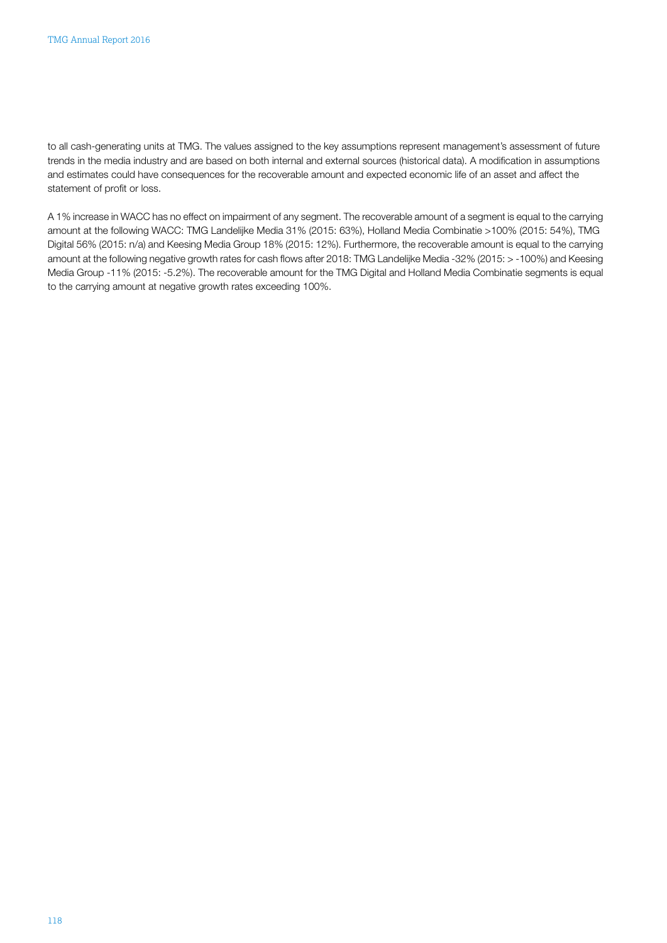to all cash-generating units at TMG. The values assigned to the key assumptions represent management's assessment of future trends in the media industry and are based on both internal and external sources (historical data). A modification in assumptions and estimates could have consequences for the recoverable amount and expected economic life of an asset and affect the statement of profit or loss.

A 1% increase in WACC has no effect on impairment of any segment. The recoverable amount of a segment is equal to the carrying amount at the following WACC: TMG Landelijke Media 31% (2015: 63%), Holland Media Combinatie >100% (2015: 54%), TMG Digital 56% (2015: n/a) and Keesing Media Group 18% (2015: 12%). Furthermore, the recoverable amount is equal to the carrying amount at the following negative growth rates for cash flows after 2018: TMG Landelijke Media -32% (2015: > -100%) and Keesing Media Group -11% (2015: -5.2%). The recoverable amount for the TMG Digital and Holland Media Combinatie segments is equal to the carrying amount at negative growth rates exceeding 100%.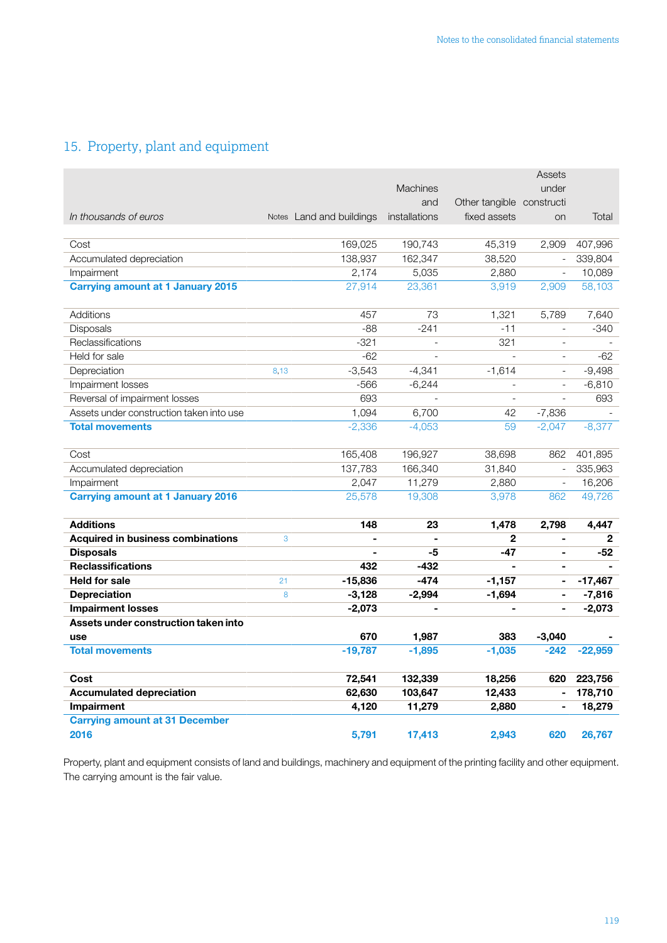## <span id="page-33-0"></span>15. Property, plant and equipment

|                                          |      |                          |                 |                           | Assets                   |              |
|------------------------------------------|------|--------------------------|-----------------|---------------------------|--------------------------|--------------|
|                                          |      |                          | <b>Machines</b> |                           | under                    |              |
|                                          |      |                          | and             | Other tangible constructi |                          |              |
| In thousands of euros                    |      | Notes Land and buildings | installations   | fixed assets              | on                       | Total        |
|                                          |      |                          |                 |                           |                          |              |
| Cost                                     |      | 169,025                  | 190,743         | 45,319                    | 2,909                    | 407,996      |
| Accumulated depreciation                 |      | 138,937                  | 162,347         | 38,520                    | $\overline{\phantom{a}}$ | 339,804      |
| Impairment                               |      | 2,174                    | 5,035           | 2,880                     | $\overline{\phantom{a}}$ | 10,089       |
| <b>Carrying amount at 1 January 2015</b> |      | 27,914                   | 23,361          | 3,919                     | 2,909                    | 58,103       |
|                                          |      |                          |                 |                           |                          |              |
| Additions                                |      | 457                      | 73              | 1,321                     | 5,789                    | 7,640        |
| Disposals                                |      | $-88$                    | $-241$          | $-11$                     |                          | $-340$       |
| Reclassifications                        |      | $-321$                   | L.              | 321                       | $\overline{a}$           |              |
| Held for sale                            |      | $-62$                    |                 | $\overline{a}$            | $\overline{\phantom{a}}$ | $-62$        |
| Depreciation                             | 8,13 | $-3,543$                 | $-4,341$        | $-1,614$                  | $\overline{\phantom{0}}$ | $-9,498$     |
| Impairment losses                        |      | $-566$                   | $-6,244$        | $\overline{\phantom{a}}$  | $\overline{\phantom{a}}$ | $-6,810$     |
| Reversal of impairment losses            |      | 693                      |                 | $\overline{a}$            |                          | 693          |
| Assets under construction taken into use |      | 1,094                    | 6,700           | 42                        | $-7,836$                 |              |
| <b>Total movements</b>                   |      | $-2,336$                 | $-4,053$        | 59                        | $-2,047$                 | $-8,377$     |
|                                          |      |                          |                 |                           |                          |              |
| Cost                                     |      | 165,408                  | 196,927         | 38,698                    | 862                      | 401,895      |
| Accumulated depreciation                 |      | 137,783                  | 166,340         | 31,840                    | $\overline{\phantom{a}}$ | 335,963      |
| Impairment                               |      | 2,047                    | 11,279          | 2,880                     | $\overline{\phantom{a}}$ | 16,206       |
| <b>Carrying amount at 1 January 2016</b> |      | 25,578                   | 19,308          | 3,978                     | 862                      | 49,726       |
|                                          |      |                          |                 |                           |                          |              |
| <b>Additions</b>                         |      | 148                      | 23              | 1,478                     | 2,798                    | 4,447        |
| <b>Acquired in business combinations</b> | 3    |                          |                 | $\mathbf{2}$              | $\blacksquare$           | $\mathbf{2}$ |
| <b>Disposals</b>                         |      |                          | -5              | $-47$                     | ÷.                       | -52          |
| <b>Reclassifications</b>                 |      | 432                      | $-432$          | $\blacksquare$            | $\blacksquare$           |              |
| <b>Held for sale</b>                     | 21   | $-15,836$                | $-474$          | $-1,157$                  | $\blacksquare$           | $-17,467$    |
| <b>Depreciation</b>                      | 8    | $-3,128$                 | $-2,994$        | $-1,694$                  | $\blacksquare$           | $-7,816$     |
| <b>Impairment losses</b>                 |      | $-2,073$                 | $\blacksquare$  | ä,                        | $\blacksquare$           | $-2,073$     |
| Assets under construction taken into     |      |                          |                 |                           |                          |              |
| use                                      |      | 670                      | 1,987           | 383                       | $-3,040$                 |              |
| <b>Total movements</b>                   |      | $-19,787$                | $-1,895$        | $-1,035$                  | $-242$                   | $-22,959$    |
|                                          |      |                          |                 |                           |                          |              |
| Cost                                     |      | 72,541                   | 132,339         | 18,256                    | 620                      | 223,756      |
| <b>Accumulated depreciation</b>          |      | 62,630                   | 103,647         | 12,433                    | $\blacksquare$           | 178,710      |
| Impairment                               |      | 4,120                    | 11,279          | 2,880                     |                          | 18,279       |
| <b>Carrying amount at 31 December</b>    |      |                          |                 |                           |                          |              |
| 2016                                     |      | 5,791                    | 17,413          | 2,943                     | 620                      | 26,767       |

Property, plant and equipment consists of land and buildings, machinery and equipment of the printing facility and other equipment. The carrying amount is the fair value.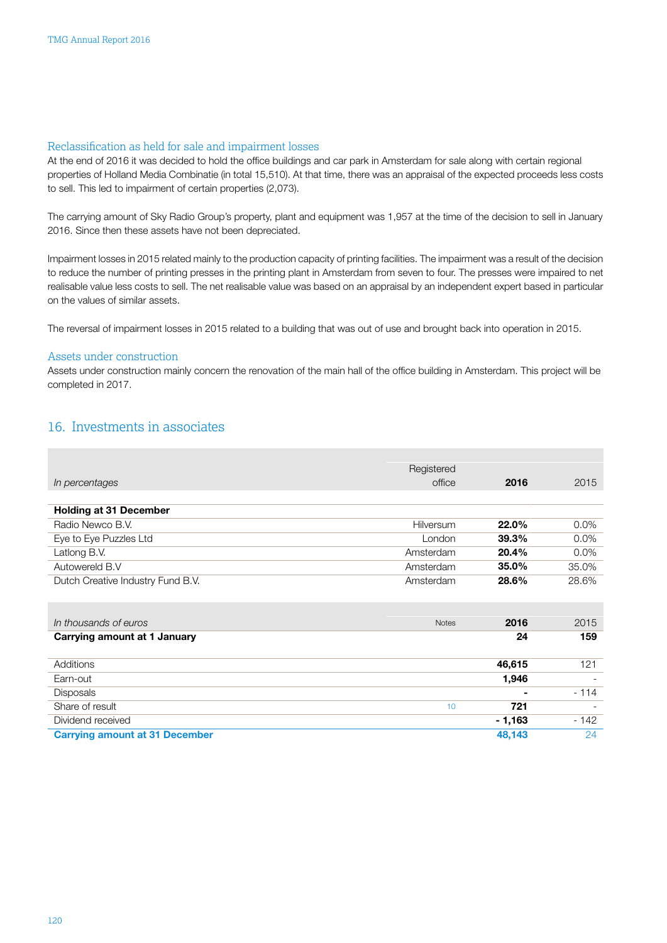### <span id="page-34-0"></span>Reclassification as held for sale and impairment losses

At the end of 2016 it was decided to hold the office buildings and car park in Amsterdam for sale along with certain regional properties of Holland Media Combinatie (in total 15,510). At that time, there was an appraisal of the expected proceeds less costs to sell. This led to impairment of certain properties (2,073).

The carrying amount of Sky Radio Group's property, plant and equipment was 1,957 at the time of the decision to sell in January 2016. Since then these assets have not been depreciated.

Impairment losses in 2015 related mainly to the production capacity of printing facilities. The impairment was a result of the decision to reduce the number of printing presses in the printing plant in Amsterdam from seven to four. The presses were impaired to net realisable value less costs to sell. The net realisable value was based on an appraisal by an independent expert based in particular on the values of similar assets.

The reversal of impairment losses in 2015 related to a building that was out of use and brought back into operation in 2015.

### Assets under construction

Assets under construction mainly concern the renovation of the main hall of the office building in Amsterdam. This project will be completed in 2017.

### 16. Investments in associates

|                                       | Registered   |         |         |
|---------------------------------------|--------------|---------|---------|
| In percentages                        | office       | 2016    | 2015    |
|                                       |              |         |         |
| <b>Holding at 31 December</b>         |              |         |         |
| Radio Newco B.V.                      | Hilversum    | 22.0%   | $0.0\%$ |
| Eye to Eye Puzzles Ltd                | London       | 39.3%   | 0.0%    |
| Latlong B.V.                          | Amsterdam    | 20.4%   | $0.0\%$ |
| Autowereld B.V                        | Amsterdam    | 35.0%   | 35.0%   |
| Dutch Creative Industry Fund B.V.     | Amsterdam    | 28.6%   | 28.6%   |
|                                       |              |         |         |
|                                       |              |         |         |
| In thousands of euros                 | <b>Notes</b> | 2016    | 2015    |
| Carrying amount at 1 January          |              | 24      | 159     |
|                                       |              |         |         |
| Additions                             |              | 46,615  | 121     |
| Earn-out                              |              | 1,946   |         |
| Disposals                             |              |         | $-114$  |
|                                       |              |         |         |
| Share of result                       | 10           | 721     |         |
| Dividend received                     |              | - 1,163 | $-142$  |
| <b>Carrying amount at 31 December</b> |              | 48,143  | 24      |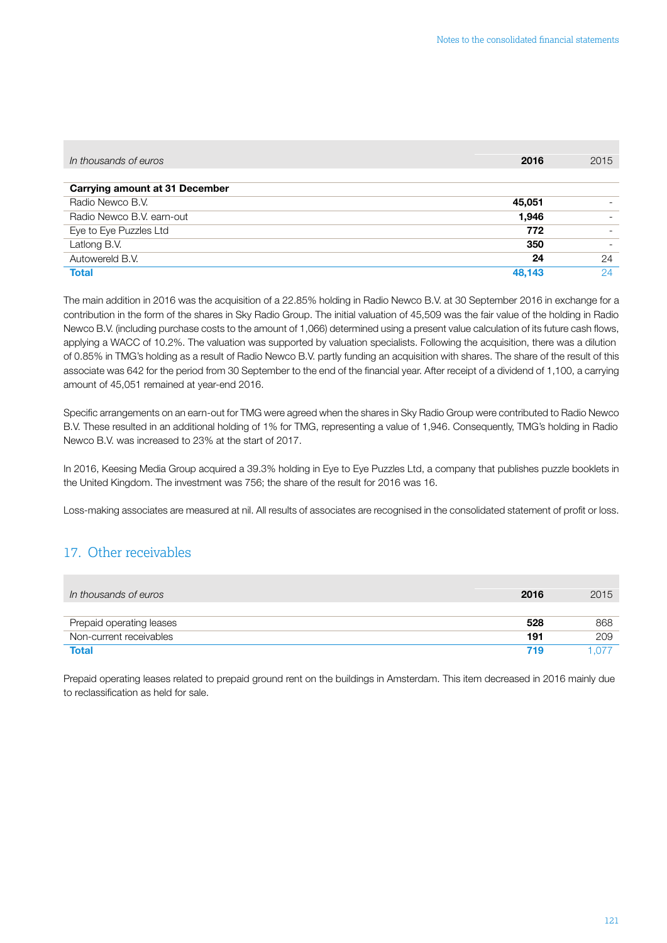<span id="page-35-0"></span>

| In thousands of euros                 | 2016   | 2015 |
|---------------------------------------|--------|------|
|                                       |        |      |
| <b>Carrying amount at 31 December</b> |        |      |
| Radio Newco B.V.                      | 45,051 |      |
| Radio Newco B.V. earn-out             | 1,946  |      |
| Eye to Eye Puzzles Ltd                | 772    |      |
| Latlong B.V.                          | 350    |      |
| Autowereld B.V.                       | 24     | 24   |
| <b>Total</b>                          | 48.143 | 24   |

The main addition in 2016 was the acquisition of a 22.85% holding in Radio Newco B.V. at 30 September 2016 in exchange for a contribution in the form of the shares in Sky Radio Group. The initial valuation of 45,509 was the fair value of the holding in Radio Newco B.V. (including purchase costs to the amount of 1,066) determined using a present value calculation of its future cash flows, applying a WACC of 10.2%. The valuation was supported by valuation specialists. Following the acquisition, there was a dilution of 0.85% in TMG's holding as a result of Radio Newco B.V. partly funding an acquisition with shares. The share of the result of this associate was 642 for the period from 30 September to the end of the financial year. After receipt of a dividend of 1,100, a carrying amount of 45,051 remained at year-end 2016.

Specific arrangements on an earn-out for TMG were agreed when the shares in Sky Radio Group were contributed to Radio Newco B.V. These resulted in an additional holding of 1% for TMG, representing a value of 1,946. Consequently, TMG's holding in Radio Newco B.V. was increased to 23% at the start of 2017.

In 2016, Keesing Media Group acquired a 39.3% holding in Eye to Eye Puzzles Ltd, a company that publishes puzzle booklets in the United Kingdom. The investment was 756; the share of the result for 2016 was 16.

Loss-making associates are measured at nil. All results of associates are recognised in the consolidated statement of profit or loss.

### 17. Other receivables

| In thousands of euros    | 2016 | 2015 |
|--------------------------|------|------|
| Prepaid operating leases | 528  | 868  |
| Non-current receivables  | 191  | 209  |
| <b>Total</b>             | 719  | -077 |

Prepaid operating leases related to prepaid ground rent on the buildings in Amsterdam. This item decreased in 2016 mainly due to reclassification as held for sale.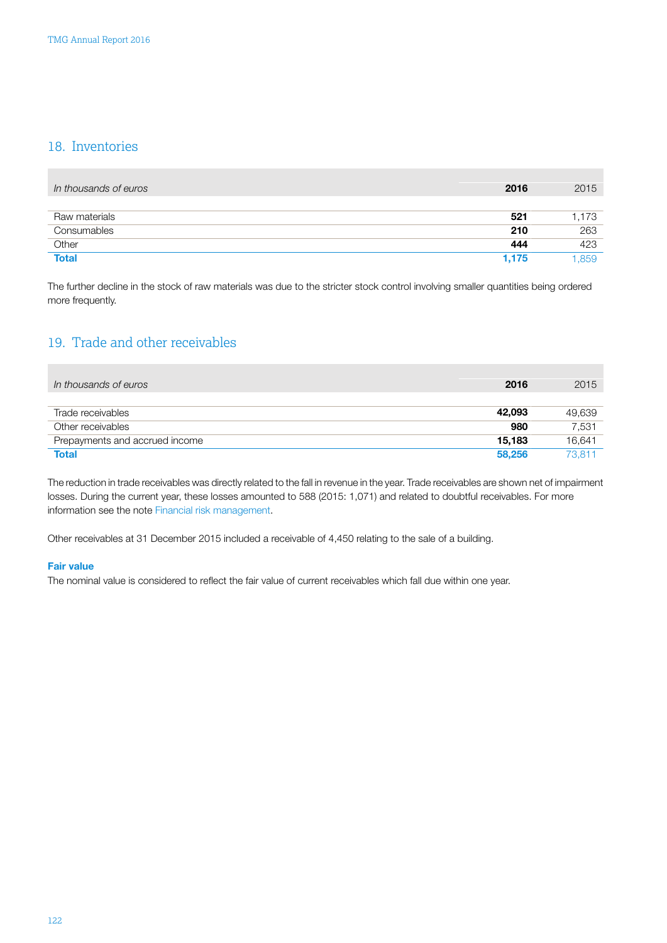### <span id="page-36-0"></span>18. Inventories

| In thousands of euros | 2016  | 2015  |
|-----------------------|-------|-------|
| Raw materials         | 521   | 1,173 |
| Consumables           | 210   | 263   |
| Other                 | 444   | 423   |
| <b>Total</b>          | 1,175 | 1.859 |

The further decline in the stock of raw materials was due to the stricter stock control involving smaller quantities being ordered more frequently.

### 19. Trade and other receivables

| In thousands of euros          | 2016   | 2015   |
|--------------------------------|--------|--------|
|                                |        |        |
| Trade receivables              | 42,093 | 49,639 |
| Other receivables              | 980    | 7,531  |
| Prepayments and accrued income | 15.183 | 16.641 |
| <b>Total</b>                   | 58,256 | 73.811 |

The reduction in trade receivables was directly related to the fall in revenue in the year. Trade receivables are shown net of impairment losses. During the current year, these losses amounted to 588 (2015: 1,071) and related to doubtful receivables. For more information see the note [Financial risk management](#page-49-0).

Other receivables at 31 December 2015 included a receivable of 4,450 relating to the sale of a building.

### Fair value

The nominal value is considered to reflect the fair value of current receivables which fall due within one year.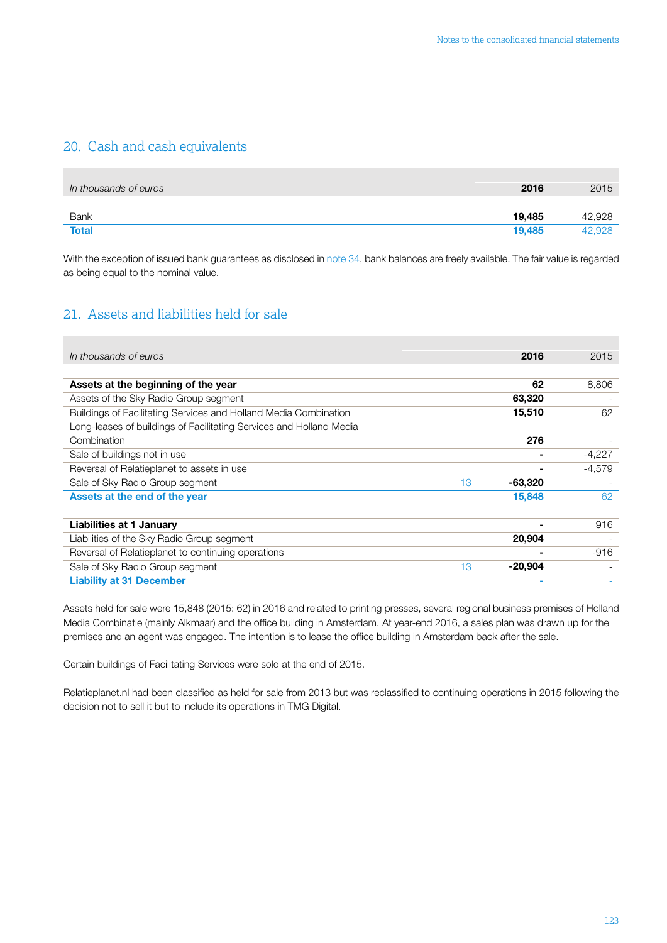### <span id="page-37-0"></span>20. Cash and cash equivalents

| In thousands of euros | 2016   | 2015   |
|-----------------------|--------|--------|
|                       |        |        |
| <b>Bank</b>           | 19,485 | 42,928 |
| <b>Total</b>          | 19,485 | 42,928 |

With the exception of issued bank guarantees as disclosed in [note](#page-49-0) 34, bank balances are freely available. The fair value is regarded as being equal to the nominal value.

### 21. Assets and liabilities held for sale

| In thousands of euros                                               |    | 2016           | 2015     |
|---------------------------------------------------------------------|----|----------------|----------|
|                                                                     |    |                |          |
| Assets at the beginning of the year                                 |    | 62             | 8,806    |
| Assets of the Sky Radio Group segment                               |    | 63,320         |          |
| Buildings of Facilitating Services and Holland Media Combination    |    | 15,510         | 62       |
| Long-leases of buildings of Facilitating Services and Holland Media |    |                |          |
| Combination                                                         |    | 276            |          |
| Sale of buildings not in use                                        |    | $\blacksquare$ | $-4,227$ |
| Reversal of Relatieplanet to assets in use                          |    |                | $-4,579$ |
| Sale of Sky Radio Group segment                                     | 13 | $-63,320$      |          |
| Assets at the end of the year                                       |    | 15,848         | 62       |
|                                                                     |    |                |          |
| <b>Liabilities at 1 January</b>                                     |    |                | 916      |
| Liabilities of the Sky Radio Group segment                          |    | 20,904         |          |
| Reversal of Relatieplanet to continuing operations                  |    |                | $-916$   |
| Sale of Sky Radio Group segment                                     | 13 | -20,904        |          |
| <b>Liability at 31 December</b>                                     |    |                |          |

Assets held for sale were 15,848 (2015: 62) in 2016 and related to printing presses, several regional business premises of Holland Media Combinatie (mainly Alkmaar) and the office building in Amsterdam. At year-end 2016, a sales plan was drawn up for the premises and an agent was engaged. The intention is to lease the office building in Amsterdam back after the sale.

Certain buildings of Facilitating Services were sold at the end of 2015.

Relatieplanet.nl had been classified as held for sale from 2013 but was reclassified to continuing operations in 2015 following the decision not to sell it but to include its operations in TMG Digital.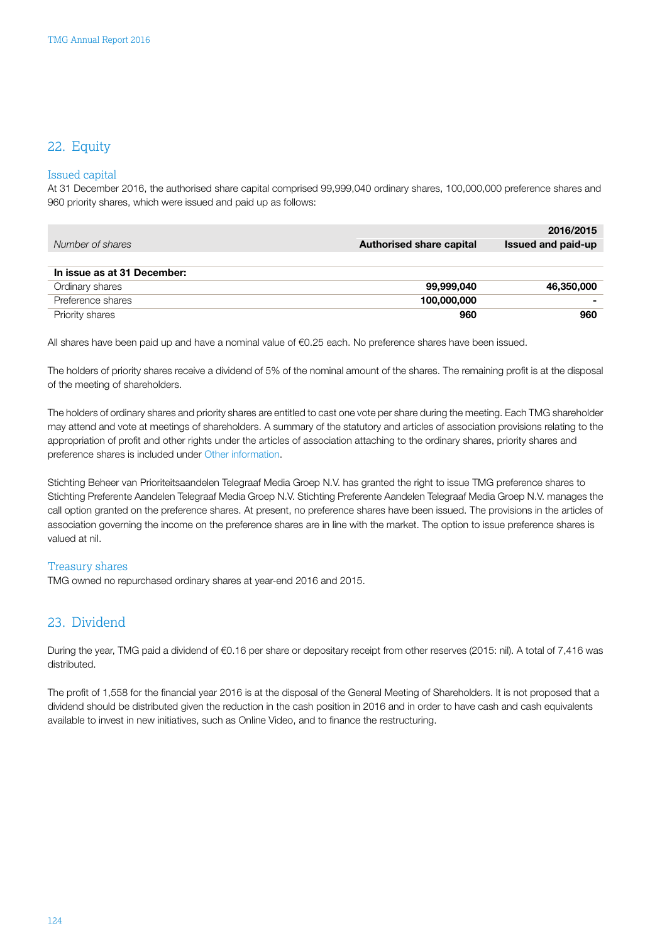### <span id="page-38-0"></span>22. Equity

### Issued capital

At 31 December 2016, the authorised share capital comprised 99,999,040 ordinary shares, 100,000,000 preference shares and 960 priority shares, which were issued and paid up as follows:

|                             |                                 | 2016/2015          |
|-----------------------------|---------------------------------|--------------------|
| Number of shares            | <b>Authorised share capital</b> | Issued and paid-up |
|                             |                                 |                    |
| In issue as at 31 December: |                                 |                    |
| Ordinary shares             | 99,999,040                      | 46,350,000         |
| Preference shares           | 100,000,000                     |                    |
| Priority shares             | 960                             | 960                |

All shares have been paid up and have a nominal value of €0.25 each. No preference shares have been issued.

The holders of priority shares receive a dividend of 5% of the nominal amount of the shares. The remaining profit is at the disposal of the meeting of shareholders.

The holders of ordinary shares and priority shares are entitled to cast one vote per share during the meeting. Each TMG shareholder may attend and vote at meetings of shareholders. A summary of the statutory and articles of association provisions relating to the appropriation of profit and other rights under the articles of association attaching to the ordinary shares, priority shares and preference shares is included under [Other information.](#page-64-0)

Stichting Beheer van Prioriteitsaandelen Telegraaf Media Groep N.V. has granted the right to issue TMG preference shares to Stichting Preferente Aandelen Telegraaf Media Groep N.V. Stichting Preferente Aandelen Telegraaf Media Groep N.V. manages the call option granted on the preference shares. At present, no preference shares have been issued. The provisions in the articles of association governing the income on the preference shares are in line with the market. The option to issue preference shares is valued at nil.

### Treasury shares

TMG owned no repurchased ordinary shares at year-end 2016 and 2015.

### 23. Dividend

During the year, TMG paid a dividend of €0.16 per share or depositary receipt from other reserves (2015: nil). A total of 7,416 was distributed.

The profit of 1,558 for the financial year 2016 is at the disposal of the General Meeting of Shareholders. It is not proposed that a dividend should be distributed given the reduction in the cash position in 2016 and in order to have cash and cash equivalents available to invest in new initiatives, such as Online Video, and to finance the restructuring.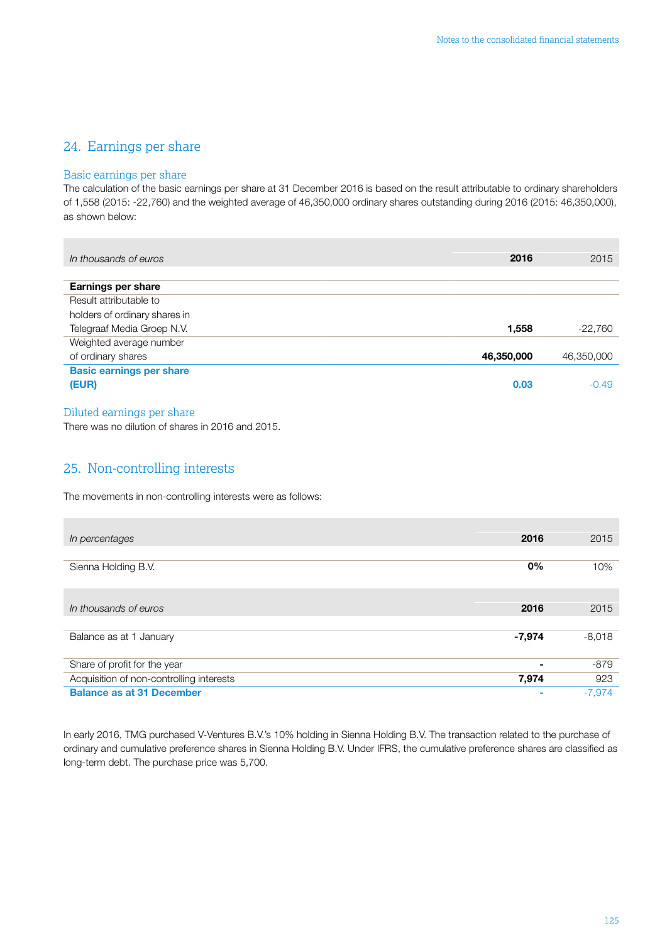### <span id="page-39-0"></span>24. Earnings per share

### Basic earnings per share

The calculation of the basic earnings per share at 31 December 2016 is based on the result attributable to ordinary shareholders of 1,558 (2015: -22,760) and the weighted average of 46,350,000 ordinary shares outstanding during 2016 (2015: 46,350,000), as shown below:

| In thousands of euros           | 2016       | 2015       |
|---------------------------------|------------|------------|
|                                 |            |            |
| <b>Earnings per share</b>       |            |            |
| Result attributable to          |            |            |
| holders of ordinary shares in   |            |            |
| Telegraaf Media Groep N.V.      | 1,558      | $-22,760$  |
| Weighted average number         |            |            |
| of ordinary shares              | 46,350,000 | 46,350,000 |
| <b>Basic earnings per share</b> |            |            |
| (EUR)                           | 0.03       | $-0.49$    |
|                                 |            |            |

### Diluted earnings per share

There was no dilution of shares in 2016 and 2015.

### 25. Non-controlling interests

The movements in non-controlling interests were as follows:

| In percentages                           | 2016     | 2015     |
|------------------------------------------|----------|----------|
|                                          |          |          |
| Sienna Holding B.V.                      | $0\%$    | 10%      |
|                                          |          |          |
| In thousands of euros                    | 2016     | 2015     |
|                                          |          |          |
| Balance as at 1 January                  | $-7,974$ | $-8,018$ |
| Share of profit for the year             |          | $-879$   |
| Acquisition of non-controlling interests | 7,974    | 923      |
| <b>Balance as at 31 December</b>         |          | $-7.974$ |

In early 2016, TMG purchased V-Ventures B.V.'s 10% holding in Sienna Holding B.V. The transaction related to the purchase of ordinary and cumulative preference shares in Sienna Holding B.V. Under IFRS, the cumulative preference shares are classified as long-term debt. The purchase price was 5,700.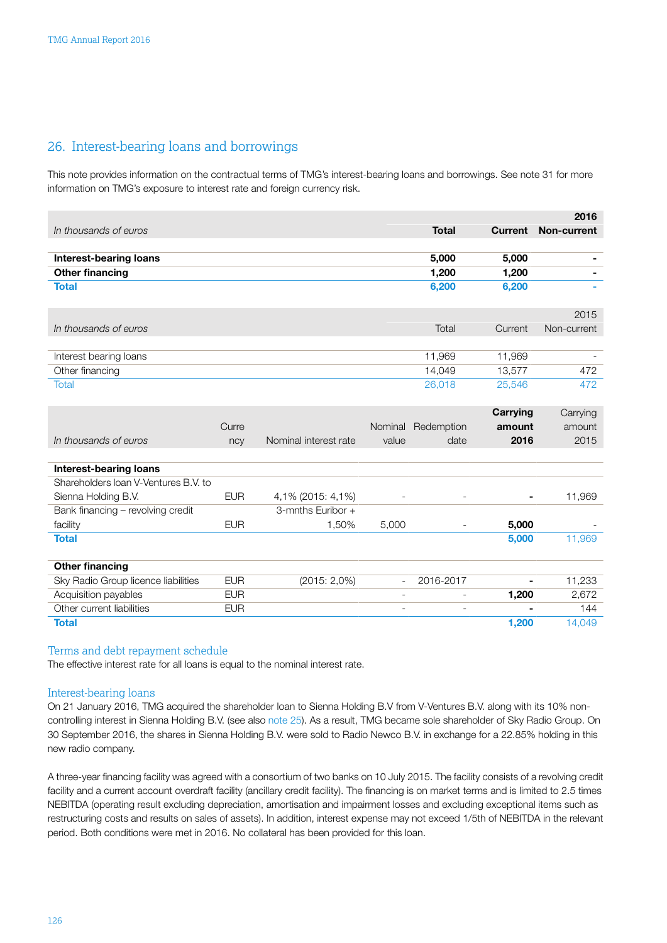### <span id="page-40-0"></span>26. Interest-bearing loans and borrowings

This note provides information on the contractual terms of TMG's interest-bearing loans and borrowings. See note 31 for more information on TMG's exposure to interest rate and foreign currency risk.

|                                      |       |                       |         |              |                | 2016        |
|--------------------------------------|-------|-----------------------|---------|--------------|----------------|-------------|
| In thousands of euros                |       |                       |         | <b>Total</b> | <b>Current</b> | Non-current |
|                                      |       |                       |         |              |                |             |
| <b>Interest-bearing loans</b>        |       |                       |         | 5,000        | 5,000          |             |
| <b>Other financing</b>               |       |                       |         | 1,200        | 1,200          |             |
| <b>Total</b>                         |       |                       |         | 6,200        | 6,200          | ۰           |
|                                      |       |                       |         |              |                | 2015        |
| In thousands of euros                |       |                       |         | Total        | Current        | Non-current |
|                                      |       |                       |         |              |                |             |
| Interest bearing loans               |       |                       |         | 11,969       | 11,969         |             |
| Other financing                      |       |                       |         | 14,049       | 13,577         | 472         |
| <b>Total</b>                         |       |                       |         | 26,018       | 25,546         | 472         |
|                                      |       |                       |         |              | Carrying       | Carrying    |
|                                      | Curre |                       | Nominal | Redemption   | amount         | amount      |
| In thousands of euros                | ncy   | Nominal interest rate | value   | date         | 2016           | 2015        |
|                                      |       |                       |         |              |                |             |
| <b>Interest-bearing loans</b>        |       |                       |         |              |                |             |
| Shareholders Ioan V-Ventures B.V. to |       |                       |         |              |                |             |

| Sienna Holding B.V.                 | <b>EUR</b> | 4,1% (2015: 4,1%) | $\overline{\phantom{0}}$ |                          | $\blacksquare$ | 11,969 |
|-------------------------------------|------------|-------------------|--------------------------|--------------------------|----------------|--------|
| Bank financing - revolving credit   |            | 3-mnths Euribor + |                          |                          |                |        |
| facility                            | <b>EUR</b> | 1,50%             | 5,000                    |                          | 5,000          |        |
| <b>Total</b>                        |            |                   |                          |                          | 5,000          | 11,969 |
|                                     |            |                   |                          |                          |                |        |
| <b>Other financing</b>              |            |                   |                          |                          |                |        |
| Sky Radio Group licence liabilities | <b>EUR</b> | (2015:2,0%)       |                          | 2016-2017                | -              | 11,233 |
| Acquisition payables                | <b>EUR</b> |                   | $\overline{\phantom{0}}$ | $\overline{\phantom{a}}$ | 1,200          | 2,672  |
| Other current liabilities           | <b>EUR</b> |                   |                          |                          |                | 144    |
| <b>Total</b>                        |            |                   |                          |                          | 1.200          | 14,049 |

### Terms and debt repayment schedule

The effective interest rate for all loans is equal to the nominal interest rate.

### Interest-bearing loans

On 21 January 2016, TMG acquired the shareholder loan to Sienna Holding B.V from V-Ventures B.V. along with its 10% noncontrolling interest in Sienna Holding B.V. (see also [note 25](#page-39-0)). As a result, TMG became sole shareholder of Sky Radio Group. On 30 September 2016, the shares in Sienna Holding B.V. were sold to Radio Newco B.V. in exchange for a 22.85% holding in this new radio company.

A three-year financing facility was agreed with a consortium of two banks on 10 July 2015. The facility consists of a revolving credit facility and a current account overdraft facility (ancillary credit facility). The financing is on market terms and is limited to 2.5 times NEBITDA (operating result excluding depreciation, amortisation and impairment losses and excluding exceptional items such as restructuring costs and results on sales of assets). In addition, interest expense may not exceed 1/5th of NEBITDA in the relevant period. Both conditions were met in 2016. No collateral has been provided for this loan.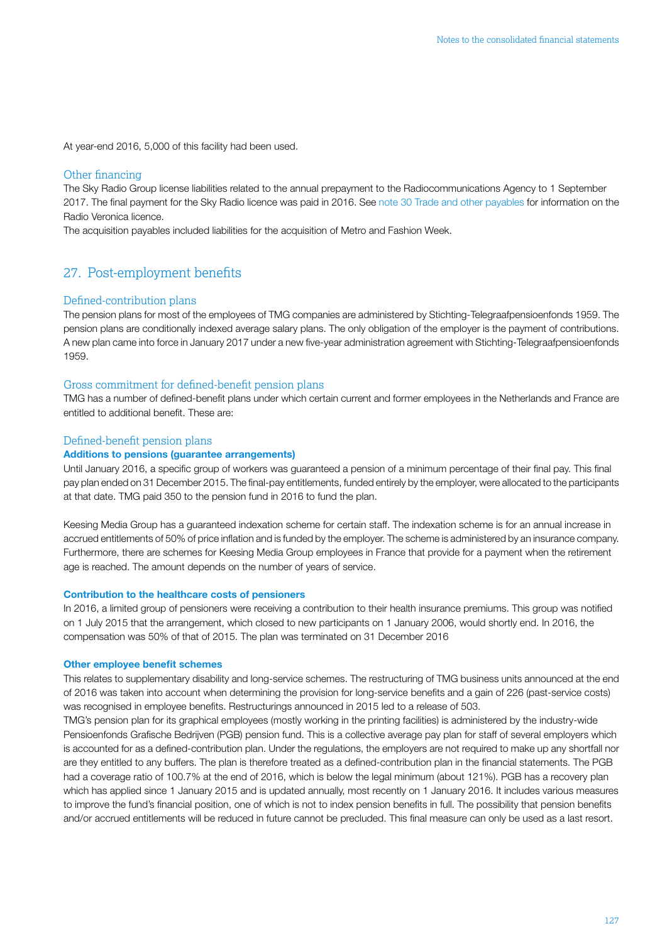<span id="page-41-0"></span>At year-end 2016, 5,000 of this facility had been used.

### Other financing

The Sky Radio Group license liabilities related to the annual prepayment to the Radiocommunications Agency to 1 September 2017. The final payment for the Sky Radio licence was paid in 2016. See [note 30 Trade and other payables](#page-49-0) for information on the Radio Veronica licence.

The acquisition payables included liabilities for the acquisition of Metro and Fashion Week.

### 27. Post-employment benefits

### Defined-contribution plans

The pension plans for most of the employees of TMG companies are administered by Stichting-Telegraafpensioenfonds 1959. The pension plans are conditionally indexed average salary plans. The only obligation of the employer is the payment of contributions. A new plan came into force in January 2017 under a new five-year administration agreement with Stichting-Telegraafpensioenfonds 1959.

### Gross commitment for defined-benefit pension plans

TMG has a number of defined-benefit plans under which certain current and former employees in the Netherlands and France are entitled to additional benefit. These are:

### Defined-benefit pension plans

### Additions to pensions (guarantee arrangements)

Until January 2016, a specific group of workers was guaranteed a pension of a minimum percentage of their final pay. This final pay plan ended on 31 December 2015. The final-pay entitlements, funded entirely by the employer, were allocated to the participants at that date. TMG paid 350 to the pension fund in 2016 to fund the plan.

Keesing Media Group has a guaranteed indexation scheme for certain staff. The indexation scheme is for an annual increase in accrued entitlements of 50% of price inflation and is funded by the employer. The scheme is administered by an insurance company. Furthermore, there are schemes for Keesing Media Group employees in France that provide for a payment when the retirement age is reached. The amount depends on the number of years of service.

### Contribution to the healthcare costs of pensioners

In 2016, a limited group of pensioners were receiving a contribution to their health insurance premiums. This group was notified on 1 July 2015 that the arrangement, which closed to new participants on 1 January 2006, would shortly end. In 2016, the compensation was 50% of that of 2015. The plan was terminated on 31 December 2016

#### Other employee benefit schemes

This relates to supplementary disability and long-service schemes. The restructuring of TMG business units announced at the end of 2016 was taken into account when determining the provision for long-service benefits and a gain of 226 (past-service costs) was recognised in employee benefits. Restructurings announced in 2015 led to a release of 503.

TMG's pension plan for its graphical employees (mostly working in the printing facilities) is administered by the industry-wide Pensioenfonds Grafische Bedrijven (PGB) pension fund. This is a collective average pay plan for staff of several employers which is accounted for as a defined-contribution plan. Under the regulations, the employers are not required to make up any shortfall nor are they entitled to any buffers. The plan is therefore treated as a defined-contribution plan in the financial statements. The PGB had a coverage ratio of 100.7% at the end of 2016, which is below the legal minimum (about 121%). PGB has a recovery plan which has applied since 1 January 2015 and is updated annually, most recently on 1 January 2016. It includes various measures to improve the fund's financial position, one of which is not to index pension benefits in full. The possibility that pension benefits and/or accrued entitlements will be reduced in future cannot be precluded. This final measure can only be used as a last resort.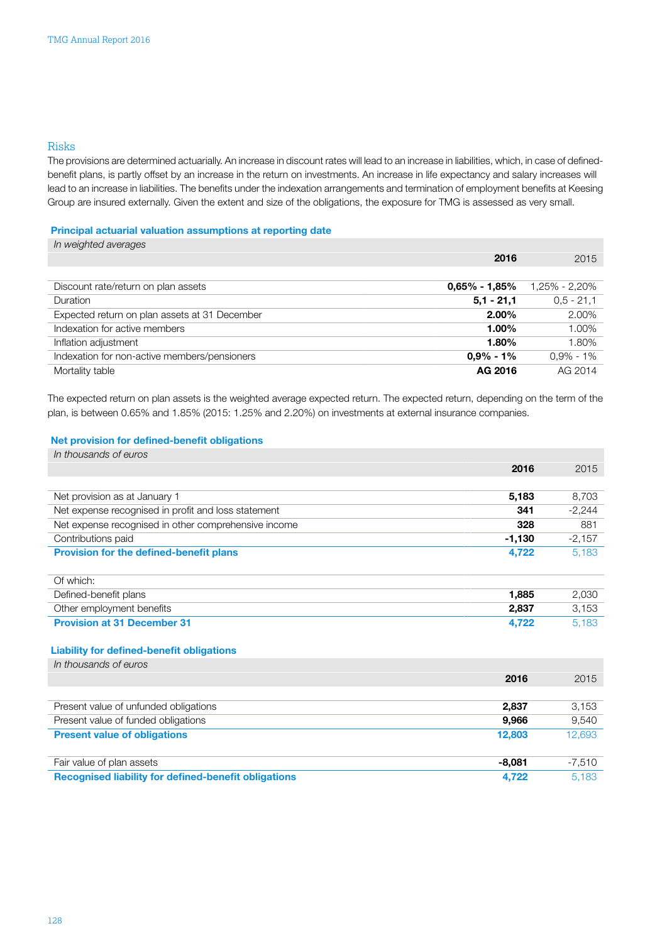### Risks

The provisions are determined actuarially. An increase in discount rates will lead to an increase in liabilities, which, in case of definedbenefit plans, is partly offset by an increase in the return on investments. An increase in life expectancy and salary increases will lead to an increase in liabilities. The benefits under the indexation arrangements and termination of employment benefits at Keesing Group are insured externally. Given the extent and size of the obligations, the exposure for TMG is assessed as very small.

### Principal actuarial valuation assumptions at reporting date

| In weighted averages                          |                   |               |
|-----------------------------------------------|-------------------|---------------|
|                                               | 2016              | 2015          |
|                                               |                   |               |
| Discount rate/return on plan assets           | $0.65\% - 1.85\%$ | 1,25% - 2,20% |
| <b>Duration</b>                               | $5.1 - 21.1$      | $0.5 - 21.1$  |
| Expected return on plan assets at 31 December | $2.00\%$          | 2.00%         |
| Indexation for active members                 | $1.00\%$          | 1.00%         |
| Inflation adjustment                          | $1.80\%$          | 1.80%         |
| Indexation for non-active members/pensioners  | $0.9\% - 1\%$     | $0,9% - 1%$   |
| Mortality table                               | AG 2016           | AG 2014       |

The expected return on plan assets is the weighted average expected return. The expected return, depending on the term of the plan, is between 0.65% and 1.85% (2015: 1.25% and 2.20%) on investments at external insurance companies.

### Net provision for defined-benefit obligations

| In thousands of euros                                       |          |          |
|-------------------------------------------------------------|----------|----------|
|                                                             | 2016     | 2015     |
|                                                             |          |          |
| Net provision as at January 1                               | 5,183    | 8,703    |
| Net expense recognised in profit and loss statement         | 341      | $-2,244$ |
| Net expense recognised in other comprehensive income        | 328      | 881      |
| Contributions paid                                          | $-1,130$ | $-2,157$ |
| <b>Provision for the defined-benefit plans</b>              | 4,722    | 5,183    |
|                                                             |          |          |
| Of which:                                                   |          |          |
| Defined-benefit plans                                       | 1,885    | 2,030    |
| Other employment benefits                                   | 2,837    | 3,153    |
| <b>Provision at 31 December 31</b>                          | 4,722    | 5,183    |
|                                                             |          |          |
| <b>Liability for defined-benefit obligations</b>            |          |          |
| In thousands of euros                                       |          |          |
|                                                             | 2016     | 2015     |
|                                                             |          |          |
| Present value of unfunded obligations                       | 2,837    | 3,153    |
| Present value of funded obligations                         | 9,966    | 9,540    |
| <b>Present value of obligations</b>                         | 12,803   | 12,693   |
|                                                             |          |          |
| Fair value of plan assets                                   | $-8,081$ | $-7,510$ |
| <b>Recognised liability for defined-benefit obligations</b> | 4,722    | 5,183    |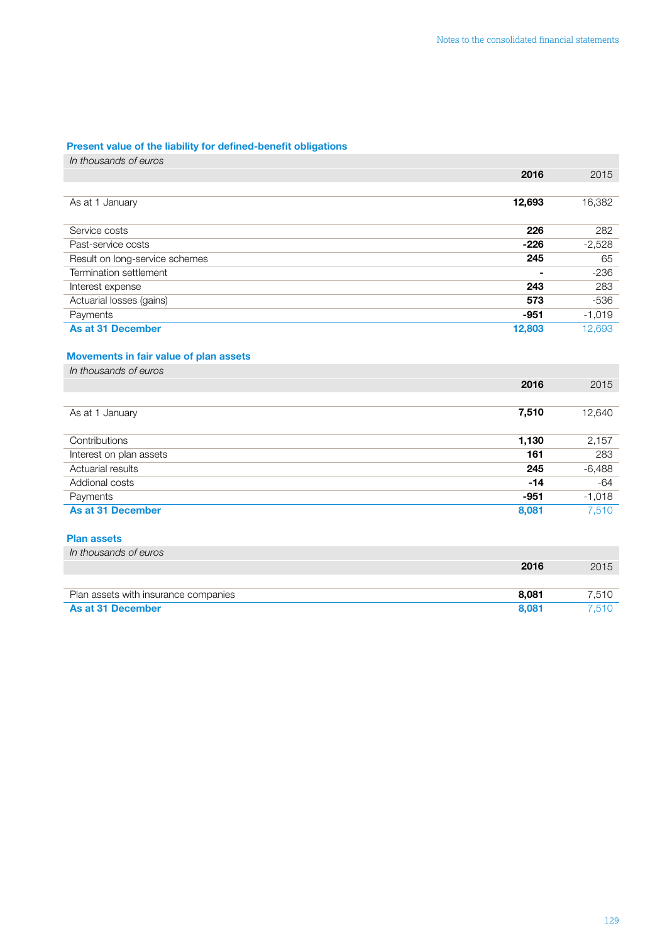### Present value of the liability for defined-benefit obligations

| In thousands of euros                  |        |          |
|----------------------------------------|--------|----------|
|                                        | 2016   | 2015     |
|                                        |        |          |
| As at 1 January                        | 12,693 | 16,382   |
| Service costs                          | 226    | 282      |
| Past-service costs                     | $-226$ | $-2,528$ |
| Result on long-service schemes         | 245    | 65       |
| Termination settlement                 |        | $-236$   |
| Interest expense                       | 243    | 283      |
| Actuarial losses (gains)               | 573    | $-536$   |
| Payments                               | $-951$ | $-1,019$ |
| <b>As at 31 December</b>               | 12,803 | 12,693   |
| Movements in fair value of plan assets |        |          |
| In thousands of euros                  |        |          |
|                                        | 2016   | 2015     |
|                                        |        |          |
| As at 1 January                        | 7,510  | 12,640   |
| Contributions                          | 1,130  | 2,157    |
| Interest on plan assets                | 161    | 283      |
| Actuarial results                      | 245    | $-6,488$ |
| Addional costs                         | $-14$  | $-64$    |
| Payments                               | $-951$ | $-1,018$ |
| <b>As at 31 December</b>               | 8,081  | 7,510    |
| <b>Plan assets</b>                     |        |          |
| In thousands of euros                  |        |          |
|                                        | 2016   | 2015     |
|                                        |        |          |
| Plan assets with insurance companies   | 8,081  | 7,510    |

**As at 31 December 8,081 7,510**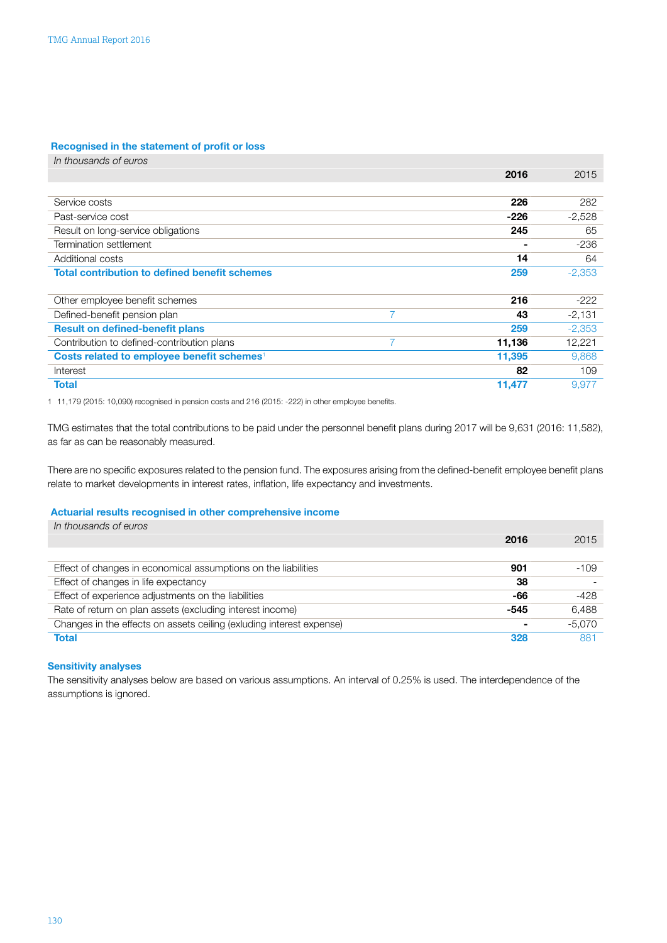### Recognised in the statement of profit or loss

| In thousands of euros                                  |   |        |          |
|--------------------------------------------------------|---|--------|----------|
|                                                        |   | 2016   | 2015     |
|                                                        |   |        |          |
| Service costs                                          |   | 226    | 282      |
| Past-service cost                                      |   | -226   | $-2,528$ |
| Result on long-service obligations                     |   | 245    | 65       |
| Termination settlement                                 |   |        | $-236$   |
| Additional costs                                       |   | 14     | 64       |
| <b>Total contribution to defined benefit schemes</b>   |   | 259    | $-2,353$ |
|                                                        |   |        |          |
| Other employee benefit schemes                         |   | 216    | $-222$   |
| Defined-benefit pension plan                           | 7 | 43     | $-2,131$ |
| <b>Result on defined-benefit plans</b>                 |   | 259    | $-2,353$ |
| Contribution to defined-contribution plans             | 7 | 11,136 | 12,221   |
| Costs related to employee benefit schemes <sup>1</sup> |   | 11,395 | 9,868    |
| Interest                                               |   | 82     | 109      |
| <b>Total</b>                                           |   | 11,477 | 9,977    |
|                                                        |   |        |          |

1 11,179 (2015: 10,090) recognised in pension costs and 216 (2015: -222) in other employee benefits.

TMG estimates that the total contributions to be paid under the personnel benefit plans during 2017 will be 9,631 (2016: 11,582), as far as can be reasonably measured.

There are no specific exposures related to the pension fund. The exposures arising from the defined-benefit employee benefit plans relate to market developments in interest rates, inflation, life expectancy and investments.

### Actuarial results recognised in other comprehensive income

| 2016 | 2015     |
|------|----------|
|      |          |
| 901  | $-109$   |
| 38   |          |
| -66  | -428     |
| -545 | 6,488    |
|      | $-5,070$ |
| 328  | 881      |
|      |          |

### Sensitivity analyses

The sensitivity analyses below are based on various assumptions. An interval of 0.25% is used. The interdependence of the assumptions is ignored.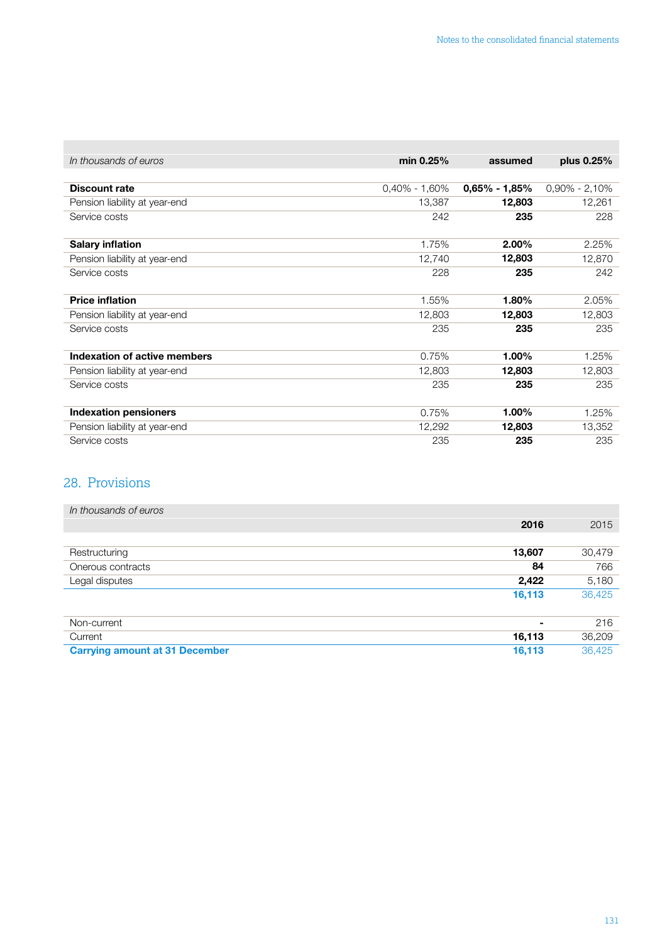| In thousands of euros         | min 0.25%         | assumed          | plus 0.25%        |
|-------------------------------|-------------------|------------------|-------------------|
|                               |                   |                  |                   |
| <b>Discount rate</b>          | $0,40\% - 1,60\%$ | $0,65\%$ - 1,85% | $0.90\% - 2.10\%$ |
| Pension liability at year-end | 13,387            | 12,803           | 12,261            |
| Service costs                 | 242               | 235              | 228               |
|                               |                   |                  |                   |
| <b>Salary inflation</b>       | 1.75%             | $2.00\%$         | 2.25%             |
| Pension liability at year-end | 12,740            | 12,803           | 12,870            |
| Service costs                 | 228               | 235              | 242               |
|                               |                   |                  |                   |
| <b>Price inflation</b>        | 1.55%             | 1.80%            | 2.05%             |
| Pension liability at year-end | 12,803            | 12,803           | 12,803            |
| Service costs                 | 235               | 235              | 235               |
|                               |                   |                  |                   |
| Indexation of active members  | 0.75%             | 1.00%            | 1.25%             |
| Pension liability at year-end | 12,803            | 12,803           | 12,803            |
| Service costs                 | 235               | 235              | 235               |
|                               |                   |                  |                   |
| <b>Indexation pensioners</b>  | 0.75%             | 1.00%            | 1.25%             |
| Pension liability at year-end | 12,292            | 12,803           | 13,352            |
| Service costs                 | 235               | 235              | 235               |

### 28. Provisions

<span id="page-45-0"></span>**The State** 

| In thousands of euros                 |        |        |
|---------------------------------------|--------|--------|
|                                       | 2016   | 2015   |
|                                       |        |        |
| Restructuring                         | 13,607 | 30,479 |
| Onerous contracts                     | 84     | 766    |
| Legal disputes                        | 2,422  | 5,180  |
|                                       | 16,113 | 36,425 |
|                                       |        |        |
| Non-current                           | ۰      | 216    |
| Current                               | 16,113 | 36,209 |
| <b>Carrying amount at 31 December</b> | 16,113 | 36,425 |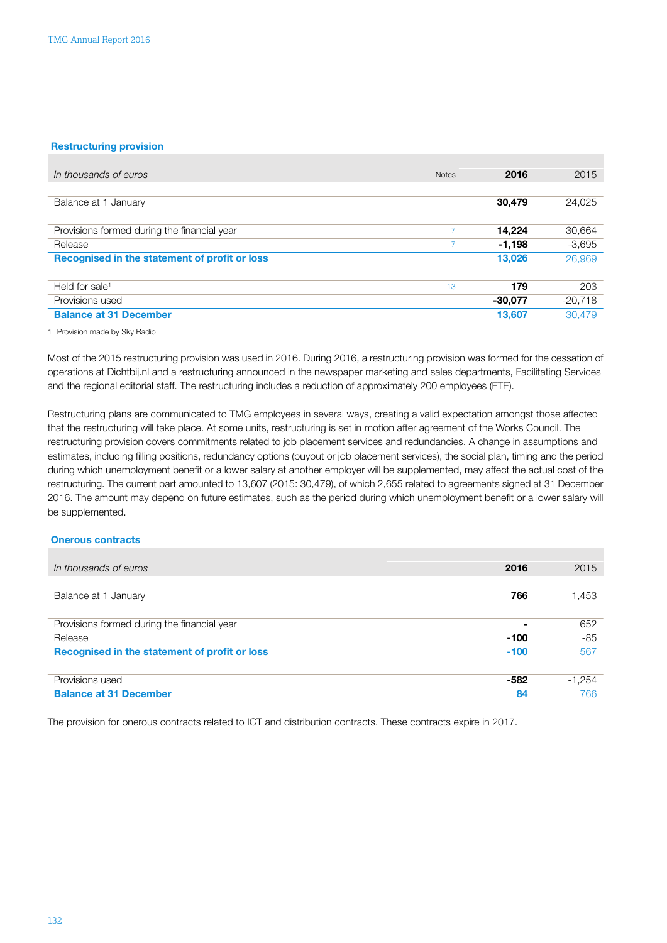#### Restructuring provision

| In thousands of euros                         | <b>Notes</b> | 2016      | 2015      |
|-----------------------------------------------|--------------|-----------|-----------|
|                                               |              |           |           |
| Balance at 1 January                          |              | 30,479    | 24,025    |
| Provisions formed during the financial year   |              | 14.224    | 30,664    |
| Release                                       |              | -1,198    | $-3,695$  |
| Recognised in the statement of profit or loss |              | 13,026    | 26,969    |
| Held for sale <sup>1</sup>                    | 13           | 179       | 203       |
| Provisions used                               |              | $-30.077$ | $-20,718$ |
| <b>Balance at 31 December</b>                 |              | 13,607    | 30,479    |

1 Provision made by Sky Radio

Most of the 2015 restructuring provision was used in 2016. During 2016, a restructuring provision was formed for the cessation of operations at Dichtbij.nl and a restructuring announced in the newspaper marketing and sales departments, Facilitating Services and the regional editorial staff. The restructuring includes a reduction of approximately 200 employees (FTE).

Restructuring plans are communicated to TMG employees in several ways, creating a valid expectation amongst those affected that the restructuring will take place. At some units, restructuring is set in motion after agreement of the Works Council. The restructuring provision covers commitments related to job placement services and redundancies. A change in assumptions and estimates, including filling positions, redundancy options (buyout or job placement services), the social plan, timing and the period during which unemployment benefit or a lower salary at another employer will be supplemented, may affect the actual cost of the restructuring. The current part amounted to 13,607 (2015: 30,479), of which 2,655 related to agreements signed at 31 December 2016. The amount may depend on future estimates, such as the period during which unemployment benefit or a lower salary will be supplemented.

#### Onerous contracts

| In thousands of euros                         | 2016           | 2015     |
|-----------------------------------------------|----------------|----------|
|                                               |                |          |
| Balance at 1 January                          | 766            | 1,453    |
| Provisions formed during the financial year   | $\blacksquare$ | 652      |
| Release                                       | $-100$         | $-85$    |
| Recognised in the statement of profit or loss | $-100$         | 567      |
| Provisions used                               | -582           | $-1,254$ |
| <b>Balance at 31 December</b>                 | 84             | 766      |

The provision for onerous contracts related to ICT and distribution contracts. These contracts expire in 2017.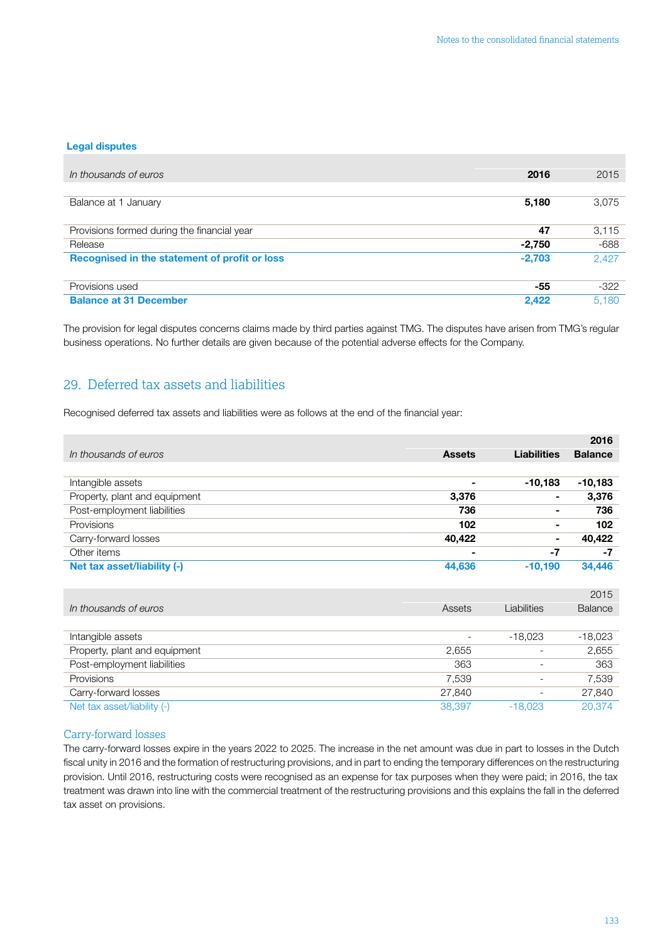#### <span id="page-47-0"></span>Legal disputes

| In thousands of euros                         | 2016     | 2015   |
|-----------------------------------------------|----------|--------|
|                                               |          |        |
| Balance at 1 January                          | 5,180    | 3,075  |
| Provisions formed during the financial year   | 47       | 3,115  |
| Release                                       | $-2,750$ | $-688$ |
| Recognised in the statement of profit or loss | $-2,703$ | 2,427  |
| Provisions used                               | -55      | $-322$ |
| <b>Balance at 31 December</b>                 | 2,422    | 5.180  |

The provision for legal disputes concerns claims made by third parties against TMG. The disputes have arisen from TMG's regular business operations. No further details are given because of the potential adverse effects for the Company.

### 29. Deferred tax assets and liabilities

Recognised deferred tax assets and liabilities were as follows at the end of the financial year:

|                               |               |                    | 2016           |
|-------------------------------|---------------|--------------------|----------------|
| In thousands of euros         | <b>Assets</b> | <b>Liabilities</b> | <b>Balance</b> |
|                               |               |                    |                |
| Intangible assets             | -             | $-10,183$          | $-10,183$      |
| Property, plant and equipment | 3,376         | $\sim$             | 3,376          |
| Post-employment liabilities   | 736           | ۰                  | 736            |
| Provisions                    | 102           | $\blacksquare$     | 102            |
| Carry-forward losses          | 40,422        | ۰.                 | 40,422         |
| Other items                   | -             | -7                 | -7             |
| Net tax asset/liability (-)   | 44,636        | $-10.190$          | 34,446         |

|                               |                          |                          | 2015           |
|-------------------------------|--------------------------|--------------------------|----------------|
| In thousands of euros         | Assets                   | Liabilities              | <b>Balance</b> |
|                               |                          |                          |                |
| Intangible assets             | $\overline{\phantom{a}}$ | $-18.023$                | $-18,023$      |
| Property, plant and equipment | 2,655                    |                          | 2,655          |
| Post-employment liabilities   | 363                      |                          | 363            |
| Provisions                    | 7,539                    | $\overline{\phantom{a}}$ | 7,539          |
| Carry-forward losses          | 27,840                   | $\overline{\phantom{a}}$ | 27,840         |
| Net tax asset/liability (-)   | 38,397                   | $-18.023$                | 20.374         |

### Carry-forward losses

The carry-forward losses expire in the years 2022 to 2025. The increase in the net amount was due in part to losses in the Dutch fiscal unity in 2016 and the formation of restructuring provisions, and in part to ending the temporary differences on the restructuring provision. Until 2016, restructuring costs were recognised as an expense for tax purposes when they were paid; in 2016, the tax treatment was drawn into line with the commercial treatment of the restructuring provisions and this explains the fall in the deferred tax asset on provisions.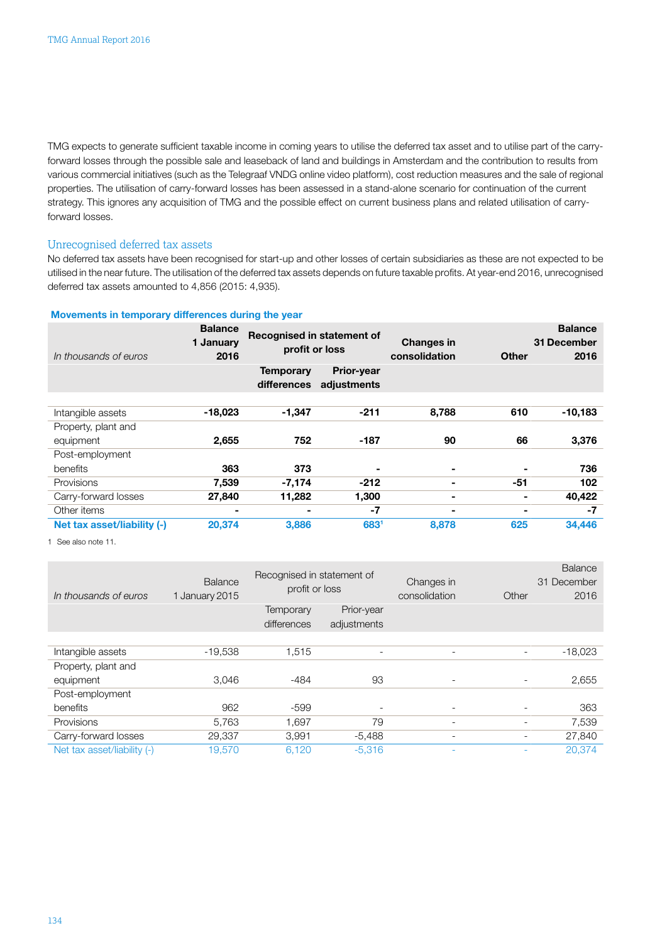TMG expects to generate sufficient taxable income in coming years to utilise the deferred tax asset and to utilise part of the carryforward losses through the possible sale and leaseback of land and buildings in Amsterdam and the contribution to results from various commercial initiatives (such as the Telegraaf VNDG online video platform), cost reduction measures and the sale of regional properties. The utilisation of carry-forward losses has been assessed in a stand-alone scenario for continuation of the current strategy. This ignores any acquisition of TMG and the possible effect on current business plans and related utilisation of carryforward losses.

### Unrecognised deferred tax assets

No deferred tax assets have been recognised for start-up and other losses of certain subsidiaries as these are not expected to be utilised in the near future. The utilisation of the deferred tax assets depends on future taxable profits. At year-end 2016, unrecognised deferred tax assets amounted to 4,856 (2015: 4,935).

#### Movements in temporary differences during the year

| In thousands of euros       | <b>Balance</b><br>1 January<br>2016 | Recognised in statement of<br>profit or loss |                                  | <b>Changes in</b><br>consolidation | <b>Other</b> | <b>Balance</b><br>31 December<br>2016 |
|-----------------------------|-------------------------------------|----------------------------------------------|----------------------------------|------------------------------------|--------------|---------------------------------------|
|                             |                                     | <b>Temporary</b><br>differences              | <b>Prior-year</b><br>adjustments |                                    |              |                                       |
| Intangible assets           | $-18,023$                           | -1,347                                       | $-211$                           | 8,788                              | 610          | $-10,183$                             |
| Property, plant and         |                                     |                                              |                                  |                                    |              |                                       |
| equipment                   | 2,655                               | 752                                          | $-187$                           | 90                                 | 66           | 3,376                                 |
| Post-employment             |                                     |                                              |                                  |                                    |              |                                       |
| benefits                    | 363                                 | 373                                          | $\blacksquare$                   | ٠                                  |              | 736                                   |
| Provisions                  | 7,539                               | $-7,174$                                     | $-212$                           |                                    | $-51$        | 102                                   |
| Carry-forward losses        | 27,840                              | 11,282                                       | 1,300                            | ۰                                  | ۰            | 40,422                                |
| Other items                 | $\blacksquare$                      |                                              | -7                               | -                                  | -            | -7                                    |
| Net tax asset/liability (-) | 20,374                              | 3,886                                        | 6831                             | 8,878                              | 625          | 34,446                                |

1 See also note 11.

| In thousands of euros       | <b>Balance</b><br>1 January 2015 | Recognised in statement of<br>profit or loss |                           | Changes in<br>consolidation | Other                    | <b>Balance</b><br>31 December<br>2016 |
|-----------------------------|----------------------------------|----------------------------------------------|---------------------------|-----------------------------|--------------------------|---------------------------------------|
|                             |                                  | Temporary<br>differences                     | Prior-year<br>adjustments |                             |                          |                                       |
|                             |                                  |                                              |                           |                             |                          |                                       |
| Intangible assets           | $-19,538$                        | 1,515                                        | $\overline{\phantom{a}}$  | $\overline{\phantom{a}}$    | $\overline{\phantom{0}}$ | $-18,023$                             |
| Property, plant and         |                                  |                                              |                           |                             |                          |                                       |
| equipment                   | 3,046                            | $-484$                                       | 93                        | $\overline{\phantom{a}}$    | $\overline{\phantom{a}}$ | 2,655                                 |
| Post-employment             |                                  |                                              |                           |                             |                          |                                       |
| benefits                    | 962                              | -599                                         | $\overline{\phantom{0}}$  | ۰                           | $\overline{\phantom{a}}$ | 363                                   |
| Provisions                  | 5,763                            | 1.697                                        | 79                        | ۰                           |                          | 7,539                                 |
| Carry-forward losses        | 29,337                           | 3,991                                        | $-5,488$                  | ۰                           | $\overline{\phantom{a}}$ | 27,840                                |
| Net tax asset/liability (-) | 19,570                           | 6,120                                        | $-5,316$                  |                             |                          | 20,374                                |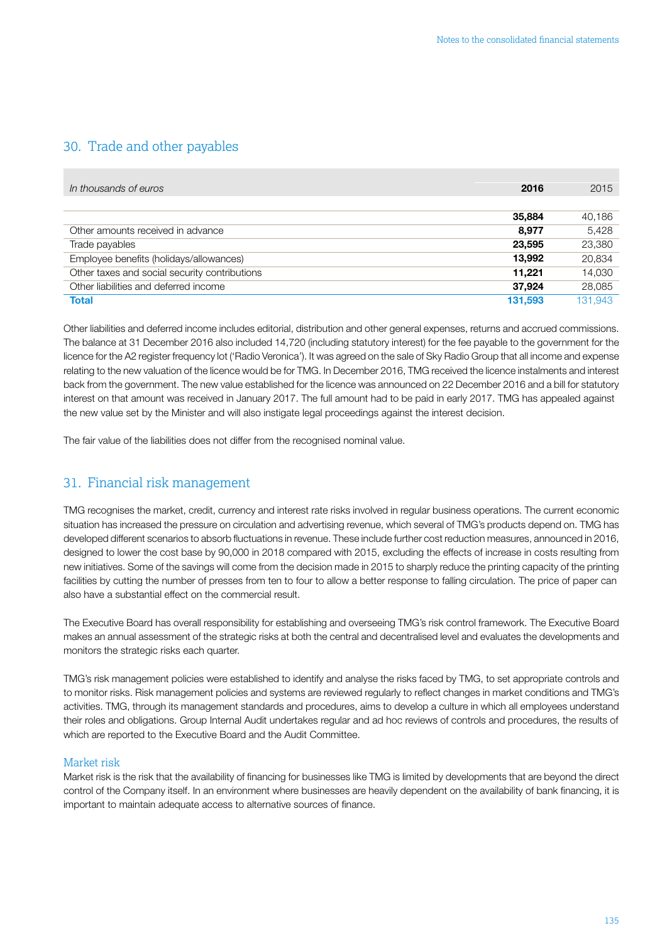### <span id="page-49-0"></span>30. Trade and other payables

| In thousands of euros                         | 2016    | 2015    |
|-----------------------------------------------|---------|---------|
|                                               |         |         |
|                                               | 35,884  | 40,186  |
| Other amounts received in advance             | 8,977   | 5,428   |
| Trade payables                                | 23.595  | 23,380  |
| Employee benefits (holidays/allowances)       | 13.992  | 20,834  |
| Other taxes and social security contributions | 11.221  | 14,030  |
| Other liabilities and deferred income         | 37.924  | 28,085  |
| <b>Total</b>                                  | 131.593 | 131.943 |

Other liabilities and deferred income includes editorial, distribution and other general expenses, returns and accrued commissions. The balance at 31 December 2016 also included 14,720 (including statutory interest) for the fee payable to the government for the licence for the A2 register frequency lot ('Radio Veronica'). It was agreed on the sale of Sky Radio Group that all income and expense relating to the new valuation of the licence would be for TMG. In December 2016, TMG received the licence instalments and interest back from the government. The new value established for the licence was announced on 22 December 2016 and a bill for statutory interest on that amount was received in January 2017. The full amount had to be paid in early 2017. TMG has appealed against the new value set by the Minister and will also instigate legal proceedings against the interest decision.

The fair value of the liabilities does not differ from the recognised nominal value.

### 31. Financial risk management

TMG recognises the market, credit, currency and interest rate risks involved in regular business operations. The current economic situation has increased the pressure on circulation and advertising revenue, which several of TMG's products depend on. TMG has developed different scenarios to absorb fluctuations in revenue. These include further cost reduction measures, announced in 2016, designed to lower the cost base by 90,000 in 2018 compared with 2015, excluding the effects of increase in costs resulting from new initiatives. Some of the savings will come from the decision made in 2015 to sharply reduce the printing capacity of the printing facilities by cutting the number of presses from ten to four to allow a better response to falling circulation. The price of paper can also have a substantial effect on the commercial result.

The Executive Board has overall responsibility for establishing and overseeing TMG's risk control framework. The Executive Board makes an annual assessment of the strategic risks at both the central and decentralised level and evaluates the developments and monitors the strategic risks each quarter.

TMG's risk management policies were established to identify and analyse the risks faced by TMG, to set appropriate controls and to monitor risks. Risk management policies and systems are reviewed regularly to reflect changes in market conditions and TMG's activities. TMG, through its management standards and procedures, aims to develop a culture in which all employees understand their roles and obligations. Group Internal Audit undertakes regular and ad hoc reviews of controls and procedures, the results of which are reported to the Executive Board and the Audit Committee.

### Market risk

Market risk is the risk that the availability of financing for businesses like TMG is limited by developments that are beyond the direct control of the Company itself. In an environment where businesses are heavily dependent on the availability of bank financing, it is important to maintain adequate access to alternative sources of finance.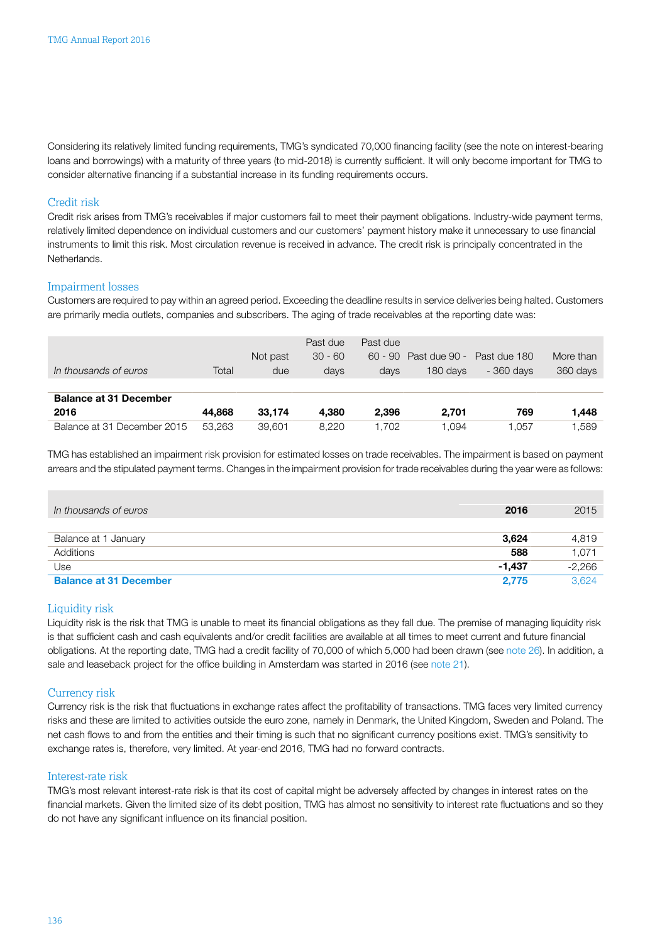Considering its relatively limited funding requirements, TMG's syndicated 70,000 financing facility (see the note on interest-bearing loans and borrowings) with a maturity of three years (to mid-2018) is currently sufficient. It will only become important for TMG to consider alternative financing if a substantial increase in its funding requirements occurs.

### Credit risk

Credit risk arises from TMG's receivables if major customers fail to meet their payment obligations. Industry-wide payment terms, relatively limited dependence on individual customers and our customers' payment history make it unnecessary to use financial instruments to limit this risk. Most circulation revenue is received in advance. The credit risk is principally concentrated in the Netherlands.

### Impairment losses

Customers are required to pay within an agreed period. Exceeding the deadline results in service deliveries being halted. Customers are primarily media outlets, companies and subscribers. The aging of trade receivables at the reporting date was:

|                               |        |          | Past due  | Past due |                       |              |           |
|-------------------------------|--------|----------|-----------|----------|-----------------------|--------------|-----------|
|                               |        | Not past | $30 - 60$ |          | 60 - 90 Past due 90 - | Past due 180 | More than |
| In thousands of euros         | Total  | due      | days      | days     | 180 days              | - 360 days   | 360 days  |
|                               |        |          |           |          |                       |              |           |
| <b>Balance at 31 December</b> |        |          |           |          |                       |              |           |
| 2016                          | 44.868 | 33.174   | 4.380     | 2.396    | 2.701                 | 769          | 1.448     |
| Balance at 31 December 2015   | 53.263 | 39.601   | 8.220     | .702     | .094                  | .057         | 1.589     |

TMG has established an impairment risk provision for estimated losses on trade receivables. The impairment is based on payment arrears and the stipulated payment terms. Changes in the impairment provision for trade receivables during the year were as follows:

| In thousands of euros         | 2016     | 2015     |
|-------------------------------|----------|----------|
| Balance at 1 January          | 3,624    | 4,819    |
| Additions                     | 588      | 1,071    |
| Use                           | $-1.437$ | $-2,266$ |
| <b>Balance at 31 December</b> | 2.775    | 3.624    |

### Liquidity risk

Liquidity risk is the risk that TMG is unable to meet its financial obligations as they fall due. The premise of managing liquidity risk is that sufficient cash and cash equivalents and/or credit facilities are available at all times to meet current and future financial obligations. At the reporting date, TMG had a credit facility of 70,000 of which 5,000 had been drawn (see [note 26\)](#page-40-0). In addition, a sale and leaseback project for the office building in Amsterdam was started in 2016 (see [note 21\)](#page-37-0).

### Currency risk

Currency risk is the risk that fluctuations in exchange rates affect the profitability of transactions. TMG faces very limited currency risks and these are limited to activities outside the euro zone, namely in Denmark, the United Kingdom, Sweden and Poland. The net cash flows to and from the entities and their timing is such that no significant currency positions exist. TMG's sensitivity to exchange rates is, therefore, very limited. At year-end 2016, TMG had no forward contracts.

### Interest-rate risk

TMG's most relevant interest-rate risk is that its cost of capital might be adversely affected by changes in interest rates on the financial markets. Given the limited size of its debt position, TMG has almost no sensitivity to interest rate fluctuations and so they do not have any significant influence on its financial position.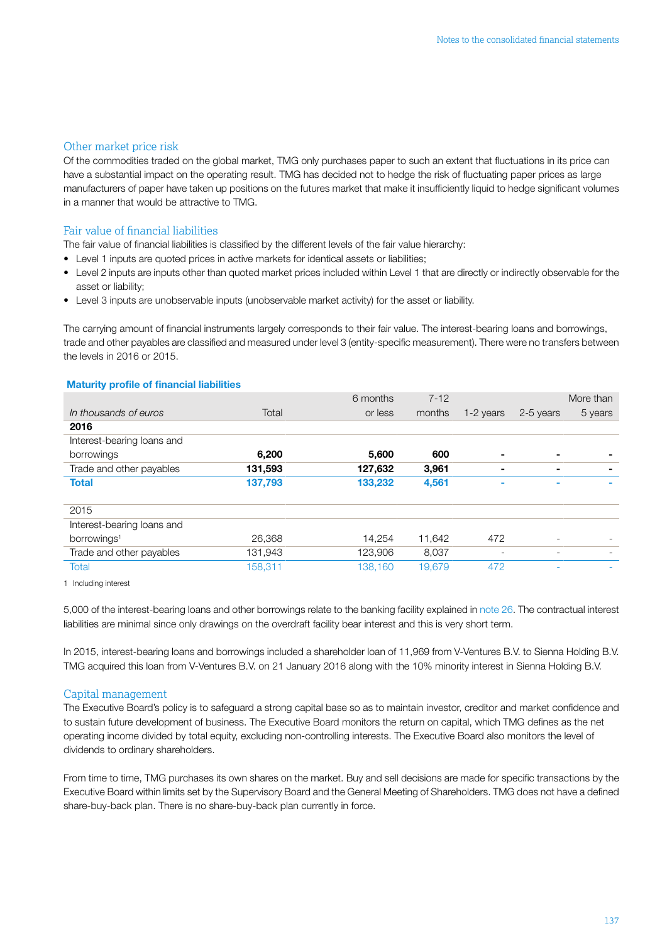### Other market price risk

Of the commodities traded on the global market, TMG only purchases paper to such an extent that fluctuations in its price can have a substantial impact on the operating result. TMG has decided not to hedge the risk of fluctuating paper prices as large manufacturers of paper have taken up positions on the futures market that make it insufficiently liquid to hedge significant volumes in a manner that would be attractive to TMG.

### Fair value of financial liabilities

The fair value of financial liabilities is classified by the different levels of the fair value hierarchy:

- Level 1 inputs are quoted prices in active markets for identical assets or liabilities;
- Level 2 inputs are inputs other than quoted market prices included within Level 1 that are directly or indirectly observable for the asset or liability;
- Level 3 inputs are unobservable inputs (unobservable market activity) for the asset or liability.

The carrying amount of financial instruments largely corresponds to their fair value. The interest-bearing loans and borrowings, trade and other payables are classified and measured under level 3 (entity-specific measurement). There were no transfers between the levels in 2016 or 2015.

### Maturity profile of financial liabilities

|         | 6 months | $7 - 12$ |           |                          | More than |
|---------|----------|----------|-----------|--------------------------|-----------|
| Total   | or less  | months   | 1-2 years | 2-5 years                | 5 years   |
|         |          |          |           |                          |           |
|         |          |          |           |                          |           |
| 6,200   | 5,600    | 600      |           | -                        |           |
| 131,593 | 127,632  | 3,961    |           | $\blacksquare$           |           |
| 137,793 | 133,232  | 4,561    |           | -                        |           |
|         |          |          |           |                          |           |
|         |          |          |           |                          |           |
|         |          |          |           |                          |           |
| 26,368  | 14.254   | 11,642   | 472       |                          |           |
| 131,943 | 123,906  | 8.037    |           | $\overline{\phantom{0}}$ |           |
| 158,311 | 138,160  | 19,679   | 472       |                          |           |
|         |          |          |           |                          |           |

1 Including interest

5,000 of the interest-bearing loans and other borrowings relate to the banking facility explained in [note](#page-40-0) 26. The contractual interest liabilities are minimal since only drawings on the overdraft facility bear interest and this is very short term.

In 2015, interest-bearing loans and borrowings included a shareholder loan of 11,969 from V-Ventures B.V. to Sienna Holding B.V. TMG acquired this loan from V-Ventures B.V. on 21 January 2016 along with the 10% minority interest in Sienna Holding B.V.

### Capital management

The Executive Board's policy is to safeguard a strong capital base so as to maintain investor, creditor and market confidence and to sustain future development of business. The Executive Board monitors the return on capital, which TMG defines as the net operating income divided by total equity, excluding non-controlling interests. The Executive Board also monitors the level of dividends to ordinary shareholders.

From time to time, TMG purchases its own shares on the market. Buy and sell decisions are made for specific transactions by the Executive Board within limits set by the Supervisory Board and the General Meeting of Shareholders. TMG does not have a defined share-buy-back plan. There is no share-buy-back plan currently in force.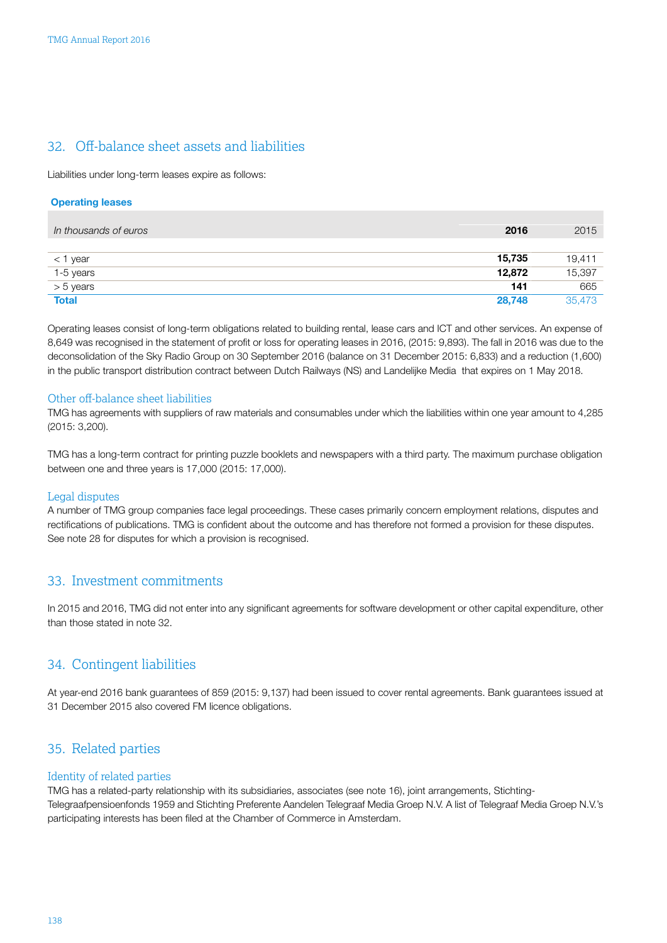### <span id="page-52-0"></span>32. Off-balance sheet assets and liabilities

Liabilities under long-term leases expire as follows:

### Operating leases

| In thousands of euros | 2016   | 2015   |
|-----------------------|--------|--------|
|                       |        |        |
| $<$ 1 year            | 15,735 | 19,411 |
| 1-5 years             | 12,872 | 15,397 |
| > 5 years             | 141    | 665    |
| <b>Total</b>          | 28,748 | 35.473 |

Operating leases consist of long-term obligations related to building rental, lease cars and ICT and other services. An expense of 8,649 was recognised in the statement of profit or loss for operating leases in 2016, (2015: 9,893). The fall in 2016 was due to the deconsolidation of the Sky Radio Group on 30 September 2016 (balance on 31 December 2015: 6,833) and a reduction (1,600) in the public transport distribution contract between Dutch Railways (NS) and Landelijke Media that expires on 1 May 2018.

### Other off-balance sheet liabilities

TMG has agreements with suppliers of raw materials and consumables under which the liabilities within one year amount to 4,285 (2015: 3,200).

TMG has a long-term contract for printing puzzle booklets and newspapers with a third party. The maximum purchase obligation between one and three years is 17,000 (2015: 17,000).

### Legal disputes

A number of TMG group companies face legal proceedings. These cases primarily concern employment relations, disputes and rectifications of publications. TMG is confident about the outcome and has therefore not formed a provision for these disputes. See note 28 for disputes for which a provision is recognised.

### 33. Investment commitments

In 2015 and 2016, TMG did not enter into any significant agreements for software development or other capital expenditure, other than those stated in note 32.

### 34. Contingent liabilities

At year-end 2016 bank guarantees of 859 (2015: 9,137) had been issued to cover rental agreements. Bank guarantees issued at 31 December 2015 also covered FM licence obligations.

### 35. Related parties

### Identity of related parties

TMG has a related-party relationship with its subsidiaries, associates (see note 16), joint arrangements, Stichting-Telegraafpensioenfonds 1959 and Stichting Preferente Aandelen Telegraaf Media Groep N.V. A list of Telegraaf Media Groep N.V.'s participating interests has been filed at the Chamber of Commerce in Amsterdam.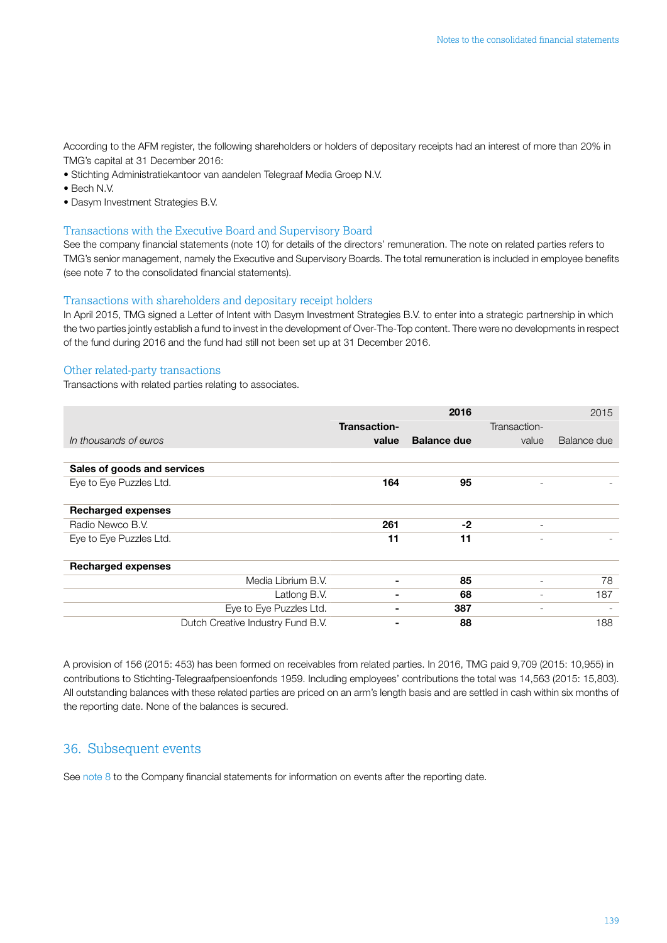<span id="page-53-0"></span>According to the AFM register, the following shareholders or holders of depositary receipts had an interest of more than 20% in TMG's capital at 31 December 2016:

- Stichting Administratiekantoor van aandelen Telegraaf Media Groep N.V.
- Bech N.V.
- Dasym Investment Strategies B.V.

### Transactions with the Executive Board and Supervisory Board

See the company financial statements (note 10) for details of the directors' remuneration. The note on related parties refers to TMG's senior management, namely the Executive and Supervisory Boards. The total remuneration is included in employee benefits (see note 7 to the consolidated financial statements).

### Transactions with shareholders and depositary receipt holders

In April 2015, TMG signed a Letter of Intent with Dasym Investment Strategies B.V. to enter into a strategic partnership in which the two parties jointly establish a fund to invest in the development of Over-The-Top content. There were no developments in respect of the fund during 2016 and the fund had still not been set up at 31 December 2016.

### Other related-party transactions

Transactions with related parties relating to associates.

|                                   |              | 2016               |                          | 2015        |
|-----------------------------------|--------------|--------------------|--------------------------|-------------|
|                                   | Transaction- |                    | Transaction-             |             |
| In thousands of euros             | value        | <b>Balance due</b> | value                    | Balance due |
|                                   |              |                    |                          |             |
| Sales of goods and services       |              |                    |                          |             |
| Eye to Eye Puzzles Ltd.           | 164          | 95                 |                          |             |
|                                   |              |                    |                          |             |
| <b>Recharged expenses</b>         |              |                    |                          |             |
| Radio Newco B.V.                  | 261          | -2                 | $\overline{\phantom{a}}$ |             |
| Eye to Eye Puzzles Ltd.           | 11           | 11                 | $\overline{\phantom{0}}$ |             |
| <b>Recharged expenses</b>         |              |                    |                          |             |
| Media Librium B.V.                |              | 85                 | $\overline{\phantom{0}}$ | 78          |
| Latlong B.V.                      |              | 68                 | $\overline{\phantom{a}}$ | 187         |
| Eye to Eye Puzzles Ltd.           |              | 387                |                          |             |
| Dutch Creative Industry Fund B.V. |              | 88                 |                          | 188         |

A provision of 156 (2015: 453) has been formed on receivables from related parties. In 2016, TMG paid 9,709 (2015: 10,955) in contributions to Stichting-Telegraafpensioenfonds 1959. Including employees' contributions the total was 14,563 (2015: 15,803). All outstanding balances with these related parties are priced on an arm's length basis and are settled in cash within six months of the reporting date. None of the balances is secured.

### 36. Subsequent events

See [note 8](#page-60-0) to the Company financial statements for information on events after the reporting date.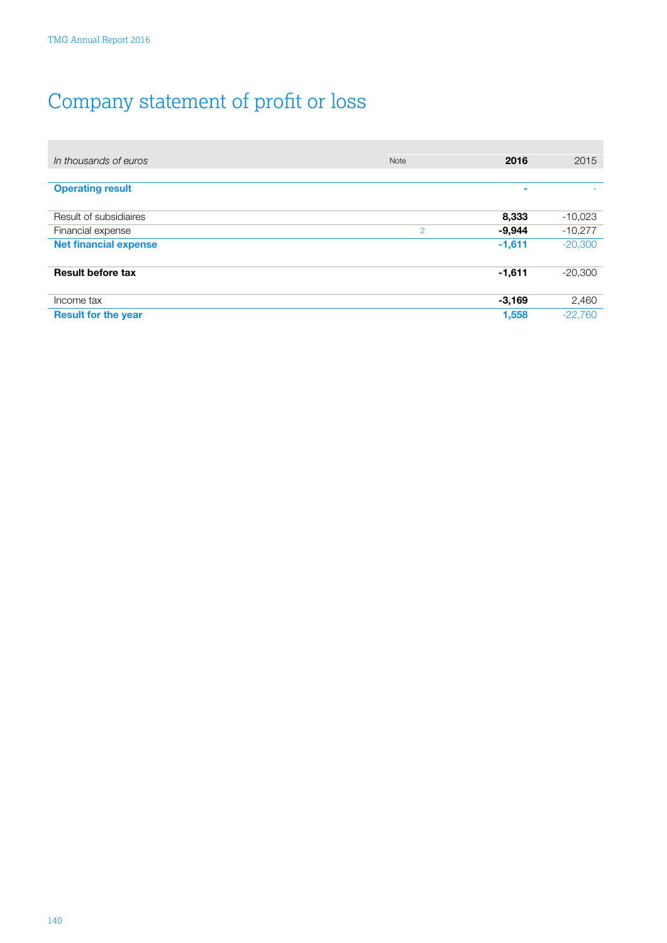**College** 

# <span id="page-54-0"></span>Company statement of proƮt or loss

| In thousands of euros        | <b>Note</b>    | 2016     | 2015      |
|------------------------------|----------------|----------|-----------|
|                              |                |          |           |
| <b>Operating result</b>      |                | -        |           |
|                              |                |          |           |
| Result of subsidiaires       |                | 8,333    | $-10,023$ |
| Financial expense            | $\overline{2}$ | $-9,944$ | $-10,277$ |
| <b>Net financial expense</b> |                | $-1,611$ | $-20,300$ |
|                              |                |          |           |
| <b>Result before tax</b>     |                | $-1,611$ | $-20,300$ |
|                              |                |          |           |
| Income tax                   |                | $-3,169$ | 2,460     |
| <b>Result for the year</b>   |                | 1.558    | $-22.760$ |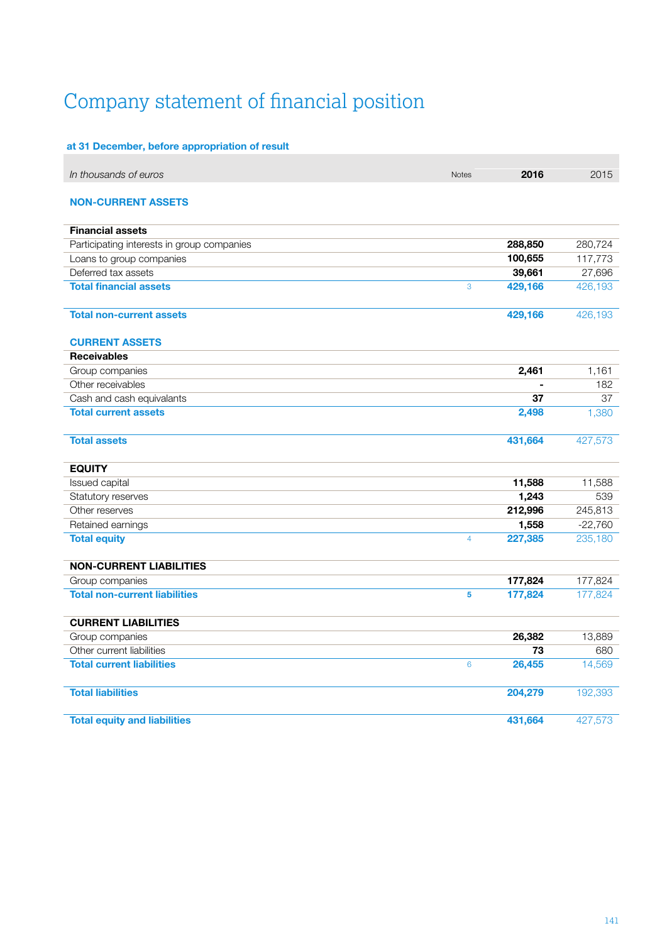# <span id="page-55-0"></span>Company statement of financial position

### at 31 December, before appropriation of result

| In thousands of euros                      | <b>Notes</b>   | 2016    | 2015      |
|--------------------------------------------|----------------|---------|-----------|
| <b>NON-CURRENT ASSETS</b>                  |                |         |           |
| <b>Financial assets</b>                    |                |         |           |
| Participating interests in group companies |                | 288,850 | 280,724   |
| Loans to group companies                   |                | 100,655 | 117,773   |
| Deferred tax assets                        |                | 39,661  | 27,696    |
| <b>Total financial assets</b>              | 3              | 429,166 | 426,193   |
| <b>Total non-current assets</b>            |                | 429,166 | 426,193   |
| <b>CURRENT ASSETS</b>                      |                |         |           |
| <b>Receivables</b>                         |                |         |           |
| Group companies                            |                | 2,461   | 1,161     |
| Other receivables                          |                |         | 182       |
| Cash and cash equivalants                  |                | 37      | 37        |
| <b>Total current assets</b>                |                | 2,498   | 1,380     |
| <b>Total assets</b>                        |                | 431,664 | 427,573   |
| <b>EQUITY</b>                              |                |         |           |
| Issued capital                             |                | 11,588  | 11,588    |
| Statutory reserves                         |                | 1,243   | 539       |
| Other reserves                             |                | 212,996 | 245,813   |
| Retained earnings                          |                | 1,558   | $-22,760$ |
| <b>Total equity</b>                        | $\overline{4}$ | 227,385 | 235,180   |
| <b>NON-CURRENT LIABILITIES</b>             |                |         |           |
| Group companies                            |                | 177,824 | 177,824   |
| <b>Total non-current liabilities</b>       | 5              | 177,824 | 177,824   |
| <b>CURRENT LIABILITIES</b>                 |                |         |           |
| Group companies                            |                | 26,382  | 13,889    |
| Other current liabilities                  |                | 73      | 680       |
| <b>Total current liabilities</b>           | 6              | 26,455  | 14,569    |
| <b>Total liabilities</b>                   |                | 204,279 | 192,393   |
| <b>Total equity and liabilities</b>        |                | 431,664 | 427,573   |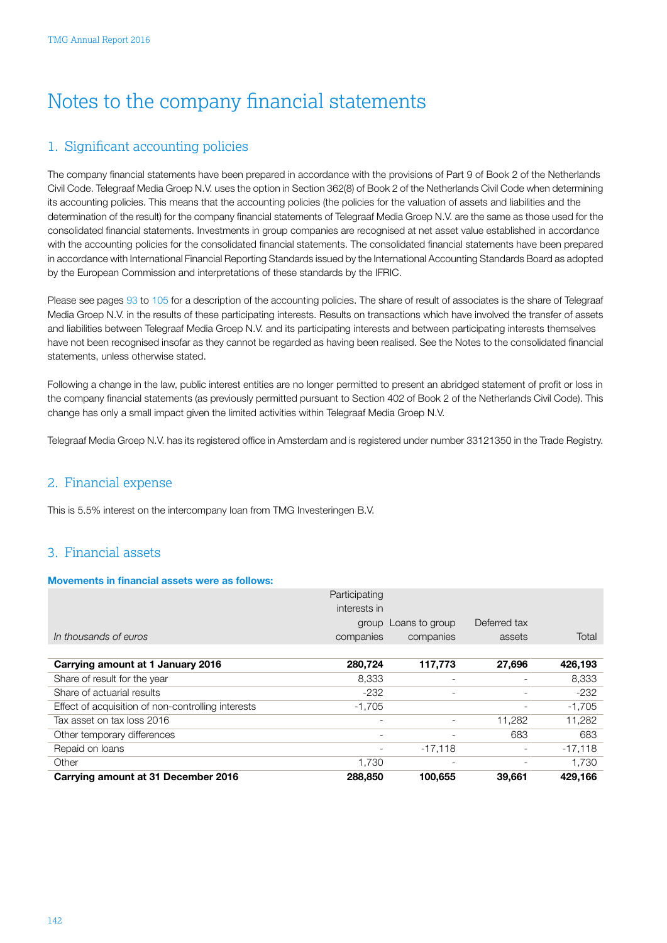## <span id="page-56-0"></span>Notes to the company financial statements

### 1. Significant accounting policies

The company financial statements have been prepared in accordance with the provisions of Part 9 of Book 2 of the Netherlands Civil Code. Telegraaf Media Groep N.V. uses the option in Section 362(8) of Book 2 of the Netherlands Civil Code when determining its accounting policies. This means that the accounting policies (the policies for the valuation of assets and liabilities and the determination of the result) for the company financial statements of Telegraaf Media Groep N.V. are the same as those used for the consolidated financial statements. Investments in group companies are recognised at net asset value established in accordance with the accounting policies for the consolidated financial statements. The consolidated financial statements have been prepared in accordance with International Financial Reporting Standards issued by the International Accounting Standards Board as adopted by the European Commission and interpretations of these standards by the IFRIC.

Please see pages [93](#page-7-0) to [105](#page-19-0) for a description of the accounting policies. The share of result of associates is the share of Telegraaf Media Groep N.V. in the results of these participating interests. Results on transactions which have involved the transfer of assets and liabilities between Telegraaf Media Groep N.V. and its participating interests and between participating interests themselves have not been recognised insofar as they cannot be regarded as having been realised. See the Notes to the consolidated financial statements, unless otherwise stated.

Following a change in the law, public interest entities are no longer permitted to present an abridged statement of profit or loss in the company financial statements (as previously permitted pursuant to Section 402 of Book 2 of the Netherlands Civil Code). This change has only a small impact given the limited activities within Telegraaf Media Groep N.V.

Telegraaf Media Groep N.V. has its registered office in Amsterdam and is registered under number 33121350 in the Trade Registry.

### 2. Financial expense

This is 5.5% interest on the intercompany loan from TMG Investeringen B.V.

### 3. Financial assets

### Movements in financial assets were as follows:

|                                                    | Participating |                          |                          |           |
|----------------------------------------------------|---------------|--------------------------|--------------------------|-----------|
|                                                    | interests in  |                          |                          |           |
|                                                    | group         | Loans to group           | Deferred tax             |           |
| In thousands of euros                              | companies     | companies                | assets                   | Total     |
|                                                    |               |                          |                          |           |
| Carrying amount at 1 January 2016                  | 280,724       | 117,773                  | 27,696                   | 426,193   |
| Share of result for the year                       | 8,333         | $\overline{\phantom{a}}$ |                          | 8,333     |
| Share of actuarial results                         | -232          | $\qquad \qquad -$        |                          | $-232$    |
| Effect of acquisition of non-controlling interests | -1.705        |                          |                          | $-1,705$  |
| Tax asset on tax loss 2016                         |               |                          | 11.282                   | 11,282    |
| Other temporary differences                        |               |                          | 683                      | 683       |
| Repaid on loans                                    |               | $-17.118$                | $\overline{\phantom{a}}$ | $-17,118$ |
| Other                                              | 1.730         | $\overline{\phantom{0}}$ |                          | 1.730     |
| Carrying amount at 31 December 2016                | 288,850       | 100,655                  | 39.661                   | 429,166   |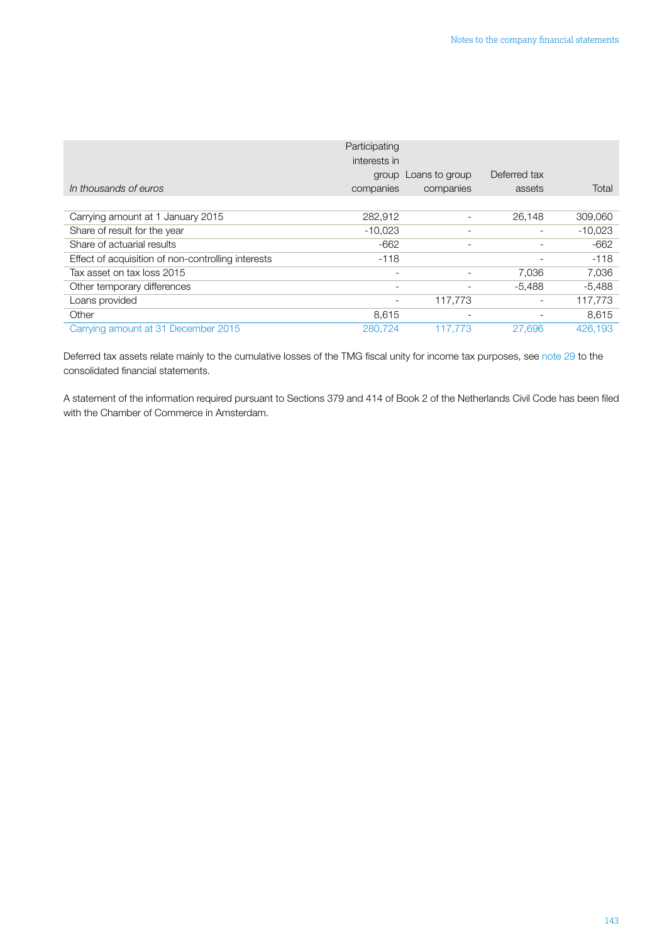|                                                    | Participating<br>interests in<br>group | Loans to group           | Deferred tax             |           |
|----------------------------------------------------|----------------------------------------|--------------------------|--------------------------|-----------|
| In thousands of euros                              | companies                              | companies                | assets                   | Total     |
|                                                    |                                        |                          |                          |           |
| Carrying amount at 1 January 2015                  | 282,912                                |                          | 26,148                   | 309,060   |
| Share of result for the year                       | $-10.023$                              | $\overline{\phantom{0}}$ | $\overline{\phantom{a}}$ | $-10,023$ |
| Share of actuarial results                         | -662                                   | $\overline{\phantom{0}}$ |                          | $-662$    |
| Effect of acquisition of non-controlling interests | $-118$                                 |                          |                          | $-118$    |
| Tax asset on tax loss 2015                         | $\overline{\phantom{a}}$               |                          | 7,036                    | 7,036     |
| Other temporary differences                        |                                        |                          | $-5,488$                 | $-5,488$  |
| Loans provided                                     |                                        | 117.773                  | $\overline{\phantom{a}}$ | 117,773   |
| Other                                              | 8,615                                  | $\overline{\phantom{0}}$ |                          | 8.615     |
| Carrying amount at 31 December 2015                | 280,724                                | 117.773                  | 27,696                   | 426.193   |

Deferred tax assets relate mainly to the cumulative losses of the TMG fiscal unity for income tax purposes, see [note 29](#page-47-0) to the consolidated financial statements.

A statement of the information required pursuant to Sections 379 and 414 of Book 2 of the Netherlands Civil Code has been filed with the Chamber of Commerce in Amsterdam.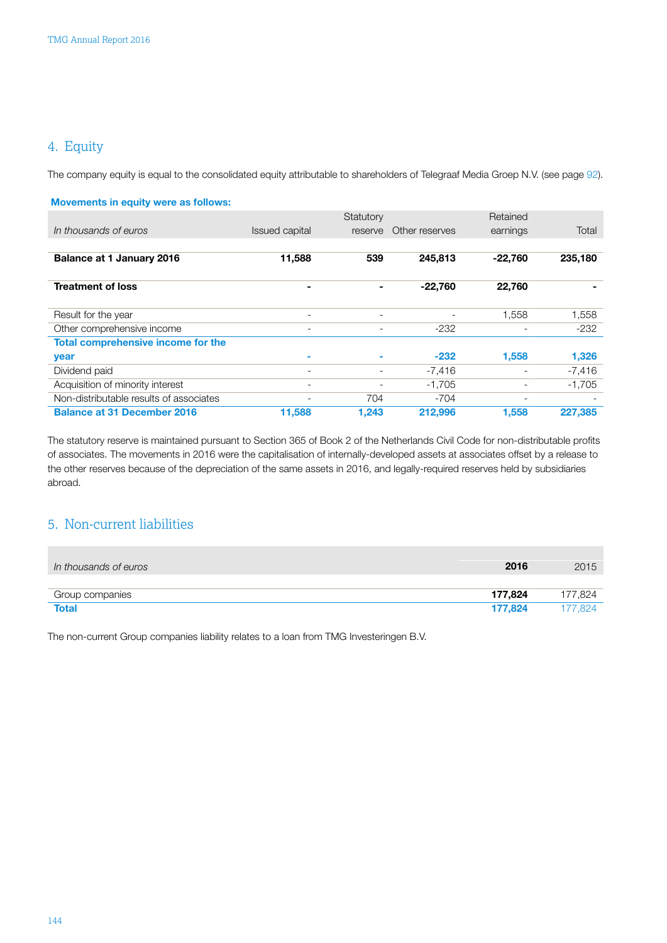### <span id="page-58-0"></span>4. Equity

The company equity is equal to the consolidated equity attributable to shareholders of Telegraaf Media Groep N.V. (see page [92\)](#page-6-0).

| <b>Movements in equity were as follows:</b> |                          |           |                |                          |          |
|---------------------------------------------|--------------------------|-----------|----------------|--------------------------|----------|
|                                             |                          | Statutory |                | Retained                 |          |
| In thousands of euros                       | <b>Issued capital</b>    | reserve   | Other reserves | earnings                 | Total    |
|                                             |                          |           |                |                          |          |
| <b>Balance at 1 January 2016</b>            | 11,588                   | 539       | 245,813        | $-22,760$                | 235,180  |
| <b>Treatment of loss</b>                    | $\overline{\phantom{a}}$ |           | $-22,760$      | 22,760                   |          |
| Result for the year                         | $\overline{\phantom{0}}$ |           |                | 1,558                    | 1,558    |
| Other comprehensive income                  | $\overline{\phantom{a}}$ | -         | $-232$         | $\overline{\phantom{a}}$ | $-232$   |
| Total comprehensive income for the          |                          |           |                |                          |          |
| year                                        | ۰                        |           | $-232$         | 1.558                    | 1,326    |
| Dividend paid                               | $\overline{\phantom{a}}$ |           | $-7,416$       | $\overline{\phantom{a}}$ | $-7,416$ |
| Acquisition of minority interest            | $\overline{\phantom{0}}$ |           | $-1.705$       |                          | $-1,705$ |
| Non-distributable results of associates     |                          | 704       | $-704$         | $\overline{\phantom{0}}$ |          |
| <b>Balance at 31 December 2016</b>          | 11,588                   | 1.243     | 212,996        | 1.558                    | 227,385  |

The statutory reserve is maintained pursuant to Section 365 of Book 2 of the Netherlands Civil Code for non-distributable profits of associates. The movements in 2016 were the capitalisation of internally-developed assets at associates offset by a release to the other reserves because of the depreciation of the same assets in 2016, and legally-required reserves held by subsidiaries abroad.

### 5. Non-current liabilities

| In thousands of euros | 2016    | 2015    |
|-----------------------|---------|---------|
|                       |         |         |
| Group companies       | 177,824 | 177.824 |
| <b>Total</b>          | 177.824 | 77,824  |

The non-current Group companies liability relates to a loan from TMG Investeringen B.V.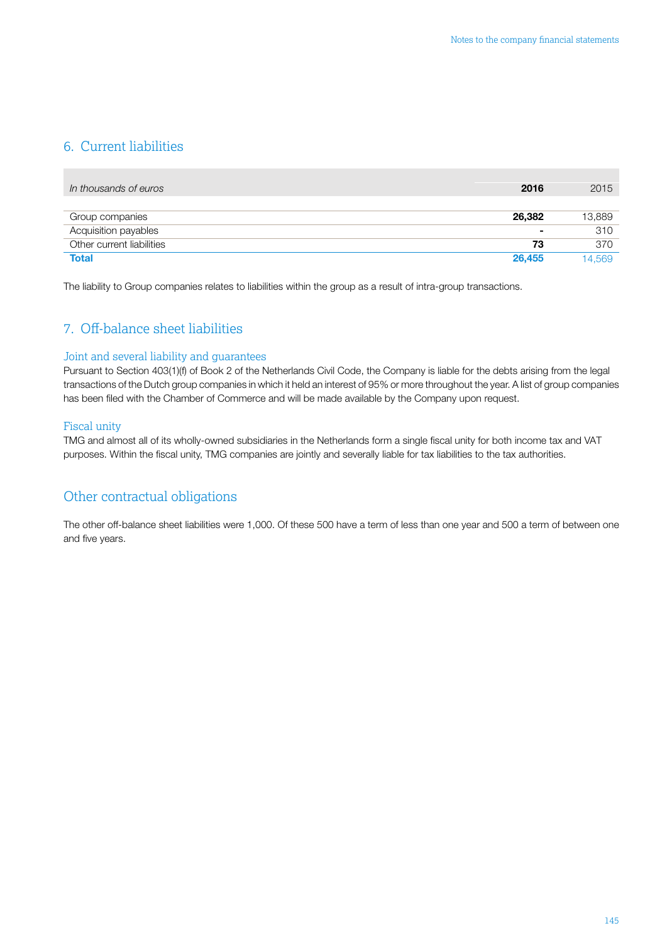### <span id="page-59-0"></span>6. Current liabilities

| In thousands of euros     | 2016   | 2015   |
|---------------------------|--------|--------|
|                           |        |        |
| Group companies           | 26.382 | 13,889 |
| Acquisition payables      | ۰      | 310    |
| Other current liabilities | 73     | 370    |
| <b>Total</b>              | 26,455 | 14.569 |

The liability to Group companies relates to liabilities within the group as a result of intra-group transactions.

### 7. Off-balance sheet liabilities

### Joint and several liability and guarantees

Pursuant to Section 403(1)(f) of Book 2 of the Netherlands Civil Code, the Company is liable for the debts arising from the legal transactions of the Dutch group companies in which it held an interest of 95% or more throughout the year. A list of group companies has been filed with the Chamber of Commerce and will be made available by the Company upon request.

### Fiscal unity

TMG and almost all of its wholly-owned subsidiaries in the Netherlands form a single fiscal unity for both income tax and VAT purposes. Within the fiscal unity, TMG companies are jointly and severally liable for tax liabilities to the tax authorities.

### Other contractual obligations

The other off-balance sheet liabilities were 1,000. Of these 500 have a term of less than one year and 500 a term of between one and five years.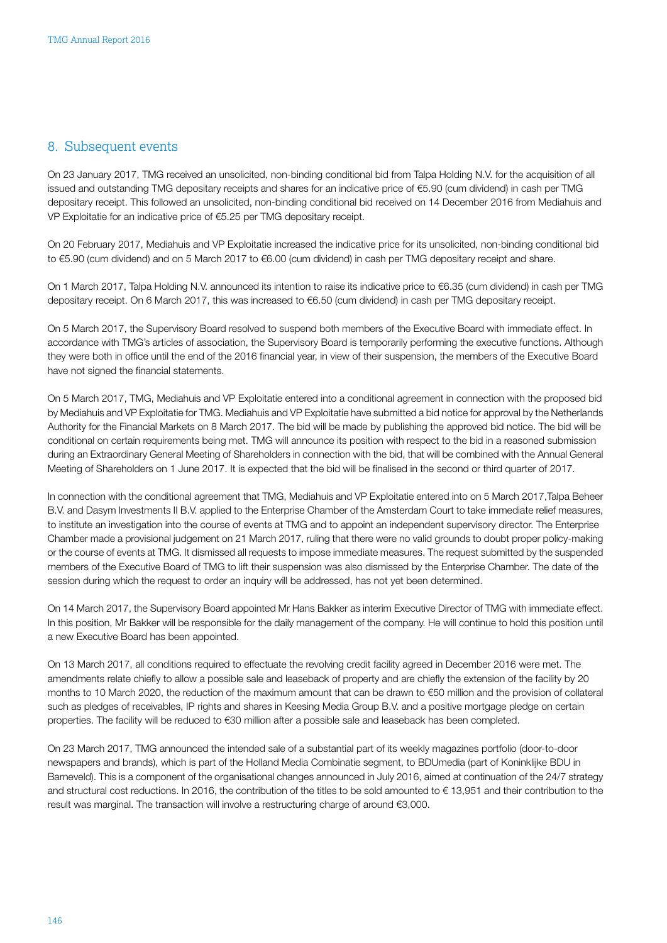### <span id="page-60-0"></span>8. Subsequent events

On 23 January 2017, TMG received an unsolicited, non-binding conditional bid from Talpa Holding N.V. for the acquisition of all issued and outstanding TMG depositary receipts and shares for an indicative price of €5.90 (cum dividend) in cash per TMG depositary receipt. This followed an unsolicited, non-binding conditional bid received on 14 December 2016 from Mediahuis and VP Exploitatie for an indicative price of €5.25 per TMG depositary receipt.

On 20 February 2017, Mediahuis and VP Exploitatie increased the indicative price for its unsolicited, non-binding conditional bid to €5.90 (cum dividend) and on 5 March 2017 to €6.00 (cum dividend) in cash per TMG depositary receipt and share.

On 1 March 2017, Talpa Holding N.V. announced its intention to raise its indicative price to €6.35 (cum dividend) in cash per TMG depositary receipt. On 6 March 2017, this was increased to €6.50 (cum dividend) in cash per TMG depositary receipt.

On 5 March 2017, the Supervisory Board resolved to suspend both members of the Executive Board with immediate effect. In accordance with TMG's articles of association, the Supervisory Board is temporarily performing the executive functions. Although they were both in office until the end of the 2016 financial year, in view of their suspension, the members of the Executive Board have not signed the financial statements.

On 5 March 2017, TMG, Mediahuis and VP Exploitatie entered into a conditional agreement in connection with the proposed bid by Mediahuis and VP Exploitatie for TMG. Mediahuis and VP Exploitatie have submitted a bid notice for approval by the Netherlands Authority for the Financial Markets on 8 March 2017. The bid will be made by publishing the approved bid notice. The bid will be conditional on certain requirements being met. TMG will announce its position with respect to the bid in a reasoned submission during an Extraordinary General Meeting of Shareholders in connection with the bid, that will be combined with the Annual General Meeting of Shareholders on 1 June 2017. It is expected that the bid will be finalised in the second or third quarter of 2017.

In connection with the conditional agreement that TMG, Mediahuis and VP Exploitatie entered into on 5 March 2017,Talpa Beheer B.V. and Dasym Investments II B.V. applied to the Enterprise Chamber of the Amsterdam Court to take immediate relief measures, to institute an investigation into the course of events at TMG and to appoint an independent supervisory director. The Enterprise Chamber made a provisional judgement on 21 March 2017, ruling that there were no valid grounds to doubt proper policy-making or the course of events at TMG. It dismissed all requests to impose immediate measures. The request submitted by the suspended members of the Executive Board of TMG to lift their suspension was also dismissed by the Enterprise Chamber. The date of the session during which the request to order an inquiry will be addressed, has not yet been determined.

On 14 March 2017, the Supervisory Board appointed Mr Hans Bakker as interim Executive Director of TMG with immediate effect. In this position, Mr Bakker will be responsible for the daily management of the company. He will continue to hold this position until a new Executive Board has been appointed.

On 13 March 2017, all conditions required to effectuate the revolving credit facility agreed in December 2016 were met. The amendments relate chiefly to allow a possible sale and leaseback of property and are chiefly the extension of the facility by 20 months to 10 March 2020, the reduction of the maximum amount that can be drawn to €50 million and the provision of collateral such as pledges of receivables, IP rights and shares in Keesing Media Group B.V. and a positive mortgage pledge on certain properties. The facility will be reduced to €30 million after a possible sale and leaseback has been completed.

On 23 March 2017, TMG announced the intended sale of a substantial part of its weekly magazines portfolio (door-to-door newspapers and brands), which is part of the Holland Media Combinatie segment, to BDUmedia (part of Koninklijke BDU in Barneveld). This is a component of the organisational changes announced in July 2016, aimed at continuation of the 24/7 strategy and structural cost reductions. In 2016, the contribution of the titles to be sold amounted to € 13,951 and their contribution to the result was marginal. The transaction will involve a restructuring charge of around €3,000.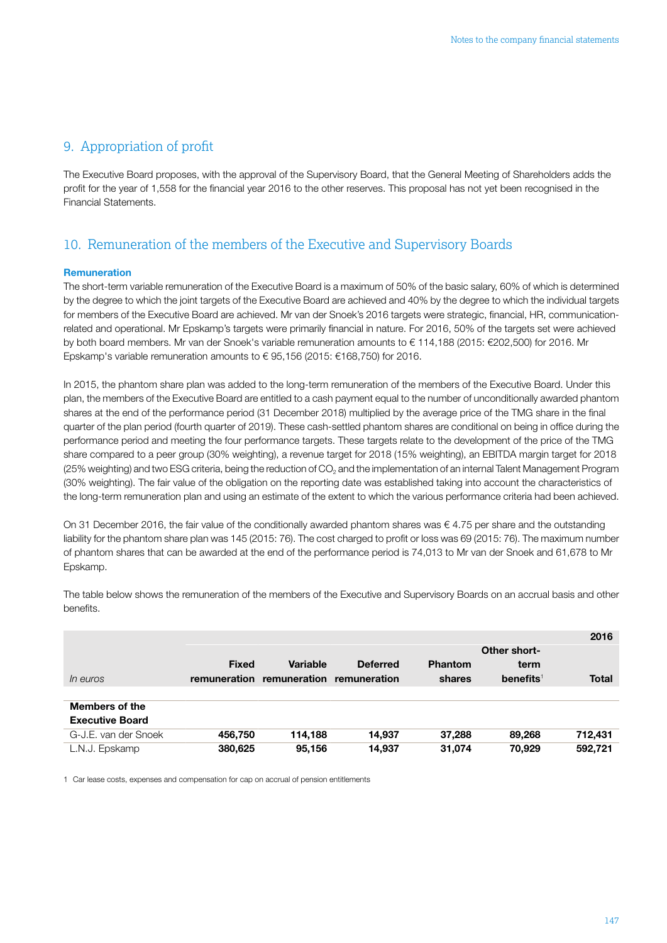### <span id="page-61-0"></span>9. Appropriation of profit

The Executive Board proposes, with the approval of the Supervisory Board, that the General Meeting of Shareholders adds the profit for the year of 1,558 for the financial year 2016 to the other reserves. This proposal has not yet been recognised in the Financial Statements.

### 10. Remuneration of the members of the Executive and Supervisory Boards

### Remuneration

The short-term variable remuneration of the Executive Board is a maximum of 50% of the basic salary, 60% of which is determined by the degree to which the joint targets of the Executive Board are achieved and 40% by the degree to which the individual targets for members of the Executive Board are achieved. Mr van der Snoek's 2016 targets were strategic, financial, HR, communicationrelated and operational. Mr Epskamp's targets were primarily financial in nature. For 2016, 50% of the targets set were achieved by both board members. Mr van der Snoek's variable remuneration amounts to € 114,188 (2015: €202,500) for 2016. Mr Epskamp's variable remuneration amounts to € 95,156 (2015: €168,750) for 2016.

In 2015, the phantom share plan was added to the long-term remuneration of the members of the Executive Board. Under this plan, the members of the Executive Board are entitled to a cash payment equal to the number of unconditionally awarded phantom shares at the end of the performance period (31 December 2018) multiplied by the average price of the TMG share in the final quarter of the plan period (fourth quarter of 2019). These cash-settled phantom shares are conditional on being in office during the performance period and meeting the four performance targets. These targets relate to the development of the price of the TMG share compared to a peer group (30% weighting), a revenue target for 2018 (15% weighting), an EBITDA margin target for 2018 (25% weighting) and two ESG criteria, being the reduction of CO<sub>2</sub> and the implementation of an internal Talent Management Program (30% weighting). The fair value of the obligation on the reporting date was established taking into account the characteristics of the long-term remuneration plan and using an estimate of the extent to which the various performance criteria had been achieved.

On 31 December 2016, the fair value of the conditionally awarded phantom shares was € 4.75 per share and the outstanding liability for the phantom share plan was 145 (2015: 76). The cost charged to profit or loss was 69 (2015: 76). The maximum number of phantom shares that can be awarded at the end of the performance period is 74,013 to Mr van der Snoek and 61,678 to Mr Epskamp.

The table below shows the remuneration of the members of the Executive and Supervisory Boards on an accrual basis and other benefits.

|                        |              |              |                 |                |                       | 2016         |
|------------------------|--------------|--------------|-----------------|----------------|-----------------------|--------------|
|                        |              |              |                 |                | Other short-          |              |
|                        | <b>Fixed</b> | Variable     | <b>Deferred</b> | <b>Phantom</b> | term                  |              |
| <i>In euros</i>        | remuneration | remuneration | remuneration    | shares         | benefits <sup>1</sup> | <b>Total</b> |
|                        |              |              |                 |                |                       |              |
| <b>Members of the</b>  |              |              |                 |                |                       |              |
| <b>Executive Board</b> |              |              |                 |                |                       |              |
| G-J.E. van der Snoek   | 456,750      | 114.188      | 14,937          | 37,288         | 89,268                | 712,431      |
| L.N.J. Epskamp         | 380,625      | 95,156       | 14,937          | 31,074         | 70,929                | 592.721      |

1 Car lease costs, expenses and compensation for cap on accrual of pension entitlements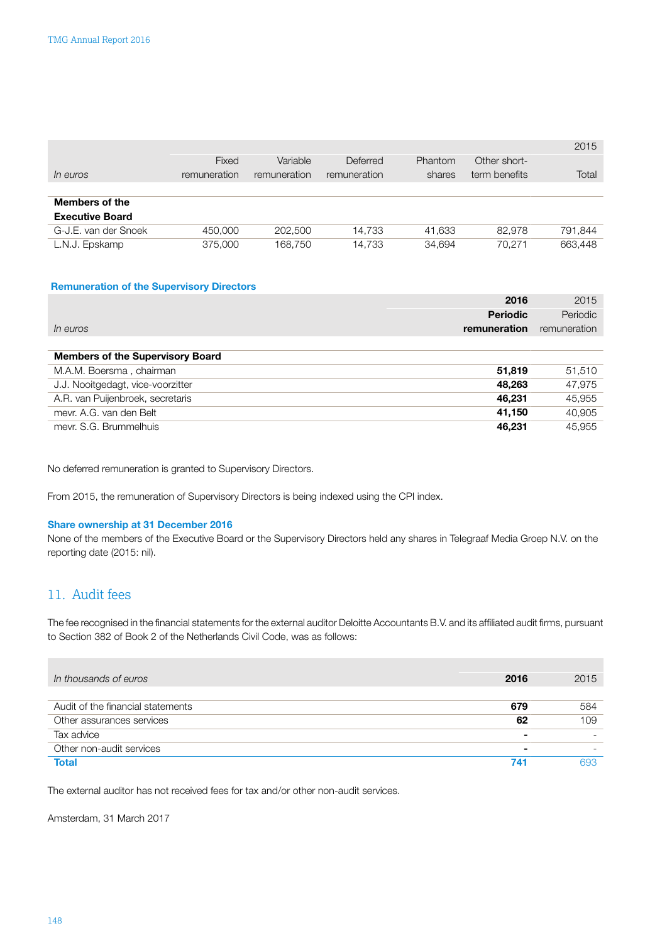<span id="page-62-0"></span>

|                        |              |              |              |         |               | 2015    |
|------------------------|--------------|--------------|--------------|---------|---------------|---------|
|                        | Fixed        | Variable     | Deferred     | Phantom | Other short-  |         |
| <i>In euros</i>        | remuneration | remuneration | remuneration | shares  | term benefits | Total   |
|                        |              |              |              |         |               |         |
| <b>Members of the</b>  |              |              |              |         |               |         |
| <b>Executive Board</b> |              |              |              |         |               |         |
| G-J.E. van der Snoek   | 450,000      | 202,500      | 14.733       | 41.633  | 82.978        | 791,844 |
| L.N.J. Epskamp         | 375,000      | 168.750      | 14.733       | 34,694  | 70.271        | 663,448 |

### Remuneration of the Supervisory Directors

|                                         | 2016            | 2015         |
|-----------------------------------------|-----------------|--------------|
|                                         | <b>Periodic</b> | Periodic     |
| <i>In euros</i>                         | remuneration    | remuneration |
|                                         |                 |              |
| <b>Members of the Supervisory Board</b> |                 |              |
| M.A.M. Boersma, chairman                | 51.819          | 51,510       |
| J.J. Nooitgedagt, vice-voorzitter       | 48.263          | 47.975       |
| A.R. van Puijenbroek, secretaris        | 46.231          | 45,955       |
| meyr. A.G. van den Belt                 | 41.150          | 40,905       |
| mevr. S.G. Brummelhuis                  | 46.231          | 45.955       |

No deferred remuneration is granted to Supervisory Directors.

From 2015, the remuneration of Supervisory Directors is being indexed using the CPI index.

### Share ownership at 31 December 2016

None of the members of the Executive Board or the Supervisory Directors held any shares in Telegraaf Media Groep N.V. on the reporting date (2015: nil).

### 11. Audit fees

The fee recognised in the financial statements for the external auditor Deloitte Accountants B.V. and its affiliated audit firms, pursuant to Section 382 of Book 2 of the Netherlands Civil Code, was as follows:

| In thousands of euros             | 2016           | 2015 |
|-----------------------------------|----------------|------|
| Audit of the financial statements | 679            | 584  |
| Other assurances services         | 62             | 109  |
| Tax advice                        | $\blacksquare$ |      |
| Other non-audit services          | $\blacksquare$ |      |
| Total                             | 741            | 693  |

The external auditor has not received fees for tax and/or other non-audit services.

Amsterdam, 31 March 2017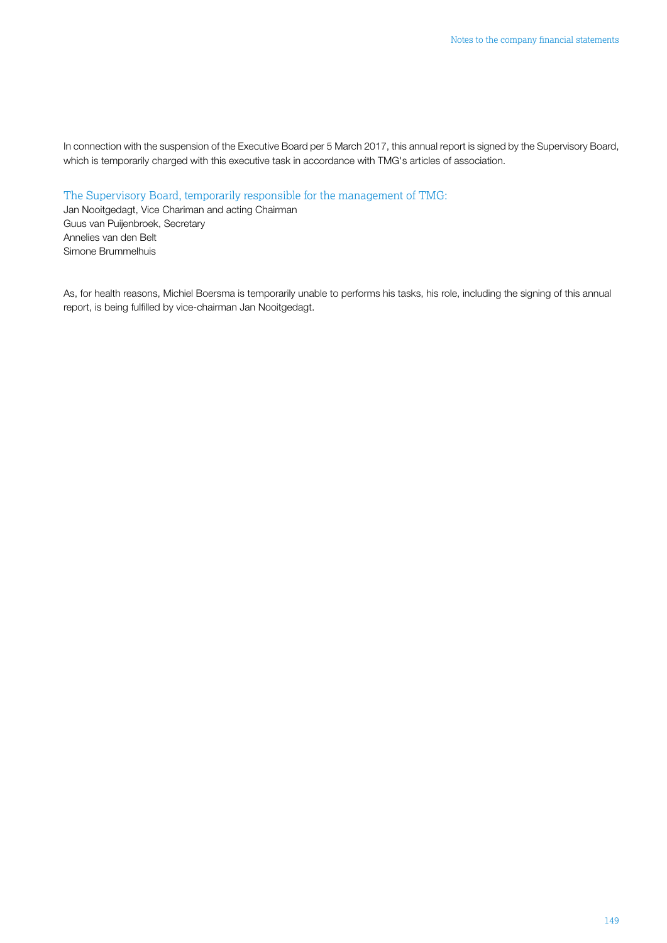In connection with the suspension of the Executive Board per 5 March 2017, this annual report is signed by the Supervisory Board, which is temporarily charged with this executive task in accordance with TMG's articles of association.

The Supervisory Board, temporarily responsible for the management of TMG:

Jan Nooitgedagt, Vice Chariman and acting Chairman Guus van Puijenbroek, Secretary Annelies van den Belt Simone Brummelhuis

As, for health reasons, Michiel Boersma is temporarily unable to performs his tasks, his role, including the signing of this annual report, is being fulfilled by vice-chairman Jan Nooitgedagt.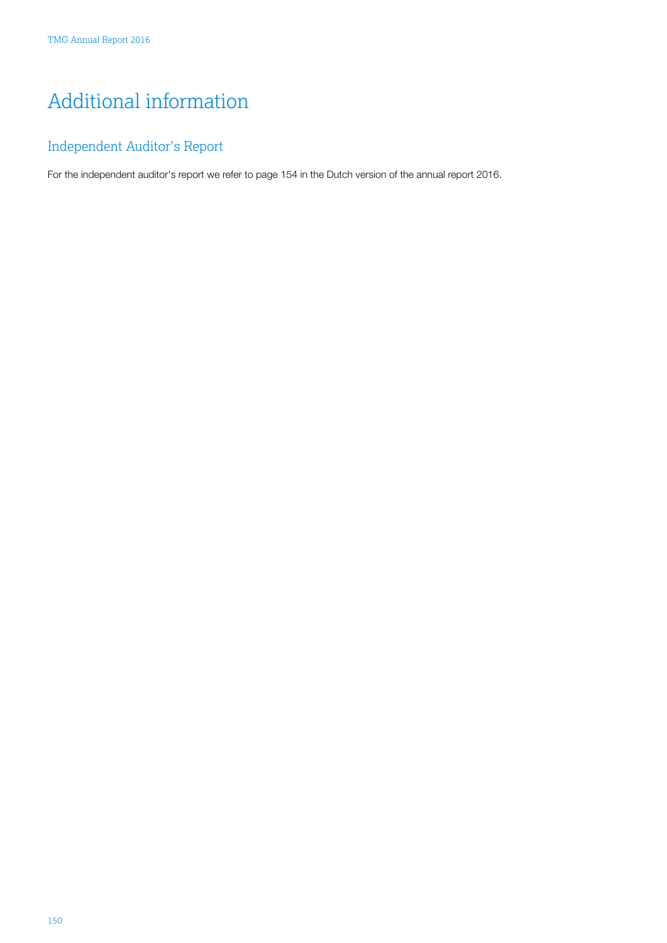# <span id="page-64-0"></span>Additional information

## Independent Auditor's Report

For the independent auditor's report we refer to page 154 in the Dutch version of the annual report 2016.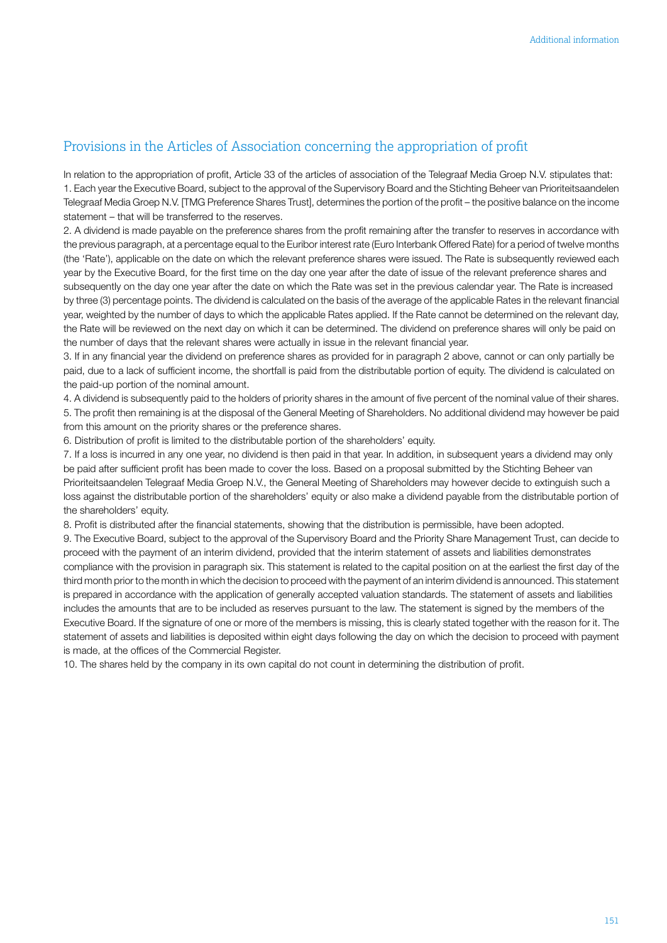### <span id="page-65-0"></span>Provisions in the Articles of Association concerning the appropriation of profit

In relation to the appropriation of profit, Article 33 of the articles of association of the Telegraaf Media Groep N.V. stipulates that: 1. Each year the Executive Board, subject to the approval of the Supervisory Board and the Stichting Beheer van Prioriteitsaandelen Telegraaf Media Groep N.V. [TMG Preference Shares Trust], determines the portion of the profit – the positive balance on the income statement – that will be transferred to the reserves.

2. A dividend is made payable on the preference shares from the profit remaining after the transfer to reserves in accordance with the previous paragraph, at a percentage equal to the Euribor interest rate (Euro Interbank Offered Rate) for a period of twelve months (the 'Rate'), applicable on the date on which the relevant preference shares were issued. The Rate is subsequently reviewed each year by the Executive Board, for the first time on the day one year after the date of issue of the relevant preference shares and subsequently on the day one year after the date on which the Rate was set in the previous calendar year. The Rate is increased by three (3) percentage points. The dividend is calculated on the basis of the average of the applicable Rates in the relevant financial year, weighted by the number of days to which the applicable Rates applied. If the Rate cannot be determined on the relevant day, the Rate will be reviewed on the next day on which it can be determined. The dividend on preference shares will only be paid on the number of days that the relevant shares were actually in issue in the relevant financial year.

3. If in any financial year the dividend on preference shares as provided for in paragraph 2 above, cannot or can only partially be paid, due to a lack of sufficient income, the shortfall is paid from the distributable portion of equity. The dividend is calculated on the paid-up portion of the nominal amount.

4. A dividend is subsequently paid to the holders of priority shares in the amount of five percent of the nominal value of their shares. 5. The profit then remaining is at the disposal of the General Meeting of Shareholders. No additional dividend may however be paid from this amount on the priority shares or the preference shares.

6. Distribution of profit is limited to the distributable portion of the shareholders' equity.

7. If a loss is incurred in any one year, no dividend is then paid in that year. In addition, in subsequent years a dividend may only be paid after sufficient profit has been made to cover the loss. Based on a proposal submitted by the Stichting Beheer van Prioriteitsaandelen Telegraaf Media Groep N.V., the General Meeting of Shareholders may however decide to extinguish such a loss against the distributable portion of the shareholders' equity or also make a dividend payable from the distributable portion of the shareholders' equity.

8. Profit is distributed after the financial statements, showing that the distribution is permissible, have been adopted.

9. The Executive Board, subject to the approval of the Supervisory Board and the Priority Share Management Trust, can decide to proceed with the payment of an interim dividend, provided that the interim statement of assets and liabilities demonstrates compliance with the provision in paragraph six. This statement is related to the capital position on at the earliest the first day of the third month prior to the month in which the decision to proceed with the payment of an interim dividend is announced. This statement is prepared in accordance with the application of generally accepted valuation standards. The statement of assets and liabilities includes the amounts that are to be included as reserves pursuant to the law. The statement is signed by the members of the Executive Board. If the signature of one or more of the members is missing, this is clearly stated together with the reason for it. The statement of assets and liabilities is deposited within eight days following the day on which the decision to proceed with payment is made, at the offices of the Commercial Register.

10. The shares held by the company in its own capital do not count in determining the distribution of profit.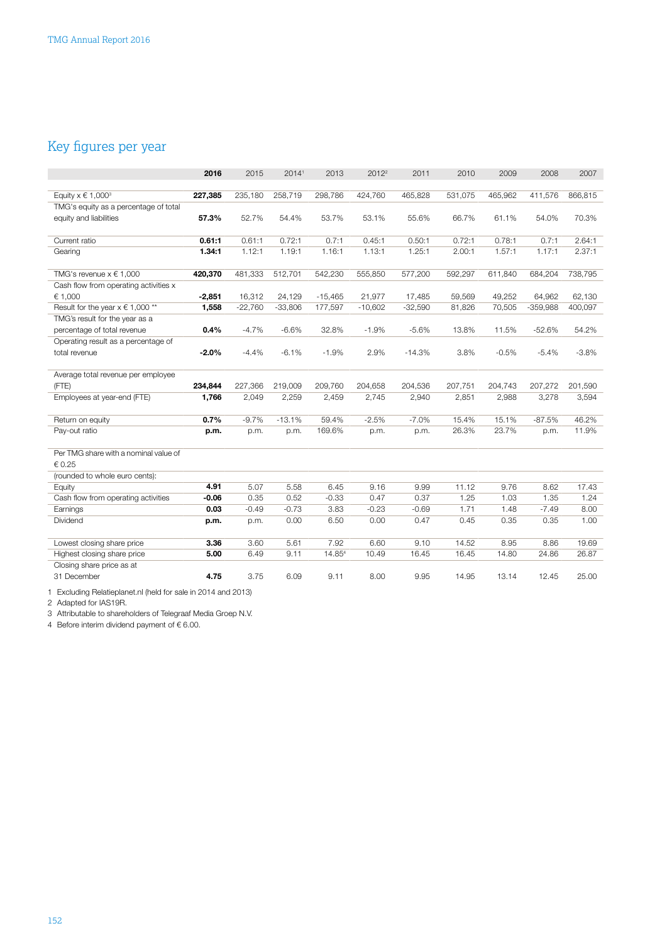## <span id="page-66-0"></span>Key figures per year

|                                       | 2016     | 2015      | 20141     | 2013      | $2012^2$  | 2011      | 2010    | 2009    | 2008       | 2007    |
|---------------------------------------|----------|-----------|-----------|-----------|-----------|-----------|---------|---------|------------|---------|
|                                       |          |           |           |           |           |           |         |         |            |         |
| Equity $x \in 1,000^3$                | 227,385  | 235,180   | 258,719   | 298,786   | 424,760   | 465,828   | 531,075 | 465,962 | 411,576    | 866,815 |
| TMG's equity as a percentage of total |          |           |           |           |           |           |         |         |            |         |
| equity and liabilities                | 57.3%    | 52.7%     | 54.4%     | 53.7%     | 53.1%     | 55.6%     | 66.7%   | 61.1%   | 54.0%      | 70.3%   |
|                                       |          |           |           |           |           |           |         |         |            |         |
| Current ratio                         | 0.61:1   | 0.61:1    | 0.72:1    | 0.7:1     | 0.45:1    | 0.50:1    | 0.72:1  | 0.78:1  | 0.7:1      | 2.64:1  |
| Gearing                               | 1.34:1   | 1.12:1    | 1.19:1    | 1.16:1    | 1.13:1    | 1.25:1    | 2.00:1  | 1.57:1  | 1.17:1     | 2.37:1  |
|                                       |          |           |           |           |           |           |         |         |            |         |
| TMG's revenue $x \in 1,000$           | 420,370  | 481,333   | 512,701   | 542,230   | 555,850   | 577,200   | 592,297 | 611,840 | 684,204    | 738,795 |
| Cash flow from operating activities x |          |           |           |           |           |           |         |         |            |         |
| € 1,000                               | $-2,851$ | 16,312    | 24,129    | $-15,465$ | 21,977    | 17,485    | 59,569  | 49,252  | 64,962     | 62,130  |
| Result for the year $x \in 1,000$ **  | 1,558    | $-22,760$ | $-33,806$ | 177,597   | $-10,602$ | $-32,590$ | 81,826  | 70,505  | $-359,988$ | 400,097 |
| TMG's result for the year as a        |          |           |           |           |           |           |         |         |            |         |
| percentage of total revenue           | 0.4%     | $-4.7%$   | $-6.6%$   | 32.8%     | $-1.9%$   | $-5.6%$   | 13.8%   | 11.5%   | $-52.6%$   | 54.2%   |
| Operating result as a percentage of   |          |           |           |           |           |           |         |         |            |         |
| total revenue                         | $-2.0%$  | $-4.4%$   | $-6.1%$   | $-1.9%$   | 2.9%      | $-14.3%$  | 3.8%    | $-0.5%$ | $-5.4%$    | $-3.8%$ |
|                                       |          |           |           |           |           |           |         |         |            |         |
| Average total revenue per employee    |          |           |           |           |           |           |         |         |            |         |
| (FTE)                                 | 234,844  | 227,366   | 219,009   | 209,760   | 204,658   | 204,536   | 207,751 | 204,743 | 207,272    | 201,590 |
| Employees at year-end (FTE)           | 1,766    | 2,049     | 2,259     | 2,459     | 2,745     | 2,940     | 2,851   | 2,988   | 3,278      | 3,594   |
|                                       |          |           |           |           |           |           |         |         |            |         |
| Return on equity                      | 0.7%     | $-9.7%$   | $-13.1%$  | 59.4%     | $-2.5%$   | $-7.0%$   | 15.4%   | 15.1%   | $-87.5%$   | 46.2%   |
| Pay-out ratio                         | p.m.     | p.m.      | p.m.      | 169.6%    | p.m.      | p.m.      | 26.3%   | 23.7%   | p.m.       | 11.9%   |
|                                       |          |           |           |           |           |           |         |         |            |         |
| Per TMG share with a nominal value of |          |           |           |           |           |           |         |         |            |         |
| € 0.25                                |          |           |           |           |           |           |         |         |            |         |
| (rounded to whole euro cents):        |          |           |           |           |           |           |         |         |            |         |
| Equity                                | 4.91     | 5.07      | 5.58      | 6.45      | 9.16      | 9.99      | 11.12   | 9.76    | 8.62       | 17.43   |
| Cash flow from operating activities   | $-0.06$  | 0.35      | 0.52      | $-0.33$   | 0.47      | 0.37      | 1.25    | 1.03    | 1.35       | 1.24    |
| Earnings                              | 0.03     | $-0.49$   | $-0.73$   | 3.83      | $-0.23$   | $-0.69$   | 1.71    | 1.48    | $-7.49$    | 8.00    |
| Dividend                              | p.m.     | p.m.      | 0.00      | 6.50      | 0.00      | 0.47      | 0.45    | 0.35    | 0.35       | 1.00    |
|                                       |          |           |           |           |           |           |         |         |            |         |
| Lowest closing share price            | 3.36     | 3.60      | 5.61      | 7.92      | 6.60      | 9.10      | 14.52   | 8.95    | 8.86       | 19.69   |
| Highest closing share price           | 5.00     | 6.49      | 9.11      | 14.854    | 10.49     | 16.45     | 16.45   | 14.80   | 24.86      | 26.87   |
| Closing share price as at             |          |           |           |           |           |           |         |         |            |         |
| 31 December                           | 4.75     | 3.75      | 6.09      | 9.11      | 8.00      | 9.95      | 14.95   | 13.14   | 12.45      | 25.00   |
|                                       |          |           |           |           |           |           |         |         |            |         |

1 Excluding Relatieplanet.nl (held for sale in 2014 and 2013)

2 Adapted for IAS19R.

3 Attributable to shareholders of Telegraaf Media Groep N.V.

4 Before interim dividend payment of € 6.00.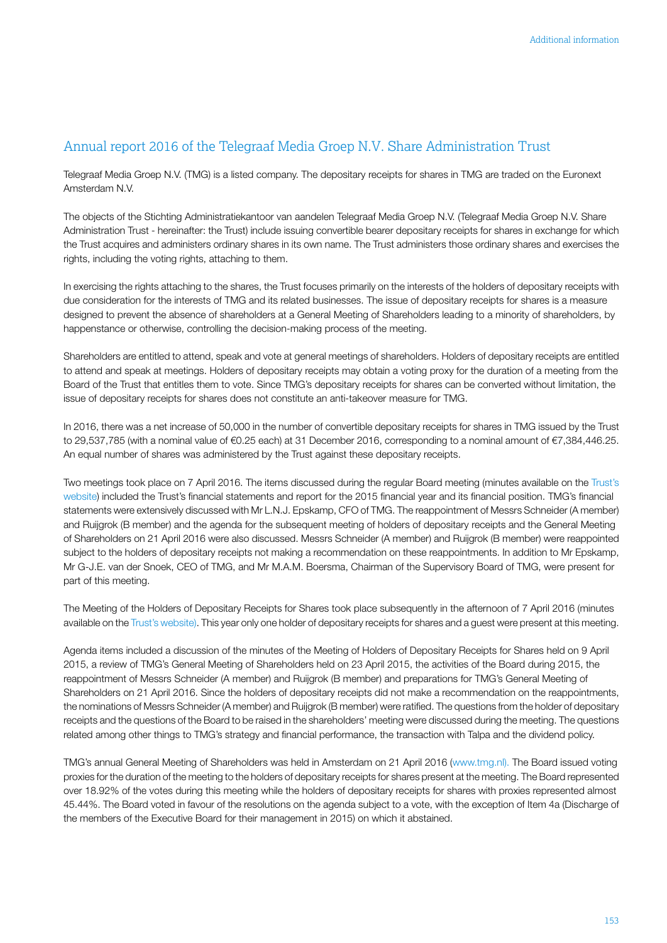### <span id="page-67-0"></span>Annual report 2016 of the Telegraaf Media Groep N.V. Share Administration Trust

Telegraaf Media Groep N.V. (TMG) is a listed company. The depositary receipts for shares in TMG are traded on the Euronext Amsterdam N.V.

The objects of the Stichting Administratiekantoor van aandelen Telegraaf Media Groep N.V. (Telegraaf Media Groep N.V. Share Administration Trust - hereinafter: the Trust) include issuing convertible bearer depositary receipts for shares in exchange for which the Trust acquires and administers ordinary shares in its own name. The Trust administers those ordinary shares and exercises the rights, including the voting rights, attaching to them.

In exercising the rights attaching to the shares, the Trust focuses primarily on the interests of the holders of depositary receipts with due consideration for the interests of TMG and its related businesses. The issue of depositary receipts for shares is a measure designed to prevent the absence of shareholders at a General Meeting of Shareholders leading to a minority of shareholders, by happenstance or otherwise, controlling the decision-making process of the meeting.

Shareholders are entitled to attend, speak and vote at general meetings of shareholders. Holders of depositary receipts are entitled to attend and speak at meetings. Holders of depositary receipts may obtain a voting proxy for the duration of a meeting from the Board of the Trust that entitles them to vote. Since TMG's depositary receipts for shares can be converted without limitation, the issue of depositary receipts for shares does not constitute an anti-takeover measure for TMG.

In 2016, there was a net increase of 50,000 in the number of convertible depositary receipts for shares in TMG issued by the Trust to 29,537,785 (with a nominal value of €0.25 each) at 31 December 2016, corresponding to a nominal amount of €7,384,446.25. An equal number of shares was administered by the Trust against these depositary receipts.

Two meetings took place on 7 April 2016. The items discussed during the regular Board meeting (minutes available on the [Trust's](http://administratiekantoor.tmg.nl/) [website\)](http://administratiekantoor.tmg.nl/) included the Trust's financial statements and report for the 2015 financial year and its financial position. TMG's financial statements were extensively discussed with Mr L.N.J. Epskamp, CFO of TMG. The reappointment of Messrs Schneider (A member) and Ruijgrok (B member) and the agenda for the subsequent meeting of holders of depositary receipts and the General Meeting of Shareholders on 21 April 2016 were also discussed. Messrs Schneider (A member) and Ruijgrok (B member) were reappointed subject to the holders of depositary receipts not making a recommendation on these reappointments. In addition to Mr Epskamp, Mr G-J.E. van der Snoek, CEO of TMG, and Mr M.A.M. Boersma, Chairman of the Supervisory Board of TMG, were present for part of this meeting.

The Meeting of the Holders of Depositary Receipts for Shares took place subsequently in the afternoon of 7 April 2016 (minutes available on the Trust's [website\)](http://administratiekantoor.tmg.nl/). This year only one holder of depositary receipts for shares and a guest were present at this meeting.

Agenda items included a discussion of the minutes of the Meeting of Holders of Depositary Receipts for Shares held on 9 April 2015, a review of TMG's General Meeting of Shareholders held on 23 April 2015, the activities of the Board during 2015, the reappointment of Messrs Schneider (A member) and Ruijgrok (B member) and preparations for TMG's General Meeting of Shareholders on 21 April 2016. Since the holders of depositary receipts did not make a recommendation on the reappointments, the nominations of Messrs Schneider (A member) and Ruijgrok (B member) were ratified. The questions from the holder of depositary receipts and the questions of the Board to be raised in the shareholders' meeting were discussed during the meeting. The questions related among other things to TMG's strategy and financial performance, the transaction with Talpa and the dividend policy.

TMG's annual General Meeting of Shareholders was held in Amsterdam on 21 April 2016 ([www.tmg.nl\).](https://www.tmg.nl) The Board issued voting proxies for the duration of the meeting to the holders of depositary receipts for shares present at the meeting. The Board represented over 18.92% of the votes during this meeting while the holders of depositary receipts for shares with proxies represented almost 45.44%. The Board voted in favour of the resolutions on the agenda subject to a vote, with the exception of Item 4a (Discharge of the members of the Executive Board for their management in 2015) on which it abstained.